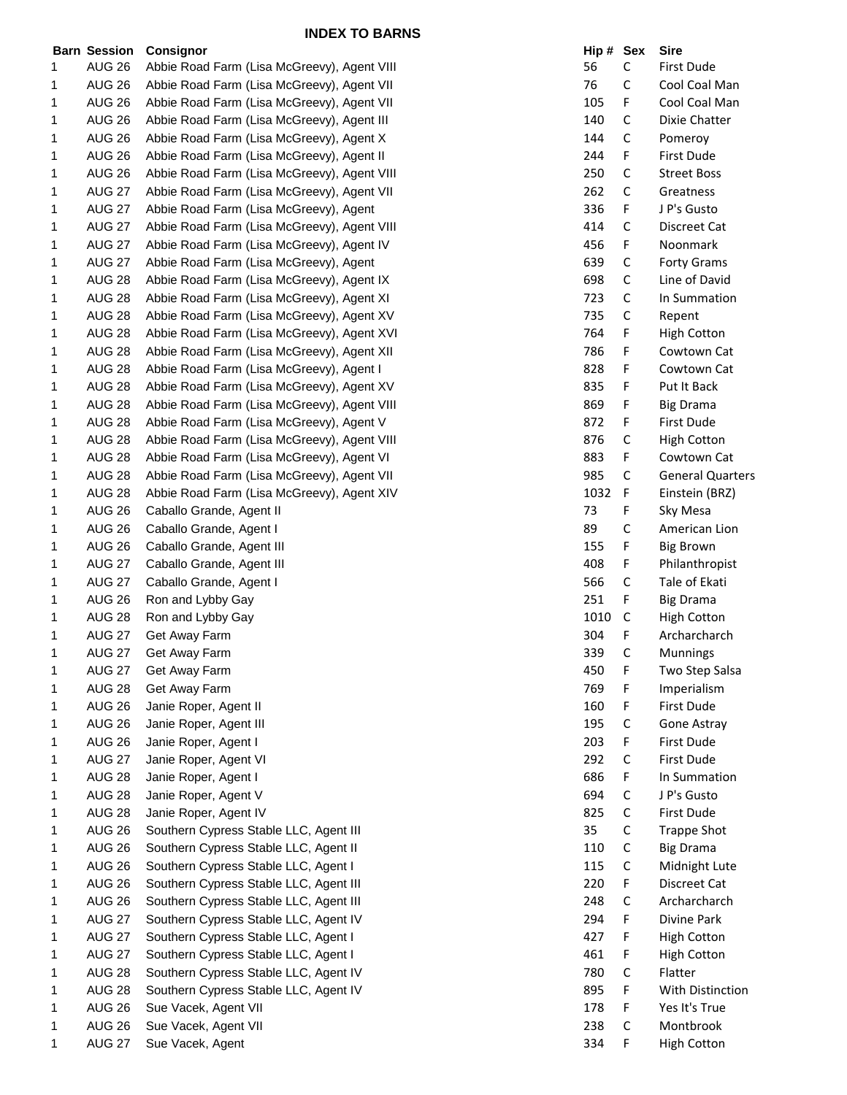|        | <b>Barn Session</b> | Consignor                                   | Hip# | Sex         | <b>Sire</b>             |
|--------|---------------------|---------------------------------------------|------|-------------|-------------------------|
| 1      | <b>AUG 26</b>       | Abbie Road Farm (Lisa McGreevy), Agent VIII | 56   | C           | First Dude              |
| 1      | <b>AUG 26</b>       | Abbie Road Farm (Lisa McGreevy), Agent VII  | 76   | C           | Cool Coal Man           |
| 1      | <b>AUG 26</b>       | Abbie Road Farm (Lisa McGreevy), Agent VII  | 105  | F           | Cool Coal Man           |
| 1      | <b>AUG 26</b>       | Abbie Road Farm (Lisa McGreevy), Agent III  | 140  | C           | Dixie Chatter           |
| 1      | <b>AUG 26</b>       | Abbie Road Farm (Lisa McGreevy), Agent X    | 144  | C           | Pomeroy                 |
| 1      | <b>AUG 26</b>       | Abbie Road Farm (Lisa McGreevy), Agent II   | 244  | F           | First Dude              |
| 1      | <b>AUG 26</b>       | Abbie Road Farm (Lisa McGreevy), Agent VIII | 250  | C           | <b>Street Boss</b>      |
| 1      | <b>AUG 27</b>       | Abbie Road Farm (Lisa McGreevy), Agent VII  | 262  | C           | Greatness               |
| 1      | <b>AUG 27</b>       | Abbie Road Farm (Lisa McGreevy), Agent      | 336  | F           | J P's Gusto             |
| 1      | <b>AUG 27</b>       | Abbie Road Farm (Lisa McGreevy), Agent VIII | 414  | С           | Discreet Cat            |
| 1      | <b>AUG 27</b>       | Abbie Road Farm (Lisa McGreevy), Agent IV   | 456  | F           | Noonmark                |
| 1      | <b>AUG 27</b>       | Abbie Road Farm (Lisa McGreevy), Agent      | 639  | C           | Forty Grams             |
| 1      | <b>AUG 28</b>       | Abbie Road Farm (Lisa McGreevy), Agent IX   | 698  | C           | Line of David           |
| 1      | <b>AUG 28</b>       | Abbie Road Farm (Lisa McGreevy), Agent XI   | 723  | C           | In Summation            |
| 1      | <b>AUG 28</b>       | Abbie Road Farm (Lisa McGreevy), Agent XV   | 735  | C           | Repent                  |
| 1      | <b>AUG 28</b>       | Abbie Road Farm (Lisa McGreevy), Agent XVI  | 764  | F           | <b>High Cotton</b>      |
| 1      | <b>AUG 28</b>       | Abbie Road Farm (Lisa McGreevy), Agent XII  | 786  | F           | Cowtown Cat             |
| 1      | <b>AUG 28</b>       | Abbie Road Farm (Lisa McGreevy), Agent I    | 828  | F           | Cowtown Cat             |
| 1      | <b>AUG 28</b>       | Abbie Road Farm (Lisa McGreevy), Agent XV   | 835  | F           | Put It Back             |
| 1      | <b>AUG 28</b>       | Abbie Road Farm (Lisa McGreevy), Agent VIII | 869  | F           | <b>Big Drama</b>        |
| 1      | <b>AUG 28</b>       | Abbie Road Farm (Lisa McGreevy), Agent V    | 872  | F           | First Dude              |
| 1      | <b>AUG 28</b>       | Abbie Road Farm (Lisa McGreevy), Agent VIII | 876  | С           | <b>High Cotton</b>      |
| 1      | <b>AUG 28</b>       | Abbie Road Farm (Lisa McGreevy), Agent VI   | 883  | F           | Cowtown Cat             |
| 1      | <b>AUG 28</b>       | Abbie Road Farm (Lisa McGreevy), Agent VII  | 985  | C           | <b>General Quarters</b> |
| 1      | <b>AUG 28</b>       | Abbie Road Farm (Lisa McGreevy), Agent XIV  | 1032 | F           | Einstein (BRZ)          |
| 1      | <b>AUG 26</b>       | Caballo Grande, Agent II                    | 73   | F           | Sky Mesa                |
| 1      | <b>AUG 26</b>       | Caballo Grande, Agent I                     | 89   | C           | American Lion           |
| 1      | <b>AUG 26</b>       | Caballo Grande, Agent III                   | 155  | F           | <b>Big Brown</b>        |
| 1      | <b>AUG 27</b>       | Caballo Grande, Agent III                   | 408  | F           | Philanthropist          |
| 1      | <b>AUG 27</b>       | Caballo Grande, Agent I                     | 566  | C           | Tale of Ekati           |
| 1      | <b>AUG 26</b>       | Ron and Lybby Gay                           | 251  | F           | <b>Big Drama</b>        |
| 1      | <b>AUG 28</b>       | Ron and Lybby Gay                           | 1010 | C           | <b>High Cotton</b>      |
| 1      | <b>AUG 27</b>       | Get Away Farm                               | 304  | F           | Archarcharch            |
| 1      | <b>AUG 27</b>       | Get Away Farm                               | 339  | С           | <b>Munnings</b>         |
| 1      | <b>AUG 27</b>       | Get Away Farm                               | 450  | F           | Two Step Salsa          |
| 1      | <b>AUG 28</b>       | Get Away Farm                               | 769  | F           | Imperialism             |
| 1      | <b>AUG 26</b>       | Janie Roper, Agent II                       | 160  | F           | First Dude              |
| 1      | <b>AUG 26</b>       | Janie Roper, Agent III                      | 195  | $\mathsf C$ | Gone Astray             |
| 1      | <b>AUG 26</b>       | Janie Roper, Agent I                        | 203  | F           | First Dude              |
| 1      | <b>AUG 27</b>       | Janie Roper, Agent VI                       | 292  | C           | First Dude              |
| 1      | <b>AUG 28</b>       | Janie Roper, Agent I                        | 686  | F           | In Summation            |
| 1      | <b>AUG 28</b>       | Janie Roper, Agent V                        | 694  | $\mathsf C$ | J P's Gusto             |
| 1      | <b>AUG 28</b>       | Janie Roper, Agent IV                       | 825  | C           | First Dude              |
| 1      | <b>AUG 26</b>       | Southern Cypress Stable LLC, Agent III      | 35   | C           | <b>Trappe Shot</b>      |
| 1      | <b>AUG 26</b>       | Southern Cypress Stable LLC, Agent II       | 110  | C           | <b>Big Drama</b>        |
|        | <b>AUG 26</b>       | Southern Cypress Stable LLC, Agent I        | 115  | C           | Midnight Lute           |
| 1<br>1 | <b>AUG 26</b>       | Southern Cypress Stable LLC, Agent III      | 220  | F           | Discreet Cat            |
|        | AUG 26              | Southern Cypress Stable LLC, Agent III      | 248  | C           | Archarcharch            |
| 1      | <b>AUG 27</b>       | Southern Cypress Stable LLC, Agent IV       | 294  | F           |                         |
| 1      |                     |                                             |      |             | Divine Park             |
| 1      | <b>AUG 27</b>       | Southern Cypress Stable LLC, Agent I        | 427  | F           | <b>High Cotton</b>      |
| 1      | <b>AUG 27</b>       | Southern Cypress Stable LLC, Agent I        | 461  | F           | <b>High Cotton</b>      |
| 1      | <b>AUG 28</b>       | Southern Cypress Stable LLC, Agent IV       | 780  | C           | Flatter                 |
| 1      | <b>AUG 28</b>       | Southern Cypress Stable LLC, Agent IV       | 895  | F           | With Distinction        |
| 1      | <b>AUG 26</b>       | Sue Vacek, Agent VII                        | 178  | F           | Yes It's True           |
| 1      | AUG 26              | Sue Vacek, Agent VII                        | 238  | C           | Montbrook               |
| 1      | <b>AUG 27</b>       | Sue Vacek, Agent                            | 334  | F           | <b>High Cotton</b>      |

| Hip # | Sex | Sire                          |
|-------|-----|-------------------------------|
| 56    | С   | First Dude                    |
| 76    | C   | Cool Coal Man                 |
| 105   | F   | Cool Coal Man                 |
| 140   | C   | Dixie Chatter                 |
| 144   | C   | Pomeroy                       |
| 244   | F   | First Dude                    |
| 250   | C   | Street Boss                   |
| 262   | C   | Greatness                     |
| 336   | F   | J P's Gusto                   |
| 414   | C   | Discreet Cat                  |
| 456   | F   | Noonmark                      |
| 639   | C   | <b>Forty Grams</b>            |
| 698   | C   | Line of David                 |
| 723   | C   | In Summation                  |
| 735   | C   | Repent                        |
| 764   | F   | <b>High Cotton</b>            |
| 786   | F   | Cowtown Cat                   |
| 828   | F   | Cowtown Cat                   |
| 835   | F   | Put It Back                   |
| 869   | F   | <b>Big Drama</b>              |
|       |     |                               |
| 872   | F   | First Dude                    |
| 876   | c   | <b>High Cotton</b>            |
| 883   | F   | Cowtown Cat                   |
| 985   | C   | <b>General Quarters</b>       |
| 1032  | F   | Einstein (BRZ)                |
| 73    | F   | Sky Mesa                      |
| 89    | C   | American Lion                 |
| 155   | F   | <b>Big Brown</b>              |
| 408   | F   | Philanthropist                |
| 566   | C   | Tale of Ekati                 |
| 251   | F   | Big Drama                     |
| 1010  | C   | <b>High Cotton</b>            |
| 304   | F   | Archarcharch                  |
| 339   | C   | Munnings                      |
| 450   | F   | Two Step Salsa                |
| 769   | F   | Imperialism                   |
| 160   | F   | <b>First Dude</b>             |
| 195   | C   | Gone Astray                   |
| 203   | F   | <b>First Dude</b>             |
| 292   | C   | First Dude                    |
| 686   | F   | In Summation                  |
| 694   | C   | J P's Gusto                   |
| 825   | C   | <b>First Dude</b>             |
| 35    | C   | <b>Trappe Shot</b>            |
| 110   | C   | <b>Big Drama</b>              |
| 115   | C   | Midnight Lute                 |
| 220   | F   | <b>Discreet Cat</b>           |
| 248   | С   | Archarcharch                  |
| 294   | F   | Divine Park                   |
| 427   | F   | <b>High Cotton</b>            |
| 461   | F   |                               |
| 780   | C   | <b>High Cotton</b><br>Flatter |
|       | F   | <b>With Distinction</b>       |
| 895   |     |                               |
| 178   | F   | Yes It's True                 |
| 238   | c   | Montbrook                     |
| 334   | F   | <b>High Cotton</b>            |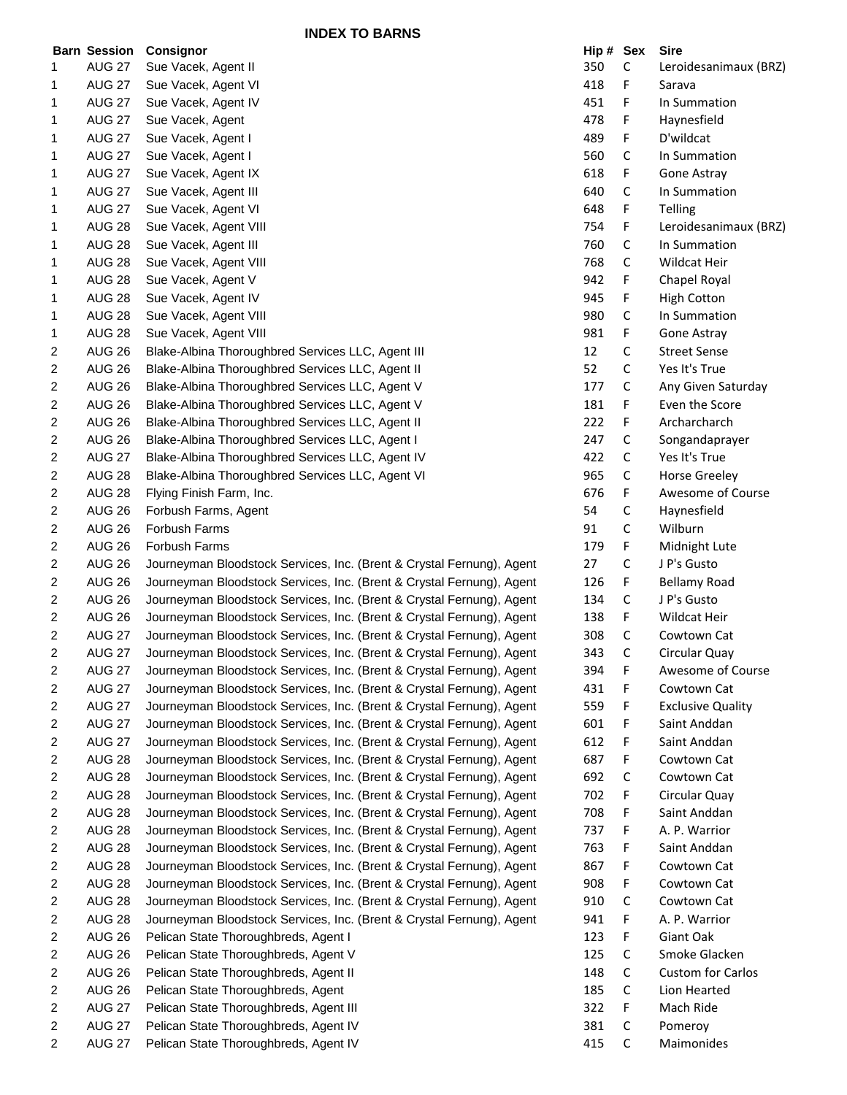**INDEX TO BARNS**

|                | <b>Barn Session</b> | Consignor                                                             | Hip # Sex |             | <b>Sire</b>              |
|----------------|---------------------|-----------------------------------------------------------------------|-----------|-------------|--------------------------|
| 1              | <b>AUG 27</b>       | Sue Vacek, Agent II                                                   | 350       | C           | Leroidesanimaux (BRZ)    |
| 1              | <b>AUG 27</b>       | Sue Vacek, Agent VI                                                   | 418       | F           | Sarava                   |
| 1              | <b>AUG 27</b>       | Sue Vacek, Agent IV                                                   | 451       | F           | In Summation             |
| 1              | <b>AUG 27</b>       | Sue Vacek, Agent                                                      | 478       | F           | Haynesfield              |
| 1              | <b>AUG 27</b>       | Sue Vacek, Agent I                                                    | 489       | F           | D'wildcat                |
| 1              | <b>AUG 27</b>       | Sue Vacek, Agent I                                                    | 560       | C           | In Summation             |
| 1              | <b>AUG 27</b>       | Sue Vacek, Agent IX                                                   | 618       | F           | Gone Astray              |
| 1              | <b>AUG 27</b>       | Sue Vacek, Agent III                                                  | 640       | C           | In Summation             |
| 1              | <b>AUG 27</b>       | Sue Vacek, Agent VI                                                   | 648       | F           | Telling                  |
| 1              | <b>AUG 28</b>       | Sue Vacek, Agent VIII                                                 | 754       | F           | Leroidesanimaux (BRZ)    |
| 1              | <b>AUG 28</b>       | Sue Vacek, Agent III                                                  | 760       | C           | In Summation             |
| 1              | <b>AUG 28</b>       | Sue Vacek, Agent VIII                                                 | 768       | C           | Wildcat Heir             |
| 1              | <b>AUG 28</b>       | Sue Vacek, Agent V                                                    | 942       | F           | Chapel Royal             |
| 1              | <b>AUG 28</b>       | Sue Vacek, Agent IV                                                   | 945       | F           | <b>High Cotton</b>       |
| 1              | <b>AUG 28</b>       | Sue Vacek, Agent VIII                                                 | 980       | C           | In Summation             |
| 1              | <b>AUG 28</b>       | Sue Vacek, Agent VIII                                                 | 981       | F           | Gone Astray              |
| 2              | <b>AUG 26</b>       | Blake-Albina Thoroughbred Services LLC, Agent III                     | 12        | $\mathsf C$ | <b>Street Sense</b>      |
| 2              | <b>AUG 26</b>       | Blake-Albina Thoroughbred Services LLC, Agent II                      | 52        | $\mathsf C$ | Yes It's True            |
| 2              | <b>AUG 26</b>       | Blake-Albina Thoroughbred Services LLC, Agent V                       | 177       | C           | Any Given Saturday       |
| 2              | <b>AUG 26</b>       | Blake-Albina Thoroughbred Services LLC, Agent V                       | 181       | F           | Even the Score           |
| 2              | <b>AUG 26</b>       | Blake-Albina Thoroughbred Services LLC, Agent II                      | 222       | F           | Archarcharch             |
| 2              | <b>AUG 26</b>       | Blake-Albina Thoroughbred Services LLC, Agent I                       | 247       | C           | Songandaprayer           |
|                | <b>AUG 27</b>       |                                                                       | 422       | C           | Yes It's True            |
| 2              |                     | Blake-Albina Thoroughbred Services LLC, Agent IV                      |           |             |                          |
| 2              | <b>AUG 28</b>       | Blake-Albina Thoroughbred Services LLC, Agent VI                      | 965       | $\mathsf C$ | <b>Horse Greeley</b>     |
| 2              | <b>AUG 28</b>       | Flying Finish Farm, Inc.                                              | 676       | F           | Awesome of Course        |
| 2              | <b>AUG 26</b>       | Forbush Farms, Agent                                                  | 54        | C           | Haynesfield              |
| 2              | <b>AUG 26</b>       | Forbush Farms                                                         | 91        | C           | Wilburn                  |
| 2              | <b>AUG 26</b>       | Forbush Farms                                                         | 179       | F           | Midnight Lute            |
| 2              | <b>AUG 26</b>       | Journeyman Bloodstock Services, Inc. (Brent & Crystal Fernung), Agent | 27        | C           | J P's Gusto              |
| 2              | <b>AUG 26</b>       | Journeyman Bloodstock Services, Inc. (Brent & Crystal Fernung), Agent | 126       | F           | <b>Bellamy Road</b>      |
| 2              | <b>AUG 26</b>       | Journeyman Bloodstock Services, Inc. (Brent & Crystal Fernung), Agent | 134       | $\mathsf C$ | J P's Gusto              |
| 2              | <b>AUG 26</b>       | Journeyman Bloodstock Services, Inc. (Brent & Crystal Fernung), Agent | 138       | F           | Wildcat Heir             |
| 2              | <b>AUG 27</b>       | Journeyman Bloodstock Services, Inc. (Brent & Crystal Fernung), Agent | 308       | C           | Cowtown Cat              |
| 2              | <b>AUG 27</b>       | Journeyman Bloodstock Services, Inc. (Brent & Crystal Fernung), Agent | 343       | $\mathsf C$ | Circular Quay            |
| $\overline{2}$ | <b>AUG 27</b>       | Journeyman Bloodstock Services, Inc. (Brent & Crystal Fernung), Agent | 394       | F           | Awesome of Course        |
| 2              | <b>AUG 27</b>       | Journeyman Bloodstock Services, Inc. (Brent & Crystal Fernung), Agent | 431       | F           | Cowtown Cat              |
| 2              | <b>AUG 27</b>       | Journeyman Bloodstock Services, Inc. (Brent & Crystal Fernung), Agent | 559       | F           | <b>Exclusive Quality</b> |
| 2              | <b>AUG 27</b>       | Journeyman Bloodstock Services, Inc. (Brent & Crystal Fernung), Agent | 601       | F           | Saint Anddan             |
| 2              | <b>AUG 27</b>       | Journeyman Bloodstock Services, Inc. (Brent & Crystal Fernung), Agent | 612       | F           | Saint Anddan             |
| 2              | <b>AUG 28</b>       | Journeyman Bloodstock Services, Inc. (Brent & Crystal Fernung), Agent | 687       | F           | Cowtown Cat              |
| 2              | <b>AUG 28</b>       | Journeyman Bloodstock Services, Inc. (Brent & Crystal Fernung), Agent | 692       | $\mathsf C$ | Cowtown Cat              |
| 2              | <b>AUG 28</b>       | Journeyman Bloodstock Services, Inc. (Brent & Crystal Fernung), Agent | 702       | F           | Circular Quay            |
| 2              | <b>AUG 28</b>       | Journeyman Bloodstock Services, Inc. (Brent & Crystal Fernung), Agent | 708       | F           | Saint Anddan             |
| 2              | <b>AUG 28</b>       | Journeyman Bloodstock Services, Inc. (Brent & Crystal Fernung), Agent | 737       | F           | A. P. Warrior            |
| 2              | <b>AUG 28</b>       | Journeyman Bloodstock Services, Inc. (Brent & Crystal Fernung), Agent | 763       | F           | Saint Anddan             |
| 2              | <b>AUG 28</b>       | Journeyman Bloodstock Services, Inc. (Brent & Crystal Fernung), Agent | 867       | F           | Cowtown Cat              |
| 2              | <b>AUG 28</b>       | Journeyman Bloodstock Services, Inc. (Brent & Crystal Fernung), Agent | 908       | F           | Cowtown Cat              |
| 2              | <b>AUG 28</b>       | Journeyman Bloodstock Services, Inc. (Brent & Crystal Fernung), Agent | 910       | $\mathsf C$ | Cowtown Cat              |
| 2              | <b>AUG 28</b>       | Journeyman Bloodstock Services, Inc. (Brent & Crystal Fernung), Agent | 941       | F           | A. P. Warrior            |
| 2              | <b>AUG 26</b>       | Pelican State Thoroughbreds, Agent I                                  | 123       | F           | Giant Oak                |
| 2              | <b>AUG 26</b>       | Pelican State Thoroughbreds, Agent V                                  | 125       | C           | Smoke Glacken            |
| 2              | <b>AUG 26</b>       | Pelican State Thoroughbreds, Agent II                                 | 148       | C           | Custom for Carlos        |
| 2              | <b>AUG 26</b>       | Pelican State Thoroughbreds, Agent                                    | 185       | $\mathsf C$ | Lion Hearted             |
| 2              | <b>AUG 27</b>       | Pelican State Thoroughbreds, Agent III                                | 322       | F           | Mach Ride                |
| 2              | <b>AUG 27</b>       | Pelican State Thoroughbreds, Agent IV                                 | 381       | $\mathsf C$ | Pomeroy                  |
| $\overline{2}$ | <b>AUG 27</b>       | Pelican State Thoroughbreds, Agent IV                                 | 415       | $\mathsf C$ | Maimonides               |
|                |                     |                                                                       |           |             |                          |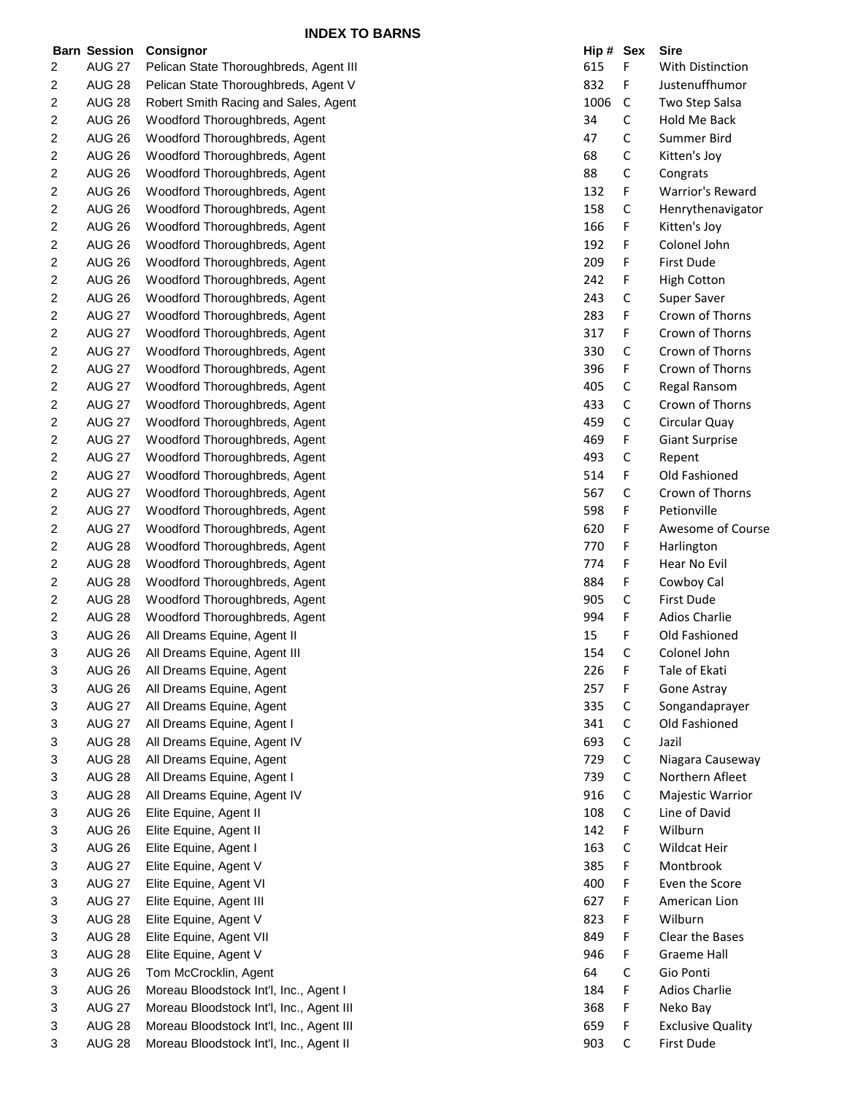|   | <b>Barn Session</b> | Consignor                                | Hip # Sex |             | <b>Sire</b>              |
|---|---------------------|------------------------------------------|-----------|-------------|--------------------------|
| 2 | <b>AUG 27</b>       | Pelican State Thoroughbreds, Agent III   | 615       | F           | With Distinction         |
| 2 | <b>AUG 28</b>       | Pelican State Thoroughbreds, Agent V     | 832       | F           | Justenuffhumor           |
| 2 | <b>AUG 28</b>       | Robert Smith Racing and Sales, Agent     | 1006      | C           | Two Step Salsa           |
| 2 | <b>AUG 26</b>       | Woodford Thoroughbreds, Agent            | 34        | С           | Hold Me Back             |
| 2 | <b>AUG 26</b>       | Woodford Thoroughbreds, Agent            | 47        | C           | Summer Bird              |
| 2 | <b>AUG 26</b>       | Woodford Thoroughbreds, Agent            | 68        | C           | Kitten's Joy             |
| 2 | <b>AUG 26</b>       | Woodford Thoroughbreds, Agent            | 88        | C           | Congrats                 |
| 2 | <b>AUG 26</b>       | Woodford Thoroughbreds, Agent            | 132       | F           | <b>Warrior's Reward</b>  |
| 2 | <b>AUG 26</b>       | Woodford Thoroughbreds, Agent            | 158       | С           | Henrythenavigator        |
| 2 | <b>AUG 26</b>       | Woodford Thoroughbreds, Agent            | 166       | F           | Kitten's Joy             |
| 2 | <b>AUG 26</b>       | Woodford Thoroughbreds, Agent            | 192       | F           | Colonel John             |
| 2 | <b>AUG 26</b>       | Woodford Thoroughbreds, Agent            | 209       | F           | First Dude               |
| 2 | <b>AUG 26</b>       | Woodford Thoroughbreds, Agent            | 242       | F           | <b>High Cotton</b>       |
| 2 | <b>AUG 26</b>       | Woodford Thoroughbreds, Agent            | 243       | С           | Super Saver              |
| 2 | <b>AUG 27</b>       | Woodford Thoroughbreds, Agent            | 283       | F           | Crown of Thorns          |
| 2 | <b>AUG 27</b>       | Woodford Thoroughbreds, Agent            | 317       | F           | Crown of Thorns          |
| 2 | <b>AUG 27</b>       | Woodford Thoroughbreds, Agent            | 330       | С           | Crown of Thorns          |
| 2 | <b>AUG 27</b>       | Woodford Thoroughbreds, Agent            | 396       | F           | Crown of Thorns          |
| 2 | <b>AUG 27</b>       | Woodford Thoroughbreds, Agent            | 405       | С           | Regal Ransom             |
| 2 | <b>AUG 27</b>       | Woodford Thoroughbreds, Agent            | 433       | C           | Crown of Thorns          |
| 2 | <b>AUG 27</b>       | Woodford Thoroughbreds, Agent            | 459       | C           | Circular Quay            |
| 2 | <b>AUG 27</b>       | Woodford Thoroughbreds, Agent            | 469       | F           | <b>Giant Surprise</b>    |
| 2 | <b>AUG 27</b>       | Woodford Thoroughbreds, Agent            | 493       | С           | Repent                   |
| 2 | <b>AUG 27</b>       | Woodford Thoroughbreds, Agent            | 514       | F           | Old Fashioned            |
| 2 | <b>AUG 27</b>       | Woodford Thoroughbreds, Agent            | 567       | С           | Crown of Thorns          |
| 2 | <b>AUG 27</b>       | Woodford Thoroughbreds, Agent            | 598       | F           | Petionville              |
| 2 | <b>AUG 27</b>       | Woodford Thoroughbreds, Agent            | 620       | F           | Awesome of Course        |
| 2 | <b>AUG 28</b>       | Woodford Thoroughbreds, Agent            | 770       | F           | Harlington               |
| 2 | <b>AUG 28</b>       | Woodford Thoroughbreds, Agent            | 774       | F           | Hear No Evil             |
| 2 | <b>AUG 28</b>       | Woodford Thoroughbreds, Agent            | 884       | F           | Cowboy Cal               |
| 2 | <b>AUG 28</b>       | Woodford Thoroughbreds, Agent            | 905       | С           | <b>First Dude</b>        |
| 2 | <b>AUG 28</b>       | Woodford Thoroughbreds, Agent            | 994       | F           | <b>Adios Charlie</b>     |
| 3 | <b>AUG 26</b>       | All Dreams Equine, Agent II              | 15        | F           | Old Fashioned            |
| 3 | <b>AUG 26</b>       | All Dreams Equine, Agent III             | 154       | C           | Colonel John             |
| 3 | <b>AUG 26</b>       | All Dreams Equine, Agent                 | 226       | F           | Tale of Ekati            |
| 3 | <b>AUG 26</b>       | All Dreams Equine, Agent                 | 257       | F           | Gone Astray              |
| 3 | <b>AUG 27</b>       | All Dreams Equine, Agent                 | 335       | С           | Songandaprayer           |
| 3 | <b>AUG 27</b>       | All Dreams Equine, Agent I               | 341       | С           | Old Fashioned            |
| 3 | <b>AUG 28</b>       | All Dreams Equine, Agent IV              | 693       | C           | Jazil                    |
| 3 | <b>AUG 28</b>       | All Dreams Equine, Agent                 | 729       | С           | Niagara Causeway         |
| 3 | <b>AUG 28</b>       | All Dreams Equine, Agent I               | 739       | $\mathsf C$ | Northern Afleet          |
| 3 | <b>AUG 28</b>       | All Dreams Equine, Agent IV              | 916       | $\mathsf C$ | Majestic Warrior         |
| 3 | <b>AUG 26</b>       | Elite Equine, Agent II                   | 108       | C           | Line of David            |
| 3 | <b>AUG 26</b>       | Elite Equine, Agent II                   | 142       | F           | Wilburn                  |
| 3 | <b>AUG 26</b>       | Elite Equine, Agent I                    | 163       | C           | Wildcat Heir             |
| 3 | <b>AUG 27</b>       | Elite Equine, Agent V                    | 385       | F           | Montbrook                |
| 3 | <b>AUG 27</b>       | Elite Equine, Agent VI                   | 400       | F           | Even the Score           |
| 3 | <b>AUG 27</b>       | Elite Equine, Agent III                  | 627       | F           | American Lion            |
| 3 | <b>AUG 28</b>       | Elite Equine, Agent V                    | 823       | F           | Wilburn                  |
| 3 | <b>AUG 28</b>       | Elite Equine, Agent VII                  | 849       | F           | Clear the Bases          |
| 3 | <b>AUG 28</b>       | Elite Equine, Agent V                    | 946       | F           | <b>Graeme Hall</b>       |
| 3 | <b>AUG 26</b>       | Tom McCrocklin, Agent                    | 64        | C           | Gio Ponti                |
| 3 | <b>AUG 26</b>       | Moreau Bloodstock Int'l, Inc., Agent I   | 184       | F           | <b>Adios Charlie</b>     |
| 3 | <b>AUG 27</b>       | Moreau Bloodstock Int'l, Inc., Agent III | 368       | F           | Neko Bay                 |
| 3 | <b>AUG 28</b>       | Moreau Bloodstock Int'l, Inc., Agent III | 659       | F           | <b>Exclusive Quality</b> |
| 3 | <b>AUG 28</b>       | Moreau Bloodstock Int'l, Inc., Agent II  | 903       | $\mathsf C$ | <b>First Dude</b>        |
|   |                     |                                          |           |             |                          |

|                      | Hip # | Sex | Sire                     |
|----------------------|-------|-----|--------------------------|
| ıhbreds, Agent III   | 615   | F   | With Distinction         |
| ∣hbreds, Agent V     | 832   | F   | Justenuffhumor           |
| and Sales, Agent     | 1006  | C   | Two Step Salsa           |
| eds, Agent           | 34    | С   | Hold Me Back             |
| eds, Agent           | 47    | C   | Summer Bird              |
| eds, Agent           | 68    | С   | Kitten's Joy             |
| eds, Agent           | 88    | С   | Congrats                 |
| eds, Agent           | 132   | F   | <b>Warrior's Reward</b>  |
| eds, Agent           | 158   | C   | Henrythenavigator        |
| eds, Agent           | 166   | F   | Kitten's Joy             |
| eds, Agent           | 192   | F   | Colonel John             |
| eds, Agent           | 209   | F   | First Dude               |
| eds, Agent           | 242   | F   | <b>High Cotton</b>       |
| eds, Agent           | 243   | С   | Super Saver              |
| eds, Agent           | 283   | F   | Crown of Thorns          |
| eds, Agent           | 317   | F   | Crown of Thorns          |
| eds, Agent           | 330   | С   | Crown of Thorns          |
| eds, Agent           | 396   | F   | Crown of Thorns          |
| eds, Agent           | 405   | С   | Regal Ransom             |
| eds, Agent           | 433   | С   | Crown of Thorns          |
| eds, Agent           | 459   | С   | Circular Quay            |
| eds, Agent           | 469   | F   | <b>Giant Surprise</b>    |
| eds, Agent           | 493   | C   | Repent                   |
| eds, Agent           | 514   | F   | Old Fashioned            |
| eds, Agent           | 567   | С   | Crown of Thorns          |
| eds, Agent           | 598   | F   | Petionville              |
| eds, Agent           | 620   | F   | Awesome of Course        |
| eds, Agent           | 770   | F   | Harlington               |
| eds, Agent           | 774   | F   | Hear No Evil             |
| eds, Agent           | 884   | F   | Cowboy Cal               |
| eds, Agent           | 905   | С   | First Dude               |
| eds, Agent           | 994   | F   | <b>Adios Charlie</b>     |
| gent II              | 15    | F   | Old Fashioned            |
| gent III             | 154   | С   | Colonel John             |
| gent                 | 226   | F   | Tale of Ekati            |
| gent                 | 257   | F   | Gone Astray              |
| gent                 | 335   | С   | Songandaprayer           |
| gent I               | 341   | С   | Old Fashioned            |
| gent IV              | 693   | С   | Jazil                    |
| gent                 | 729   | С   | Niagara Causeway         |
| gent I               | 739   | C   | Northern Afleet          |
| gent IV              | 916   | С   | Majestic Warrior         |
|                      | 108   | С   | Line of David            |
|                      | 142   | F   | Wilburn                  |
|                      | 163   | С   | Wildcat Heir             |
|                      | 385   | F   | Montbrook                |
|                      | 400   | F   | Even the Score           |
|                      | 627   | F   | American Lion            |
|                      | 823   | F   | Wilburn                  |
| I                    | 849   | F   | Clear the Bases          |
|                      | 946   | F   | Graeme Hall              |
| ٦t                   | 64    | С   | Gio Ponti                |
| t'l, Inc., Agent I   | 184   | F   | <b>Adios Charlie</b>     |
| t'l, Inc., Agent III | 368   | F   | Neko Bay                 |
| t'l, Inc., Agent III | 659   | F   | <b>Exclusive Quality</b> |
| t'l, Inc., Agent II  | 903   | С   | First Dude               |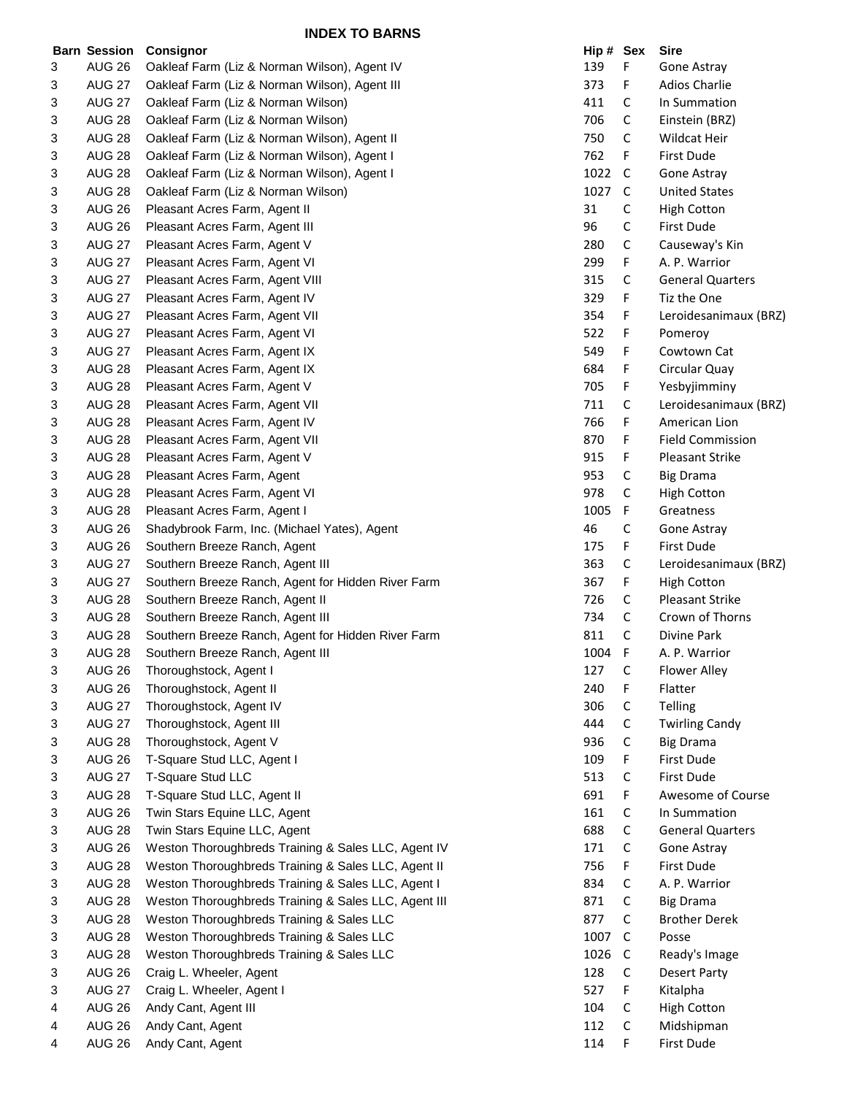|   | <b>Barn Session</b> | <b>Consignor</b>                                     | Hip # Sex |   | <b>Sire</b>             |
|---|---------------------|------------------------------------------------------|-----------|---|-------------------------|
| 3 | <b>AUG 26</b>       | Oakleaf Farm (Liz & Norman Wilson), Agent IV         | 139       | F | Gone Astray             |
| 3 | <b>AUG 27</b>       | Oakleaf Farm (Liz & Norman Wilson), Agent III        | 373       | F | Adios Charlie           |
| 3 | <b>AUG 27</b>       | Oakleaf Farm (Liz & Norman Wilson)                   | 411       | C | In Summation            |
| 3 | <b>AUG 28</b>       | Oakleaf Farm (Liz & Norman Wilson)                   | 706       | C | Einstein (BRZ)          |
| 3 | <b>AUG 28</b>       | Oakleaf Farm (Liz & Norman Wilson), Agent II         | 750       | C | Wildcat Heir            |
| 3 | <b>AUG 28</b>       | Oakleaf Farm (Liz & Norman Wilson), Agent I          | 762       | F | First Dude              |
| 3 | <b>AUG 28</b>       | Oakleaf Farm (Liz & Norman Wilson), Agent I          | 1022      | C | Gone Astray             |
| 3 | <b>AUG 28</b>       | Oakleaf Farm (Liz & Norman Wilson)                   | 1027      | C | <b>United States</b>    |
| 3 | <b>AUG 26</b>       | Pleasant Acres Farm, Agent II                        | 31        | С | <b>High Cotton</b>      |
| 3 | AUG 26              | Pleasant Acres Farm, Agent III                       | 96        | C | First Dude              |
| 3 | <b>AUG 27</b>       | Pleasant Acres Farm, Agent V                         | 280       | С | Causeway's Kin          |
| 3 | <b>AUG 27</b>       | Pleasant Acres Farm, Agent VI                        | 299       | F | A. P. Warrior           |
| 3 | <b>AUG 27</b>       | Pleasant Acres Farm, Agent VIII                      | 315       | C | <b>General Quarters</b> |
| 3 | <b>AUG 27</b>       | Pleasant Acres Farm, Agent IV                        | 329       | F | Tiz the One             |
| 3 | <b>AUG 27</b>       | Pleasant Acres Farm, Agent VII                       | 354       | F | Leroidesanimaux (BRZ)   |
| 3 | <b>AUG 27</b>       | Pleasant Acres Farm, Agent VI                        | 522       | F | Pomeroy                 |
| 3 | <b>AUG 27</b>       | Pleasant Acres Farm, Agent IX                        | 549       | F | Cowtown Cat             |
| 3 | <b>AUG 28</b>       | Pleasant Acres Farm, Agent IX                        | 684       | F | Circular Quay           |
| 3 | <b>AUG 28</b>       | Pleasant Acres Farm, Agent V                         | 705       | F | Yesbyjimminy            |
| 3 | <b>AUG 28</b>       | Pleasant Acres Farm, Agent VII                       | 711       | C | Leroidesanimaux (BRZ)   |
| 3 | <b>AUG 28</b>       | Pleasant Acres Farm, Agent IV                        | 766       | F | American Lion           |
| 3 | <b>AUG 28</b>       | Pleasant Acres Farm, Agent VII                       | 870       | F | <b>Field Commission</b> |
| 3 | <b>AUG 28</b>       | Pleasant Acres Farm, Agent V                         | 915       | F | <b>Pleasant Strike</b>  |
| 3 | <b>AUG 28</b>       | Pleasant Acres Farm, Agent                           | 953       | С | <b>Big Drama</b>        |
| 3 | <b>AUG 28</b>       | Pleasant Acres Farm, Agent VI                        | 978       | С | <b>High Cotton</b>      |
| 3 | <b>AUG 28</b>       | Pleasant Acres Farm, Agent I                         | 1005      | F | Greatness               |
| 3 | <b>AUG 26</b>       | Shadybrook Farm, Inc. (Michael Yates), Agent         | 46        | С | Gone Astray             |
| 3 | <b>AUG 26</b>       | Southern Breeze Ranch, Agent                         | 175       | F | First Dude              |
| 3 | <b>AUG 27</b>       | Southern Breeze Ranch, Agent III                     | 363       | С | Leroidesanimaux (BRZ)   |
| 3 | <b>AUG 27</b>       | Southern Breeze Ranch, Agent for Hidden River Farm   | 367       | F | <b>High Cotton</b>      |
| 3 | <b>AUG 28</b>       | Southern Breeze Ranch, Agent II                      | 726       | C | Pleasant Strike         |
| 3 | <b>AUG 28</b>       | Southern Breeze Ranch, Agent III                     | 734       | C | Crown of Thorns         |
| 3 | <b>AUG 28</b>       | Southern Breeze Ranch, Agent for Hidden River Farm   | 811       | С | Divine Park             |
| 3 | <b>AUG 28</b>       | Southern Breeze Ranch, Agent III                     | 1004      | F | A. P. Warrior           |
| 3 | <b>AUG 26</b>       | Thoroughstock, Agent I                               | 127       | С | Flower Alley            |
| 3 | <b>AUG 26</b>       | Thoroughstock, Agent II                              | 240       | F | Flatter                 |
| 3 | <b>AUG 27</b>       | Thoroughstock, Agent IV                              | 306       | С | Telling                 |
| 3 | <b>AUG 27</b>       | Thoroughstock, Agent III                             | 444       | C | <b>Twirling Candy</b>   |
| 3 | <b>AUG 28</b>       | Thoroughstock, Agent V                               | 936       | С | <b>Big Drama</b>        |
| 3 | <b>AUG 26</b>       | T-Square Stud LLC, Agent I                           | 109       | F | First Dude              |
| 3 | <b>AUG 27</b>       | T-Square Stud LLC                                    | 513       | C | First Dude              |
| 3 | <b>AUG 28</b>       | T-Square Stud LLC, Agent II                          | 691       | F | Awesome of Course       |
| 3 | <b>AUG 26</b>       | Twin Stars Equine LLC, Agent                         | 161       | С | In Summation            |
| 3 | <b>AUG 28</b>       | Twin Stars Equine LLC, Agent                         | 688       | С | <b>General Quarters</b> |
| 3 | <b>AUG 26</b>       | Weston Thoroughbreds Training & Sales LLC, Agent IV  | 171       | С | Gone Astray             |
| 3 | <b>AUG 28</b>       | Weston Thoroughbreds Training & Sales LLC, Agent II  | 756       | F | First Dude              |
| 3 | <b>AUG 28</b>       | Weston Thoroughbreds Training & Sales LLC, Agent I   | 834       | С | A. P. Warrior           |
| 3 | <b>AUG 28</b>       | Weston Thoroughbreds Training & Sales LLC, Agent III | 871       | C | <b>Big Drama</b>        |
| 3 | <b>AUG 28</b>       | Weston Thoroughbreds Training & Sales LLC            | 877       | С | <b>Brother Derek</b>    |
| 3 | <b>AUG 28</b>       | Weston Thoroughbreds Training & Sales LLC            | 1007      | C | Posse                   |
| 3 | <b>AUG 28</b>       | Weston Thoroughbreds Training & Sales LLC            | 1026      | C | Ready's Image           |
| 3 | <b>AUG 26</b>       | Craig L. Wheeler, Agent                              | 128       | C | <b>Desert Party</b>     |
| 3 | <b>AUG 27</b>       | Craig L. Wheeler, Agent I                            | 527       | F | Kitalpha                |
| 4 | <b>AUG 26</b>       | Andy Cant, Agent III                                 | 104       | С | <b>High Cotton</b>      |
| 4 | <b>AUG 26</b>       | Andy Cant, Agent                                     | 112       | С | Midshipman              |
| 4 | <b>AUG 26</b>       | Andy Cant, Agent                                     | 114       | F | First Dude              |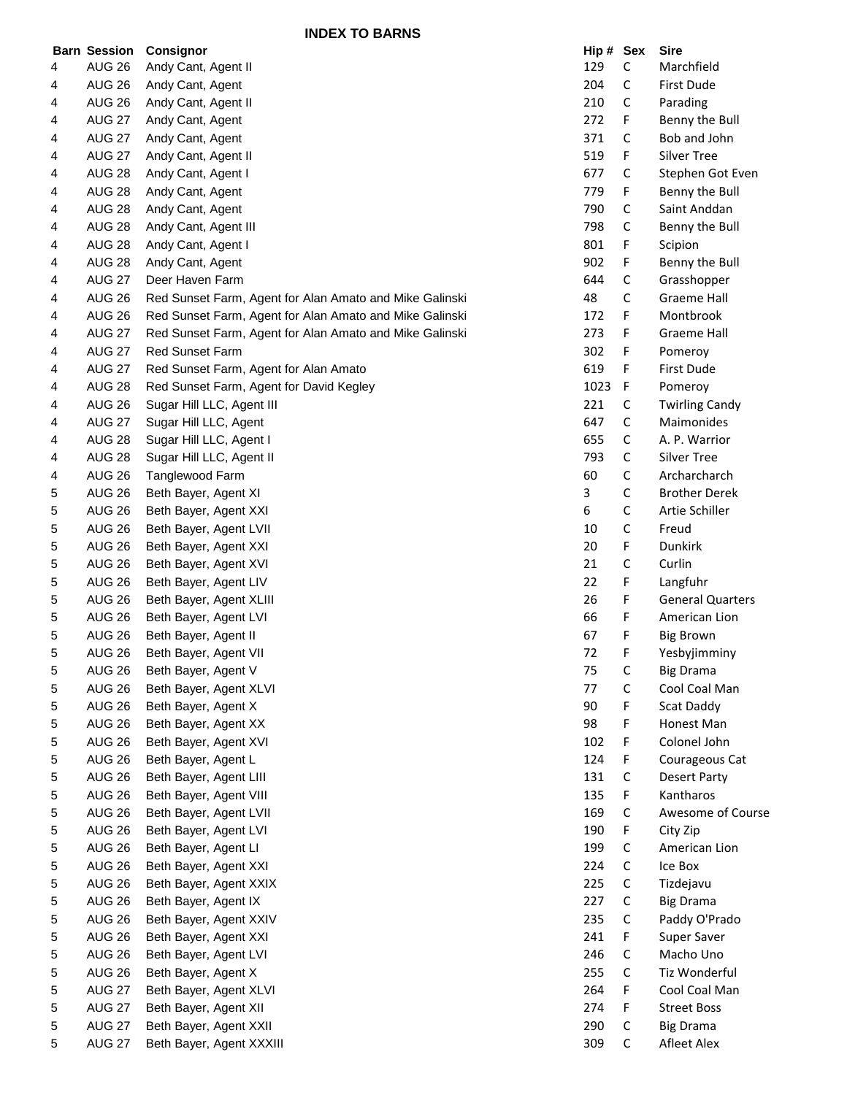**INDEX TO BARNS**

|   | <b>Barn Session</b> | Consignor                                               | Hip # Sex |   | <b>Sire</b>             |
|---|---------------------|---------------------------------------------------------|-----------|---|-------------------------|
| 4 | <b>AUG 26</b>       | Andy Cant, Agent II                                     | 129       | С | Marchfield              |
| 4 | <b>AUG 26</b>       | Andy Cant, Agent                                        | 204       | С | First Dude              |
| 4 | <b>AUG 26</b>       | Andy Cant, Agent II                                     | 210       | С | Parading                |
| 4 | <b>AUG 27</b>       | Andy Cant, Agent                                        | 272       | F | Benny the Bull          |
| 4 | <b>AUG 27</b>       | Andy Cant, Agent                                        | 371       | С | Bob and John            |
| 4 | <b>AUG 27</b>       | Andy Cant, Agent II                                     | 519       | F | <b>Silver Tree</b>      |
| 4 | <b>AUG 28</b>       | Andy Cant, Agent I                                      | 677       | С | Stephen Got Even        |
| 4 | <b>AUG 28</b>       | Andy Cant, Agent                                        | 779       | F | Benny the Bull          |
| 4 | <b>AUG 28</b>       | Andy Cant, Agent                                        | 790       | С | Saint Anddan            |
| 4 | <b>AUG 28</b>       | Andy Cant, Agent III                                    | 798       | С | Benny the Bull          |
| 4 | <b>AUG 28</b>       | Andy Cant, Agent I                                      | 801       | F | Scipion                 |
| 4 | <b>AUG 28</b>       | Andy Cant, Agent                                        | 902       | F | Benny the Bull          |
| 4 | <b>AUG 27</b>       | Deer Haven Farm                                         | 644       | С | Grasshopper             |
| 4 | <b>AUG 26</b>       | Red Sunset Farm, Agent for Alan Amato and Mike Galinski | 48        | С | <b>Graeme Hall</b>      |
| 4 | <b>AUG 26</b>       | Red Sunset Farm, Agent for Alan Amato and Mike Galinski | 172       | F | Montbrook               |
|   |                     |                                                         |           |   |                         |
| 4 | <b>AUG 27</b>       | Red Sunset Farm, Agent for Alan Amato and Mike Galinski | 273       | F | Graeme Hall             |
| 4 | <b>AUG 27</b>       | <b>Red Sunset Farm</b>                                  | 302       | F | Pomeroy                 |
| 4 | <b>AUG 27</b>       | Red Sunset Farm, Agent for Alan Amato                   | 619       | F | First Dude              |
| 4 | <b>AUG 28</b>       | Red Sunset Farm, Agent for David Kegley                 | 1023      | F | Pomeroy                 |
| 4 | <b>AUG 26</b>       | Sugar Hill LLC, Agent III                               | 221       | С | <b>Twirling Candy</b>   |
| 4 | <b>AUG 27</b>       | Sugar Hill LLC, Agent                                   | 647       | С | Maimonides              |
| 4 | <b>AUG 28</b>       | Sugar Hill LLC, Agent I                                 | 655       | С | A. P. Warrior           |
| 4 | <b>AUG 28</b>       | Sugar Hill LLC, Agent II                                | 793       | С | <b>Silver Tree</b>      |
| 4 | <b>AUG 26</b>       | Tanglewood Farm                                         | 60        | С | Archarcharch            |
| 5 | <b>AUG 26</b>       | Beth Bayer, Agent XI                                    | 3         | С | <b>Brother Derek</b>    |
| 5 | <b>AUG 26</b>       | Beth Bayer, Agent XXI                                   | 6         | С | Artie Schiller          |
| 5 | <b>AUG 26</b>       | Beth Bayer, Agent LVII                                  | 10        | С | Freud                   |
| 5 | <b>AUG 26</b>       | Beth Bayer, Agent XXI                                   | 20        | F | Dunkirk                 |
| 5 | <b>AUG 26</b>       | Beth Bayer, Agent XVI                                   | 21        | С | Curlin                  |
| 5 | <b>AUG 26</b>       | Beth Bayer, Agent LIV                                   | 22        | F | Langfuhr                |
| 5 | <b>AUG 26</b>       | Beth Bayer, Agent XLIII                                 | 26        | F | <b>General Quarters</b> |
| 5 | <b>AUG 26</b>       | Beth Bayer, Agent LVI                                   | 66        | F | American Lion           |
| 5 | <b>AUG 26</b>       | Beth Bayer, Agent II                                    | 67        | F | <b>Big Brown</b>        |
| 5 | <b>AUG 26</b>       | Beth Bayer, Agent VII                                   | 72        | F | Yesbyjimminy            |
| 5 | <b>AUG 26</b>       | Beth Bayer, Agent V                                     | 75        | С | <b>Big Drama</b>        |
| 5 | <b>AUG 26</b>       | Beth Bayer, Agent XLVI                                  | 77        | С | Cool Coal Man           |
| 5 | <b>AUG 26</b>       | Beth Bayer, Agent X                                     | 90        | F | Scat Daddy              |
| 5 | <b>AUG 26</b>       | Beth Bayer, Agent XX                                    | 98        | F | Honest Man              |
| 5 | <b>AUG 26</b>       | Beth Bayer, Agent XVI                                   | 102       | F | Colonel John            |
| 5 | <b>AUG 26</b>       | Beth Bayer, Agent L                                     | 124       | F | Courageous Cat          |
| 5 | <b>AUG 26</b>       | Beth Bayer, Agent LIII                                  | 131       | С | <b>Desert Party</b>     |
| 5 | <b>AUG 26</b>       | Beth Bayer, Agent VIII                                  | 135       | F | Kantharos               |
|   | <b>AUG 26</b>       | Beth Bayer, Agent LVII                                  | 169       |   | Awesome of Course       |
| 5 |                     | Beth Bayer, Agent LVI                                   |           | С |                         |
| 5 | <b>AUG 26</b>       |                                                         | 190       | F | City Zip                |
| 5 | <b>AUG 26</b>       | Beth Bayer, Agent LI                                    | 199       | С | American Lion           |
| 5 | <b>AUG 26</b>       | Beth Bayer, Agent XXI                                   | 224       | С | Ice Box                 |
| 5 | <b>AUG 26</b>       | Beth Bayer, Agent XXIX                                  | 225       | С | Tizdejavu               |
| 5 | <b>AUG 26</b>       | Beth Bayer, Agent IX                                    | 227       | С | <b>Big Drama</b>        |
| 5 | <b>AUG 26</b>       | Beth Bayer, Agent XXIV                                  | 235       | С | Paddy O'Prado           |
| 5 | <b>AUG 26</b>       | Beth Bayer, Agent XXI                                   | 241       | F | Super Saver             |
| 5 | <b>AUG 26</b>       | Beth Bayer, Agent LVI                                   | 246       | С | Macho Uno               |
| 5 | <b>AUG 26</b>       | Beth Bayer, Agent X                                     | 255       | С | Tiz Wonderful           |
| 5 | <b>AUG 27</b>       | Beth Bayer, Agent XLVI                                  | 264       | F | Cool Coal Man           |
| 5 | <b>AUG 27</b>       | Beth Bayer, Agent XII                                   | 274       | F | <b>Street Boss</b>      |
| 5 | <b>AUG 27</b>       | Beth Bayer, Agent XXII                                  | 290       | С | <b>Big Drama</b>        |
| 5 | <b>AUG 27</b>       | Beth Bayer, Agent XXXIII                                | 309       | С | Afleet Alex             |
|   |                     |                                                         |           |   |                         |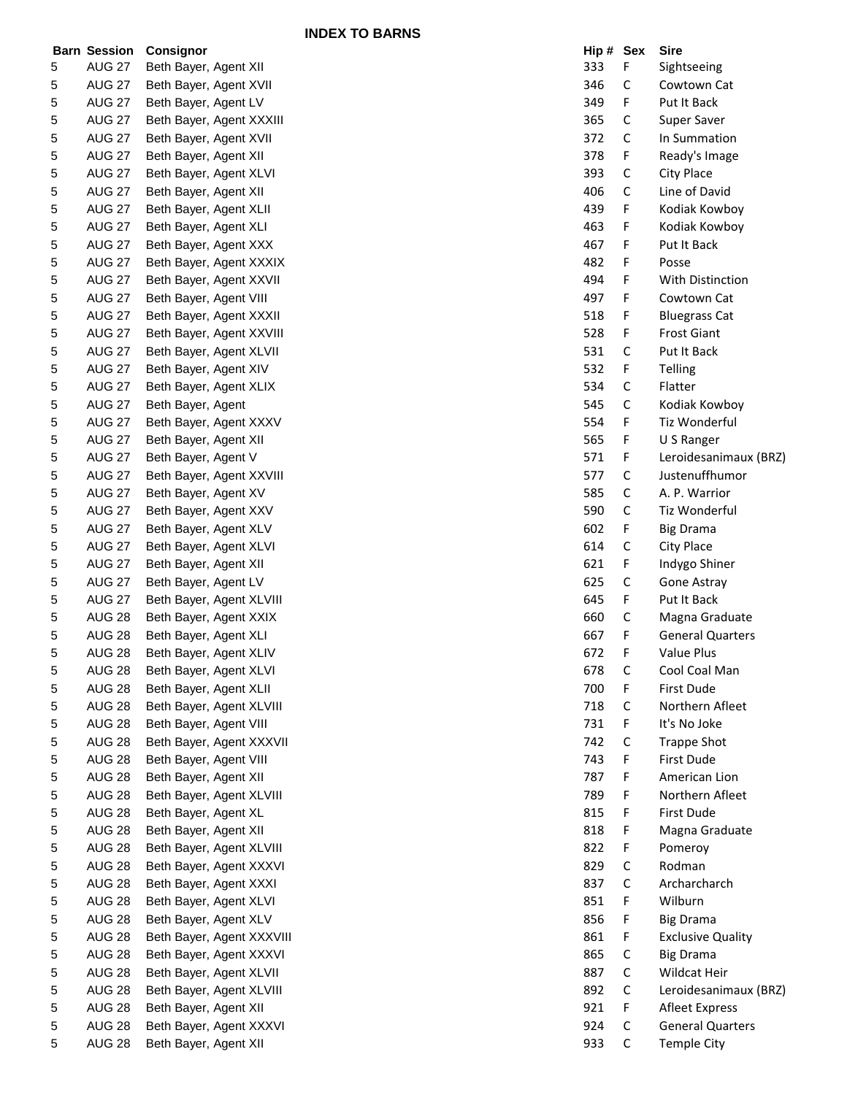**INDEX TO BARNS**

|   | <b>Barn Session</b> | Consignor                 | Hip # Sex |             | <b>Sire</b>              |
|---|---------------------|---------------------------|-----------|-------------|--------------------------|
| 5 | <b>AUG 27</b>       | Beth Bayer, Agent XII     | 333       | F           | Sightseeing              |
| 5 | <b>AUG 27</b>       | Beth Bayer, Agent XVII    | 346       | С           | Cowtown Cat              |
| 5 | <b>AUG 27</b>       | Beth Bayer, Agent LV      | 349       | F.          | Put It Back              |
| 5 | <b>AUG 27</b>       | Beth Bayer, Agent XXXIII  | 365       | C           | Super Saver              |
| 5 | <b>AUG 27</b>       | Beth Bayer, Agent XVII    | 372       | C           | In Summation             |
| 5 | <b>AUG 27</b>       | Beth Bayer, Agent XII     | 378       | F           | Ready's Image            |
| 5 | <b>AUG 27</b>       | Beth Bayer, Agent XLVI    | 393       | C           | City Place               |
| 5 | <b>AUG 27</b>       | Beth Bayer, Agent XII     | 406       | С           | Line of David            |
| 5 | <b>AUG 27</b>       | Beth Bayer, Agent XLII    | 439       | F           | Kodiak Kowboy            |
| 5 | <b>AUG 27</b>       | Beth Bayer, Agent XLI     | 463       | F           | Kodiak Kowboy            |
| 5 | <b>AUG 27</b>       | Beth Bayer, Agent XXX     | 467       | F           | Put It Back              |
| 5 | <b>AUG 27</b>       | Beth Bayer, Agent XXXIX   | 482       | F           | Posse                    |
| 5 | <b>AUG 27</b>       | Beth Bayer, Agent XXVII   | 494       | F           | With Distinction         |
| 5 | <b>AUG 27</b>       | Beth Bayer, Agent VIII    | 497       | F           | Cowtown Cat              |
| 5 | <b>AUG 27</b>       | Beth Bayer, Agent XXXII   | 518       | F           | <b>Bluegrass Cat</b>     |
| 5 | <b>AUG 27</b>       | Beth Bayer, Agent XXVIII  | 528       | F           | <b>Frost Giant</b>       |
| 5 | <b>AUG 27</b>       | Beth Bayer, Agent XLVII   | 531       | С           | Put It Back              |
| 5 | <b>AUG 27</b>       | Beth Bayer, Agent XIV     | 532       | F.          | Telling                  |
| 5 | <b>AUG 27</b>       | Beth Bayer, Agent XLIX    | 534       | С           | Flatter                  |
| 5 | <b>AUG 27</b>       | Beth Bayer, Agent         | 545       | С           | Kodiak Kowboy            |
| 5 | <b>AUG 27</b>       | Beth Bayer, Agent XXXV    | 554       | F           | Tiz Wonderful            |
| 5 | <b>AUG 27</b>       | Beth Bayer, Agent XII     | 565       | F           | U S Ranger               |
| 5 | <b>AUG 27</b>       | Beth Bayer, Agent V       | 571       | F           | Leroidesanimaux (BRZ)    |
| 5 | <b>AUG 27</b>       | Beth Bayer, Agent XXVIII  | 577       | C           | Justenuffhumor           |
| 5 | <b>AUG 27</b>       | Beth Bayer, Agent XV      | 585       | C           | A. P. Warrior            |
| 5 | <b>AUG 27</b>       | Beth Bayer, Agent XXV     | 590       | С           | Tiz Wonderful            |
| 5 | <b>AUG 27</b>       | Beth Bayer, Agent XLV     | 602       | F.          | <b>Big Drama</b>         |
| 5 | <b>AUG 27</b>       | Beth Bayer, Agent XLVI    | 614       | С           | City Place               |
| 5 | <b>AUG 27</b>       | Beth Bayer, Agent XII     | 621       | F           | Indygo Shiner            |
| 5 | <b>AUG 27</b>       | Beth Bayer, Agent LV      | 625       | С           | Gone Astray              |
| 5 | <b>AUG 27</b>       | Beth Bayer, Agent XLVIII  | 645       | F           | Put It Back              |
| 5 | <b>AUG 28</b>       | Beth Bayer, Agent XXIX    | 660       | С           | Magna Graduate           |
| 5 | <b>AUG 28</b>       | Beth Bayer, Agent XLI     | 667       | F           | <b>General Quarters</b>  |
| 5 | <b>AUG 28</b>       | Beth Bayer, Agent XLIV    | 672       | F           | <b>Value Plus</b>        |
| 5 | <b>AUG 28</b>       | Beth Bayer, Agent XLVI    | 678       | C           | Cool Coal Man            |
| 5 | <b>AUG 28</b>       | Beth Bayer, Agent XLII    | 700       | F           | First Dude               |
| 5 | <b>AUG 28</b>       | Beth Bayer, Agent XLVIII  | 718       | С           | Northern Afleet          |
| 5 | <b>AUG 28</b>       | Beth Bayer, Agent VIII    | 731       | F           | It's No Joke             |
| 5 | <b>AUG 28</b>       | Beth Bayer, Agent XXXVII  | 742       | C           | <b>Trappe Shot</b>       |
| 5 | <b>AUG 28</b>       | Beth Bayer, Agent VIII    | 743       | F.          | First Dude               |
| 5 | <b>AUG 28</b>       | Beth Bayer, Agent XII     | 787       | F.          | American Lion            |
| 5 | <b>AUG 28</b>       | Beth Bayer, Agent XLVIII  | 789       | F           | Northern Afleet          |
| 5 | <b>AUG 28</b>       | Beth Bayer, Agent XL      | 815       | F           | First Dude               |
|   | <b>AUG 28</b>       | Beth Bayer, Agent XII     | 818       | F           | Magna Graduate           |
| 5 | <b>AUG 28</b>       | Beth Bayer, Agent XLVIII  | 822       |             | Pomeroy                  |
| 5 |                     |                           | 829       | F           | Rodman                   |
| 5 | <b>AUG 28</b>       | Beth Bayer, Agent XXXVI   |           | C           |                          |
| 5 | <b>AUG 28</b>       | Beth Bayer, Agent XXXI    | 837       | С           | Archarcharch             |
| 5 | <b>AUG 28</b>       | Beth Bayer, Agent XLVI    | 851       | F           | Wilburn                  |
| 5 | <b>AUG 28</b>       | Beth Bayer, Agent XLV     | 856       | F.          | <b>Big Drama</b>         |
| 5 | <b>AUG 28</b>       | Beth Bayer, Agent XXXVIII | 861       | F.          | <b>Exclusive Quality</b> |
| 5 | <b>AUG 28</b>       | Beth Bayer, Agent XXXVI   | 865       | С           | <b>Big Drama</b>         |
| 5 | <b>AUG 28</b>       | Beth Bayer, Agent XLVII   | 887       | С           | Wildcat Heir             |
| 5 | <b>AUG 28</b>       | Beth Bayer, Agent XLVIII  | 892       | С           | Leroidesanimaux (BRZ)    |
| 5 | <b>AUG 28</b>       | Beth Bayer, Agent XII     | 921       | F.          | <b>Afleet Express</b>    |
| 5 | <b>AUG 28</b>       | Beth Bayer, Agent XXXVI   | 924       | C           | <b>General Quarters</b>  |
| 5 | <b>AUG 28</b>       | Beth Bayer, Agent XII     | 933       | $\mathsf C$ | Temple City              |

| Hip # | <b>Sex</b> | Sire                     |
|-------|------------|--------------------------|
| 333   | F          | Sightseeing              |
| 346   | C          | Cowtown Cat              |
| 349   | F          | Put It Back              |
| 365   | C          | <b>Super Saver</b>       |
| 372   | C          | In Summation             |
| 378   | F          | Ready's Image            |
| 393   | C          | <b>City Place</b>        |
| 406   | C          | Line of David            |
| 439   | F          | Kodiak Kowboy            |
| 463   | F          | Kodiak Kowboy            |
| 467   | F          | <b>Put It Back</b>       |
| 482   | F          | Posse                    |
| 494   | F          | <b>With Distinction</b>  |
| 497   | F          | Cowtown Cat              |
| 518   | F          | <b>Bluegrass Cat</b>     |
| 528   | F          | <b>Frost Giant</b>       |
| 531   | C          | Put It Back              |
| 532   | F          | <b>Telling</b>           |
| 534   | C          | Flatter                  |
| 545   | C          | Kodiak Kowboy            |
| 554   | F          | Tiz Wonderful            |
| 565   | F          | U S Ranger               |
| 571   | F          | Leroidesanimaux (BRZ)    |
| 577   | С          | Justenuffhumor           |
|       | C          |                          |
| 585   | C          | A. P. Warrior            |
| 590   |            | Tiz Wonderful            |
| 602   | F          | <b>Big Drama</b>         |
| 614   | C          | City Place               |
| 621   | F          | Indygo Shiner            |
| 625   | C          | Gone Astray              |
| 645   | F          | Put It Back              |
| 660   | C          | Magna Graduate           |
| 667   | F          | <b>General Quarters</b>  |
| 672   | F          | <b>Value Plus</b>        |
| 678   | С          | Cool Coal Man            |
| 700   | F          | First Dude               |
| 718   | C          | Northern Afleet          |
| 731   | F          | It's No Joke             |
| 742   | C          | <b>Trappe Shot</b>       |
| 743   | F          | First Dude               |
| 787   | F          | American Lion            |
| 789   | F          | Northern Afleet          |
| 815   | F          | First Dude               |
| 818   | F          | Magna Graduate           |
| 822   | F          | Pomeroy                  |
| 829   | С          | Rodman                   |
| 837   | C          | Archarcharch             |
| 851   | F          | Wilburn                  |
| 856   | F          | <b>Big Drama</b>         |
| 861   | F          | <b>Exclusive Quality</b> |
| 865   | C          | <b>Big Drama</b>         |
| 887   | C          | Wildcat Heir             |
| 892   | C          | Leroidesanimaux (BRZ)    |
| 921   | F          | <b>Afleet Express</b>    |
| 924   | C          | <b>General Quarters</b>  |
| 933   | C          | Temple City              |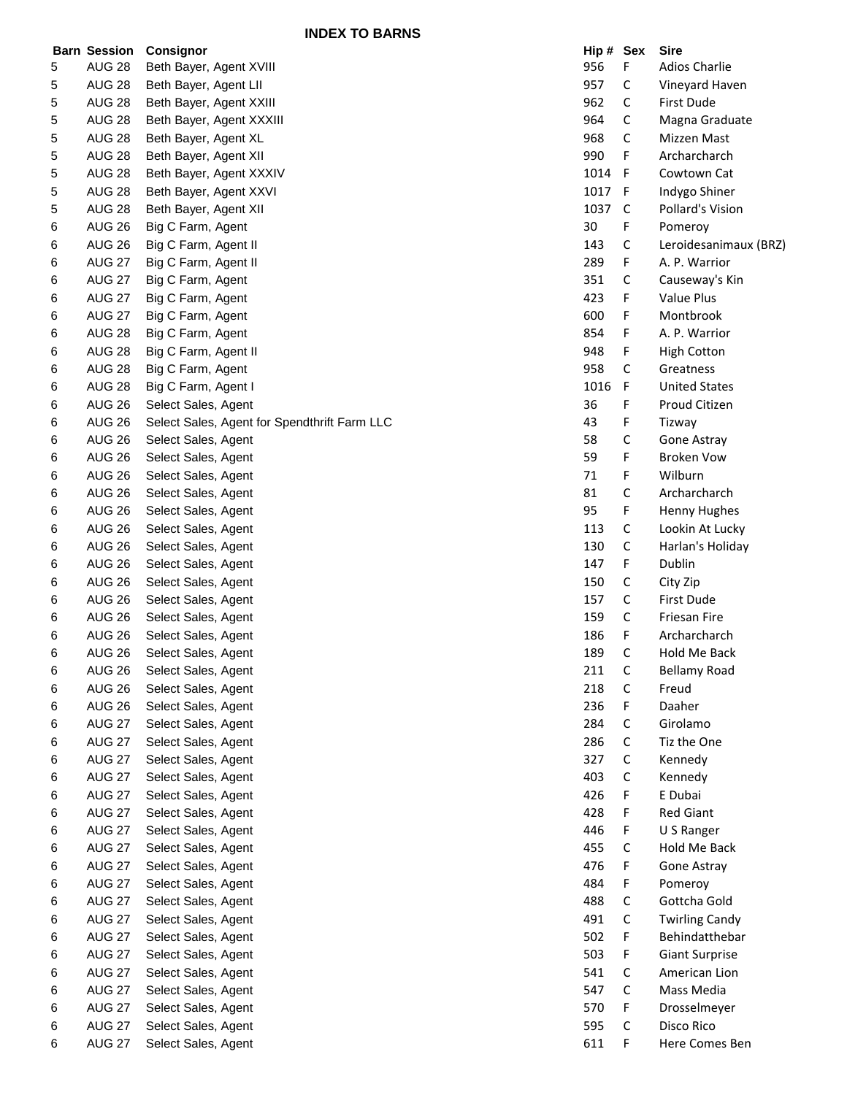**INDEX TO BARNS**

|   | <b>Barn Session</b> | Consignor                                    | Hip # Sex |              | <b>Sire</b>           |
|---|---------------------|----------------------------------------------|-----------|--------------|-----------------------|
| 5 | <b>AUG 28</b>       | Beth Bayer, Agent XVIII                      | 956       | F            | <b>Adios Charlie</b>  |
| 5 | <b>AUG 28</b>       | Beth Bayer, Agent LII                        | 957       | C            | Vineyard Haven        |
| 5 | <b>AUG 28</b>       | Beth Bayer, Agent XXIII                      | 962       | С            | First Dude            |
| 5 | <b>AUG 28</b>       | Beth Bayer, Agent XXXIII                     | 964       | С            | Magna Graduate        |
| 5 | <b>AUG 28</b>       | Beth Bayer, Agent XL                         | 968       | C            | Mizzen Mast           |
| 5 | <b>AUG 28</b>       | Beth Bayer, Agent XII                        | 990       | F            | Archarcharch          |
| 5 | <b>AUG 28</b>       | Beth Bayer, Agent XXXIV                      | 1014      | $\mathsf{F}$ | Cowtown Cat           |
| 5 | <b>AUG 28</b>       | Beth Bayer, Agent XXVI                       | 1017      | -F           | Indygo Shiner         |
| 5 | <b>AUG 28</b>       | Beth Bayer, Agent XII                        | 1037      | C            | Pollard's Vision      |
| 6 | <b>AUG 26</b>       | Big C Farm, Agent                            | 30        | F            | Pomeroy               |
| 6 | <b>AUG 26</b>       | Big C Farm, Agent II                         | 143       | С            | Leroidesanimaux (BRZ) |
| 6 | <b>AUG 27</b>       | Big C Farm, Agent II                         | 289       | F            | A. P. Warrior         |
| 6 | <b>AUG 27</b>       | Big C Farm, Agent                            | 351       | C            | Causeway's Kin        |
| 6 | <b>AUG 27</b>       | Big C Farm, Agent                            | 423       | F            | Value Plus            |
| 6 | <b>AUG 27</b>       | Big C Farm, Agent                            | 600       | F.           | Montbrook             |
| 6 | <b>AUG 28</b>       | Big C Farm, Agent                            | 854       | F.           | A. P. Warrior         |
| 6 | <b>AUG 28</b>       | Big C Farm, Agent II                         | 948       | F            | <b>High Cotton</b>    |
| 6 | <b>AUG 28</b>       | Big C Farm, Agent                            | 958       | С            | Greatness             |
| 6 | <b>AUG 28</b>       | Big C Farm, Agent I                          | 1016      | F            | <b>United States</b>  |
| 6 | <b>AUG 26</b>       | Select Sales, Agent                          | 36        | F            | Proud Citizen         |
| 6 | <b>AUG 26</b>       | Select Sales, Agent for Spendthrift Farm LLC | 43        | F            | Tizway                |
| 6 | <b>AUG 26</b>       | Select Sales, Agent                          | 58        | С            | Gone Astray           |
| 6 | <b>AUG 26</b>       | Select Sales, Agent                          | 59        | F            | <b>Broken Vow</b>     |
| 6 | <b>AUG 26</b>       | Select Sales, Agent                          | 71        | F            | Wilburn               |
| 6 | <b>AUG 26</b>       | Select Sales, Agent                          | 81        | С            | Archarcharch          |
| 6 | <b>AUG 26</b>       | Select Sales, Agent                          | 95        | F            | Henny Hughes          |
| 6 | <b>AUG 26</b>       | Select Sales, Agent                          | 113       | С            | Lookin At Lucky       |
| 6 | <b>AUG 26</b>       | Select Sales, Agent                          | 130       | С            | Harlan's Holiday      |
| 6 | <b>AUG 26</b>       | Select Sales, Agent                          | 147       | F            | Dublin                |
| 6 | <b>AUG 26</b>       | Select Sales, Agent                          | 150       | C            | City Zip              |
| 6 | <b>AUG 26</b>       | Select Sales, Agent                          | 157       | С            | First Dude            |
| 6 | <b>AUG 26</b>       | Select Sales, Agent                          | 159       | С            | Friesan Fire          |
| 6 | <b>AUG 26</b>       | Select Sales, Agent                          | 186       | F            | Archarcharch          |
| 6 | <b>AUG 26</b>       | Select Sales, Agent                          | 189       | С            | Hold Me Back          |
| 6 | <b>AUG 26</b>       | Select Sales, Agent                          | 211       | C            | <b>Bellamy Road</b>   |
| 6 | <b>AUG 26</b>       | Select Sales, Agent                          | 218       | С            | Freud                 |
| 6 | <b>AUG 26</b>       | Select Sales, Agent                          | 236       | F            | Daaher                |
| 6 | <b>AUG 27</b>       | Select Sales, Agent                          | 284       | С            | Girolamo              |
| 6 | <b>AUG 27</b>       | Select Sales, Agent                          | 286       | С            | Tiz the One           |
| 6 | <b>AUG 27</b>       | Select Sales, Agent                          | 327       | С            | Kennedy               |
| 6 | <b>AUG 27</b>       | Select Sales, Agent                          | 403       | C            | Kennedy               |
| 6 | <b>AUG 27</b>       | Select Sales, Agent                          | 426       | F            | E Dubai               |
| 6 | <b>AUG 27</b>       | Select Sales, Agent                          | 428       | F            | <b>Red Giant</b>      |
| 6 | <b>AUG 27</b>       | Select Sales, Agent                          | 446       | F            | U S Ranger            |
| 6 | <b>AUG 27</b>       | Select Sales, Agent                          | 455       | C            | Hold Me Back          |
| 6 | <b>AUG 27</b>       | Select Sales, Agent                          | 476       | F            | Gone Astray           |
| 6 | <b>AUG 27</b>       | Select Sales, Agent                          | 484       | F            | Pomeroy               |
| 6 | <b>AUG 27</b>       | Select Sales, Agent                          | 488       | C            | Gottcha Gold          |
| 6 | <b>AUG 27</b>       | Select Sales, Agent                          | 491       | C            | <b>Twirling Candy</b> |
| 6 | <b>AUG 27</b>       | Select Sales, Agent                          | 502       | F            | Behindatthebar        |
|   | <b>AUG 27</b>       |                                              | 503       | F            | <b>Giant Surprise</b> |
| 6 | <b>AUG 27</b>       | Select Sales, Agent<br>Select Sales, Agent   | 541       | C            | American Lion         |
| 6 | <b>AUG 27</b>       | Select Sales, Agent                          | 547       | С            | Mass Media            |
| 6 | <b>AUG 27</b>       |                                              | 570       | F            | Drosselmeyer          |
| 6 | <b>AUG 27</b>       | Select Sales, Agent                          | 595       | C            | Disco Rico            |
| 6 |                     | Select Sales, Agent                          |           |              |                       |
| 6 | <b>AUG 27</b>       | Select Sales, Agent                          | 611       | F            | Here Comes Ben        |

| Hip #    | Sex | Sire                    |
|----------|-----|-------------------------|
| 956      | F   | <b>Adios Charlie</b>    |
| 957      | C   | Vineyard Haven          |
| 962      | C   | First Dude              |
| 964      | C   |                         |
|          |     | Magna Graduate          |
| 968      | C   | Mizzen Mast             |
| 990      | F   | Archarcharch            |
| 1014     | F   | Cowtown Cat             |
| 1017     | F   | Indygo Shiner           |
| 1037     | C   | <b>Pollard's Vision</b> |
| 30       | F   | Pomeroy                 |
| 143      | C   | Leroidesanimaux (BRZ    |
| 289      | F   | A. P. Warrior           |
| 351      | C   | Causeway's Kin          |
| 423      | F   | Value Plus              |
| 600      | F   | Montbrook               |
| 854      | F   | A. P. Warrior           |
| 948      | F   | <b>High Cotton</b>      |
| 958      | C   | Greatness               |
| 1016     | F   | <b>United States</b>    |
| 36       | F   | Proud Citizen           |
| 43       | F   | Tizway                  |
| 58       | C   | <b>Gone Astray</b>      |
|          | F   |                         |
| 59<br>71 | F   | Broken Vow<br>Wilburn   |
|          |     | Archarcharch            |
| 81       | c   |                         |
| 95       | F   | <b>Henny Hughes</b>     |
| 113      | c   | Lookin At Lucky         |
| 130      | Ċ   | Harlan's Holiday        |
| 147      | F   | Dublin                  |
| 150      | c   | City Zip                |
| 157      | С   | First Dude              |
| 159      | Ċ   | Friesan Fire            |
| 186      | F   | Archarcharch            |
| 189      | C   | <b>Hold Me Back</b>     |
| 211      | С   | Bellamy Road            |
| 218      | Ć   | Freud                   |
| 236      | F   | Daaher                  |
| 284      | C   | Girolamo                |
| 286      | C   | Tiz the One             |
| 327      | C   | Kennedy                 |
| 403      | Ċ   | Kennedy                 |
| 426      | F   | E Dubai                 |
| 428      | F   | <b>Red Giant</b>        |
| 446      | F   | U S Ranger              |
| 455      | C   | Hold Me Back            |
| 476      | F   | Gone Astray             |
| 484      | F   | Pomeroy                 |
| 488      | с   | Gottcha Gold            |
| 491      | C   | <b>Twirling Candy</b>   |
| 502      | F   | Behindatthebar          |
| 503      | F   | <b>Giant Surprise</b>   |
| 541      | C   | American Lion           |
| 547      | C   | Mass Media              |
| 570      | F   | Drosselmeyer            |
| 595      | C   | Disco Rico              |
| 611      | F   | Here Comes Ben          |
|          |     |                         |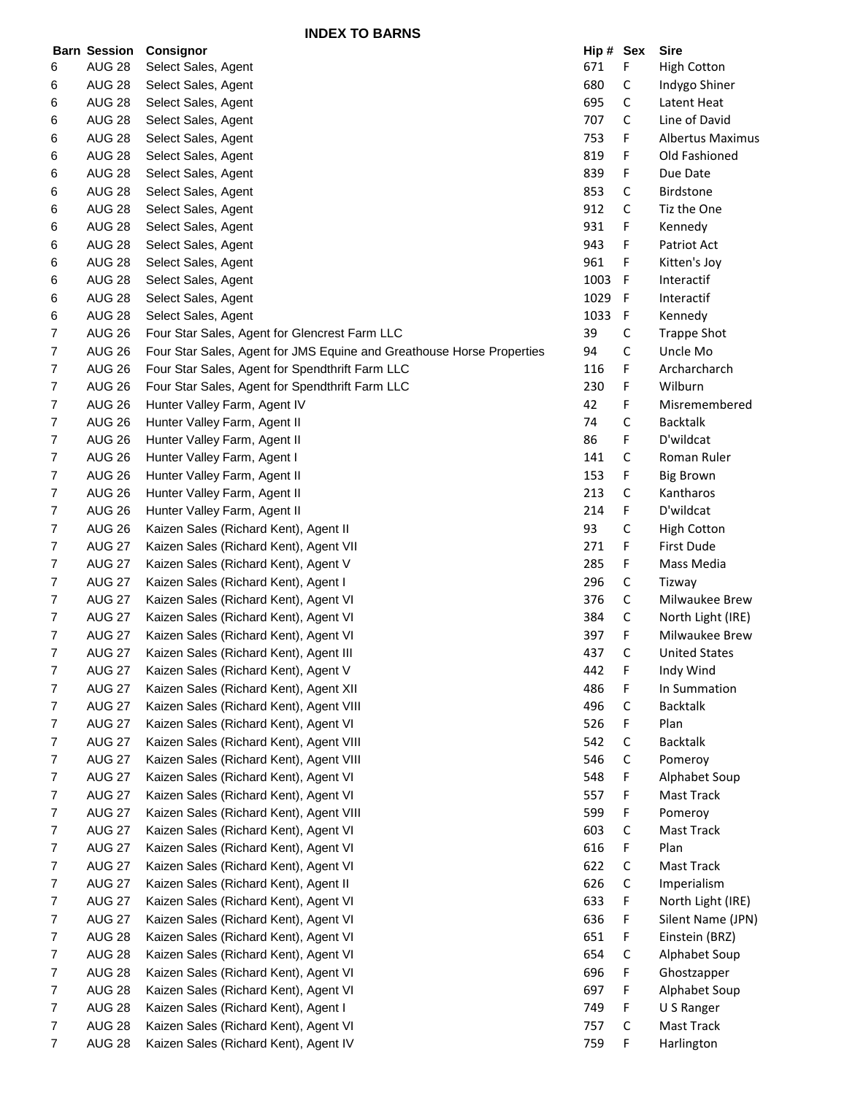**INDEX TO BARNS**

|                | <b>Barn Session</b> | Consignor                                                             | Hip # Sex |   | <b>Sire</b>             |
|----------------|---------------------|-----------------------------------------------------------------------|-----------|---|-------------------------|
| 6              | <b>AUG 28</b>       | Select Sales, Agent                                                   | 671       | F | <b>High Cotton</b>      |
| 6              | <b>AUG 28</b>       | Select Sales, Agent                                                   | 680       | С | Indygo Shiner           |
| 6              | <b>AUG 28</b>       | Select Sales, Agent                                                   | 695       | С | Latent Heat             |
| 6              | <b>AUG 28</b>       | Select Sales, Agent                                                   | 707       | С | Line of David           |
| 6              | <b>AUG 28</b>       | Select Sales, Agent                                                   | 753       | F | <b>Albertus Maximus</b> |
| 6              | <b>AUG 28</b>       | Select Sales, Agent                                                   | 819       | F | Old Fashioned           |
| 6              | <b>AUG 28</b>       | Select Sales, Agent                                                   | 839       | F | Due Date                |
| 6              | <b>AUG 28</b>       | Select Sales, Agent                                                   | 853       | C | <b>Birdstone</b>        |
| 6              | <b>AUG 28</b>       | Select Sales, Agent                                                   | 912       | C | Tiz the One             |
| 6              | <b>AUG 28</b>       | Select Sales, Agent                                                   | 931       | F | Kennedy                 |
| 6              | <b>AUG 28</b>       | Select Sales, Agent                                                   | 943       | F | Patriot Act             |
| 6              | <b>AUG 28</b>       | Select Sales, Agent                                                   | 961       | F | Kitten's Joy            |
| 6              | <b>AUG 28</b>       | Select Sales, Agent                                                   | 1003      | F | Interactif              |
| 6              | <b>AUG 28</b>       | Select Sales, Agent                                                   | 1029      | F | Interactif              |
| 6              | <b>AUG 28</b>       | Select Sales, Agent                                                   | 1033      | F | Kennedy                 |
| 7              | <b>AUG 26</b>       | Four Star Sales, Agent for Glencrest Farm LLC                         | 39        | С | <b>Trappe Shot</b>      |
| 7              | <b>AUG 26</b>       | Four Star Sales, Agent for JMS Equine and Greathouse Horse Properties | 94        | С | Uncle Mo                |
| 7              | <b>AUG 26</b>       | Four Star Sales, Agent for Spendthrift Farm LLC                       | 116       | F | Archarcharch            |
| 7              | <b>AUG 26</b>       | Four Star Sales, Agent for Spendthrift Farm LLC                       | 230       | F | Wilburn                 |
| 7              | <b>AUG 26</b>       | Hunter Valley Farm, Agent IV                                          | 42        | F | Misremembered           |
| 7              | <b>AUG 26</b>       | Hunter Valley Farm, Agent II                                          | 74        | С | <b>Backtalk</b>         |
| 7              | <b>AUG 26</b>       | Hunter Valley Farm, Agent II                                          | 86        | F | D'wildcat               |
| 7              | <b>AUG 26</b>       | Hunter Valley Farm, Agent I                                           | 141       | C | Roman Ruler             |
| $\overline{7}$ | <b>AUG 26</b>       | Hunter Valley Farm, Agent II                                          | 153       | F | <b>Big Brown</b>        |
| 7              | <b>AUG 26</b>       | Hunter Valley Farm, Agent II                                          | 213       | С | Kantharos               |
| 7              | <b>AUG 26</b>       | Hunter Valley Farm, Agent II                                          | 214       | F | D'wildcat               |
| 7              | <b>AUG 26</b>       | Kaizen Sales (Richard Kent), Agent II                                 | 93        | С | <b>High Cotton</b>      |
| 7              | <b>AUG 27</b>       | Kaizen Sales (Richard Kent), Agent VII                                | 271       | F | <b>First Dude</b>       |
| 7              | <b>AUG 27</b>       | Kaizen Sales (Richard Kent), Agent V                                  | 285       | F | Mass Media              |
| 7              | <b>AUG 27</b>       | Kaizen Sales (Richard Kent), Agent I                                  | 296       | С | Tizway                  |
| 7              | <b>AUG 27</b>       | Kaizen Sales (Richard Kent), Agent VI                                 | 376       | С | Milwaukee Brew          |
| 7              | <b>AUG 27</b>       | Kaizen Sales (Richard Kent), Agent VI                                 | 384       | С | North Light (IRE)       |
| $\overline{7}$ | <b>AUG 27</b>       | Kaizen Sales (Richard Kent), Agent VI                                 | 397       | F | Milwaukee Brew          |
| 7              | <b>AUG 27</b>       | Kaizen Sales (Richard Kent), Agent III                                | 437       | С | <b>United States</b>    |
| $\overline{7}$ | <b>AUG 27</b>       | Kaizen Sales (Richard Kent), Agent V                                  | 442       | F | Indy Wind               |
| 7              | <b>AUG 27</b>       | Kaizen Sales (Richard Kent), Agent XII                                | 486       | F | In Summation            |
| 7              | <b>AUG 27</b>       | Kaizen Sales (Richard Kent), Agent VIII                               | 496       | С | <b>Backtalk</b>         |
| 7              | <b>AUG 27</b>       | Kaizen Sales (Richard Kent), Agent VI                                 | 526       | F | Plan                    |
| 7              | <b>AUG 27</b>       | Kaizen Sales (Richard Kent), Agent VIII                               | 542       | С | <b>Backtalk</b>         |
| 7              | <b>AUG 27</b>       | Kaizen Sales (Richard Kent), Agent VIII                               | 546       | С | Pomeroy                 |
| 7              | <b>AUG 27</b>       | Kaizen Sales (Richard Kent), Agent VI                                 | 548       | F | Alphabet Soup           |
| 7              | <b>AUG 27</b>       | Kaizen Sales (Richard Kent), Agent VI                                 | 557       | F | Mast Track              |
| 7              | <b>AUG 27</b>       | Kaizen Sales (Richard Kent), Agent VIII                               | 599       | F | Pomeroy                 |
| 7              | <b>AUG 27</b>       | Kaizen Sales (Richard Kent), Agent VI                                 | 603       | C | Mast Track              |
| 7              | <b>AUG 27</b>       | Kaizen Sales (Richard Kent), Agent VI                                 | 616       | F | Plan                    |
| 7              | <b>AUG 27</b>       | Kaizen Sales (Richard Kent), Agent VI                                 | 622       | С | Mast Track              |
| $\overline{7}$ | <b>AUG 27</b>       | Kaizen Sales (Richard Kent), Agent II                                 | 626       | C | Imperialism             |
| 7              | <b>AUG 27</b>       | Kaizen Sales (Richard Kent), Agent VI                                 | 633       | F | North Light (IRE)       |
| 7              | <b>AUG 27</b>       | Kaizen Sales (Richard Kent), Agent VI                                 | 636       | F | Silent Name (JPN)       |
| 7              | <b>AUG 28</b>       | Kaizen Sales (Richard Kent), Agent VI                                 | 651       | F | Einstein (BRZ)          |
| 7              | <b>AUG 28</b>       | Kaizen Sales (Richard Kent), Agent VI                                 | 654       | С | Alphabet Soup           |
| 7              | <b>AUG 28</b>       | Kaizen Sales (Richard Kent), Agent VI                                 | 696       | F | Ghostzapper             |
| 7              | <b>AUG 28</b>       | Kaizen Sales (Richard Kent), Agent VI                                 | 697       | F | Alphabet Soup           |
| 7              | <b>AUG 28</b>       | Kaizen Sales (Richard Kent), Agent I                                  | 749       | F | U S Ranger              |
| 7              | <b>AUG 28</b>       | Kaizen Sales (Richard Kent), Agent VI                                 | 757       | C | Mast Track              |
| $\overline{7}$ | <b>AUG 28</b>       | Kaizen Sales (Richard Kent), Agent IV                                 | 759       | F | Harlington              |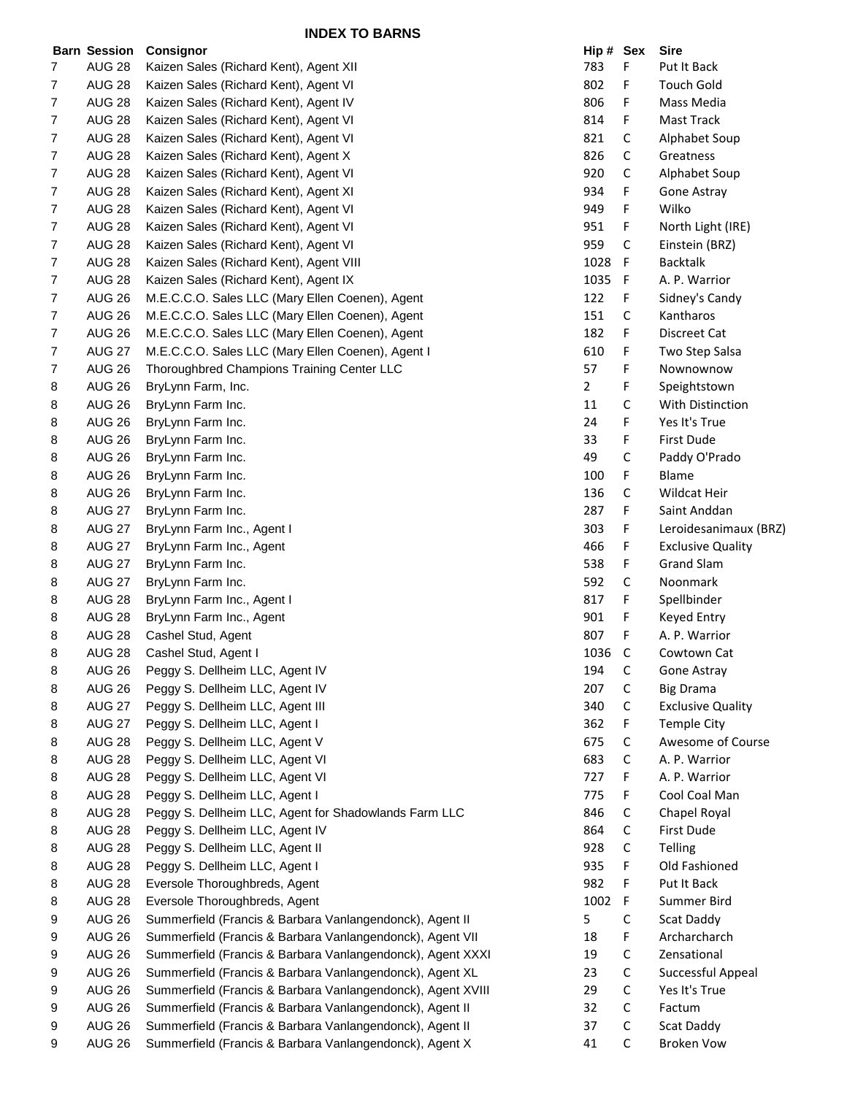|                  | <b>Barn Session</b> | Consignor                                                   | Hip # Sex      |              | <b>Sire</b>                 |
|------------------|---------------------|-------------------------------------------------------------|----------------|--------------|-----------------------------|
| 7                | <b>AUG 28</b>       | Kaizen Sales (Richard Kent), Agent XII                      | 783            | F            | Put It Back                 |
| $\overline{7}$   | <b>AUG 28</b>       | Kaizen Sales (Richard Kent), Agent VI                       | 802            | F            | <b>Touch Gold</b>           |
| $\overline{7}$   | <b>AUG 28</b>       | Kaizen Sales (Richard Kent), Agent IV                       | 806            | F            | Mass Media                  |
| $\overline{7}$   | <b>AUG 28</b>       | Kaizen Sales (Richard Kent), Agent VI                       | 814            | F            | Mast Track                  |
| 7                | <b>AUG 28</b>       | Kaizen Sales (Richard Kent), Agent VI                       | 821            | C            | Alphabet Soup               |
| 7                | <b>AUG 28</b>       | Kaizen Sales (Richard Kent), Agent X                        | 826            | $\mathsf C$  | Greatness                   |
| $\overline{7}$   | <b>AUG 28</b>       | Kaizen Sales (Richard Kent), Agent VI                       | 920            | C            | Alphabet Soup               |
| $\overline{7}$   | <b>AUG 28</b>       | Kaizen Sales (Richard Kent), Agent XI                       | 934            | F            | Gone Astray                 |
| 7                | <b>AUG 28</b>       | Kaizen Sales (Richard Kent), Agent VI                       | 949            | F            | Wilko                       |
| $\overline{7}$   | <b>AUG 28</b>       | Kaizen Sales (Richard Kent), Agent VI                       | 951            | F            | North Light (IRE)           |
| $\overline{7}$   | <b>AUG 28</b>       | Kaizen Sales (Richard Kent), Agent VI                       | 959            | C            | Einstein (BRZ)              |
| $\overline{7}$   | <b>AUG 28</b>       | Kaizen Sales (Richard Kent), Agent VIII                     | 1028           | F            | <b>Backtalk</b>             |
| 7                | <b>AUG 28</b>       | Kaizen Sales (Richard Kent), Agent IX                       | 1035           | F            | A. P. Warrior               |
| $\overline{7}$   | <b>AUG 26</b>       | M.E.C.C.O. Sales LLC (Mary Ellen Coenen), Agent             | 122            | F            |                             |
| $\boldsymbol{7}$ |                     |                                                             | 151            |              | Sidney's Candy<br>Kantharos |
|                  | <b>AUG 26</b>       | M.E.C.C.O. Sales LLC (Mary Ellen Coenen), Agent             |                | C            |                             |
| 7                | <b>AUG 26</b>       | M.E.C.C.O. Sales LLC (Mary Ellen Coenen), Agent             | 182            | F            | Discreet Cat                |
| $\overline{7}$   | <b>AUG 27</b>       | M.E.C.C.O. Sales LLC (Mary Ellen Coenen), Agent I           | 610            | F            | Two Step Salsa              |
| 7                | <b>AUG 26</b>       | Thoroughbred Champions Training Center LLC                  | 57             | F            | Nownownow                   |
| 8                | <b>AUG 26</b>       | BryLynn Farm, Inc.                                          | $\overline{2}$ | F            | Speightstown                |
| 8                | <b>AUG 26</b>       | BryLynn Farm Inc.                                           | 11             | C            | With Distinction            |
| 8                | AUG 26              | BryLynn Farm Inc.                                           | 24             | F            | Yes It's True               |
| 8                | <b>AUG 26</b>       | BryLynn Farm Inc.                                           | 33             | F            | First Dude                  |
| 8                | <b>AUG 26</b>       | BryLynn Farm Inc.                                           | 49             | С            | Paddy O'Prado               |
| 8                | <b>AUG 26</b>       | BryLynn Farm Inc.                                           | 100            | F            | Blame                       |
| 8                | <b>AUG 26</b>       | BryLynn Farm Inc.                                           | 136            | C            | Wildcat Heir                |
| 8                | <b>AUG 27</b>       | BryLynn Farm Inc.                                           | 287            | F            | Saint Anddan                |
| 8                | <b>AUG 27</b>       | BryLynn Farm Inc., Agent I                                  | 303            | F            | Leroidesanimaux (BRZ)       |
| 8                | <b>AUG 27</b>       | BryLynn Farm Inc., Agent                                    | 466            | F            | <b>Exclusive Quality</b>    |
| 8                | <b>AUG 27</b>       | BryLynn Farm Inc.                                           | 538            | F            | <b>Grand Slam</b>           |
| 8                | <b>AUG 27</b>       | BryLynn Farm Inc.                                           | 592            | $\mathsf C$  | Noonmark                    |
| 8                | <b>AUG 28</b>       | BryLynn Farm Inc., Agent I                                  | 817            | F.           | Spellbinder                 |
| 8                | <b>AUG 28</b>       | BryLynn Farm Inc., Agent                                    | 901            | F            | <b>Keyed Entry</b>          |
| 8                | <b>AUG 28</b>       | Cashel Stud, Agent                                          | 807            | F            | A. P. Warrior               |
| 8                | <b>AUG 28</b>       | Cashel Stud, Agent I                                        | 1036           | $\mathsf{C}$ | Cowtown Cat                 |
| 8                | <b>AUG 26</b>       | Peggy S. Dellheim LLC, Agent IV                             | 194            | C            | Gone Astray                 |
| 8                | <b>AUG 26</b>       | Peggy S. Dellheim LLC, Agent IV                             | 207            | C            | <b>Big Drama</b>            |
| 8                | <b>AUG 27</b>       | Peggy S. Dellheim LLC, Agent III                            | 340            | С            | <b>Exclusive Quality</b>    |
| 8                | <b>AUG 27</b>       | Peggy S. Dellheim LLC, Agent I                              | 362            | F            | <b>Temple City</b>          |
| 8                | <b>AUG 28</b>       | Peggy S. Dellheim LLC, Agent V                              | 675            | C            | Awesome of Course           |
| 8                | <b>AUG 28</b>       | Peggy S. Dellheim LLC, Agent VI                             | 683            | C            | A. P. Warrior               |
| 8                | <b>AUG 28</b>       | Peggy S. Dellheim LLC, Agent VI                             | 727            | F            | A. P. Warrior               |
| 8                | <b>AUG 28</b>       | Peggy S. Dellheim LLC, Agent I                              | 775            | F            | Cool Coal Man               |
| 8                | <b>AUG 28</b>       | Peggy S. Dellheim LLC, Agent for Shadowlands Farm LLC       | 846            | C            | Chapel Royal                |
| 8                | <b>AUG 28</b>       | Peggy S. Dellheim LLC, Agent IV                             | 864            | C            | First Dude                  |
| 8                | <b>AUG 28</b>       | Peggy S. Dellheim LLC, Agent II                             | 928            | C            | Telling                     |
| 8                | <b>AUG 28</b>       | Peggy S. Dellheim LLC, Agent I                              | 935            | F            | Old Fashioned               |
| 8                | <b>AUG 28</b>       | Eversole Thoroughbreds, Agent                               | 982            | F            | Put It Back                 |
| 8                | <b>AUG 28</b>       | Eversole Thoroughbreds, Agent                               | 1002           | F            | Summer Bird                 |
| 9                | <b>AUG 26</b>       | Summerfield (Francis & Barbara Vanlangendonck), Agent II    | 5              | $\mathsf{C}$ | Scat Daddy                  |
| 9                | <b>AUG 26</b>       | Summerfield (Francis & Barbara Vanlangendonck), Agent VII   | 18             | F            | Archarcharch                |
| 9                | <b>AUG 26</b>       | Summerfield (Francis & Barbara Vanlangendonck), Agent XXXI  | 19             | C            | Zensational                 |
| 9                | <b>AUG 26</b>       | Summerfield (Francis & Barbara Vanlangendonck), Agent XL    | 23             | C            | Successful Appeal           |
| 9                | <b>AUG 26</b>       | Summerfield (Francis & Barbara Vanlangendonck), Agent XVIII | 29             | C            | Yes It's True               |
| 9                | <b>AUG 26</b>       | Summerfield (Francis & Barbara Vanlangendonck), Agent II    | 32             | C            | Factum                      |
| 9                | <b>AUG 26</b>       | Summerfield (Francis & Barbara Vanlangendonck), Agent II    | 37             | $\mathsf C$  | Scat Daddy                  |
| 9                | <b>AUG 26</b>       | Summerfield (Francis & Barbara Vanlangendonck), Agent X     | 41             | C            | <b>Broken Vow</b>           |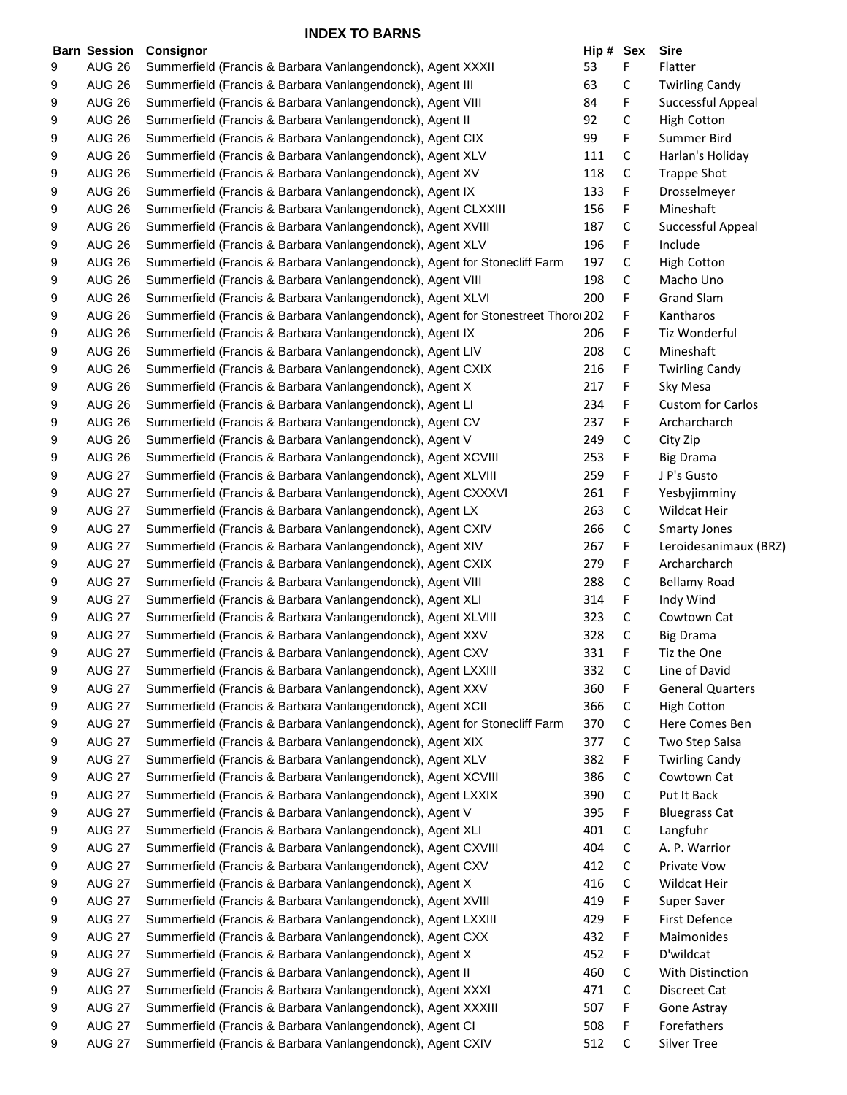|   | <b>Barn Session</b> | Consignor                                                                       | Hip # Sex |   | <b>Sire</b>              |
|---|---------------------|---------------------------------------------------------------------------------|-----------|---|--------------------------|
| 9 | <b>AUG 26</b>       | Summerfield (Francis & Barbara Vanlangendonck), Agent XXXII                     | 53        | F | Flatter                  |
| 9 | <b>AUG 26</b>       | Summerfield (Francis & Barbara Vanlangendonck), Agent III                       | 63        | С | <b>Twirling Candy</b>    |
| 9 | <b>AUG 26</b>       | Summerfield (Francis & Barbara Vanlangendonck), Agent VIII                      | 84        | F | Successful Appeal        |
| 9 | <b>AUG 26</b>       | Summerfield (Francis & Barbara Vanlangendonck), Agent II                        | 92        | С | <b>High Cotton</b>       |
| 9 | <b>AUG 26</b>       | Summerfield (Francis & Barbara Vanlangendonck), Agent CIX                       | 99        | F | Summer Bird              |
| 9 | <b>AUG 26</b>       | Summerfield (Francis & Barbara Vanlangendonck), Agent XLV                       | 111       | С | Harlan's Holiday         |
| 9 | <b>AUG 26</b>       | Summerfield (Francis & Barbara Vanlangendonck), Agent XV                        | 118       | С | <b>Trappe Shot</b>       |
| 9 | <b>AUG 26</b>       | Summerfield (Francis & Barbara Vanlangendonck), Agent IX                        | 133       | F | Drosselmeyer             |
| 9 | <b>AUG 26</b>       | Summerfield (Francis & Barbara Vanlangendonck), Agent CLXXIII                   | 156       | F | Mineshaft                |
| 9 | <b>AUG 26</b>       | Summerfield (Francis & Barbara Vanlangendonck), Agent XVIII                     | 187       | С | Successful Appeal        |
| 9 | <b>AUG 26</b>       | Summerfield (Francis & Barbara Vanlangendonck), Agent XLV                       | 196       | F | Include                  |
| 9 | <b>AUG 26</b>       | Summerfield (Francis & Barbara Vanlangendonck), Agent for Stonecliff Farm       | 197       | C | <b>High Cotton</b>       |
| 9 | <b>AUG 26</b>       | Summerfield (Francis & Barbara Vanlangendonck), Agent VIII                      | 198       | С | Macho Uno                |
| 9 | <b>AUG 26</b>       | Summerfield (Francis & Barbara Vanlangendonck), Agent XLVI                      | 200       | F | <b>Grand Slam</b>        |
| 9 | <b>AUG 26</b>       | Summerfield (Francis & Barbara Vanlangendonck), Agent for Stonestreet Thoro 202 |           | F | Kantharos                |
| 9 | <b>AUG 26</b>       | Summerfield (Francis & Barbara Vanlangendonck), Agent IX                        | 206       | F | Tiz Wonderful            |
| 9 | <b>AUG 26</b>       | Summerfield (Francis & Barbara Vanlangendonck), Agent LIV                       | 208       | С | Mineshaft                |
| 9 | <b>AUG 26</b>       | Summerfield (Francis & Barbara Vanlangendonck), Agent CXIX                      | 216       | F | <b>Twirling Candy</b>    |
| 9 | <b>AUG 26</b>       | Summerfield (Francis & Barbara Vanlangendonck), Agent X                         | 217       | F | Sky Mesa                 |
| 9 | <b>AUG 26</b>       | Summerfield (Francis & Barbara Vanlangendonck), Agent LI                        | 234       | F | <b>Custom for Carlos</b> |
| 9 | <b>AUG 26</b>       | Summerfield (Francis & Barbara Vanlangendonck), Agent CV                        | 237       | F | Archarcharch             |
| 9 | <b>AUG 26</b>       | Summerfield (Francis & Barbara Vanlangendonck), Agent V                         | 249       | С | City Zip                 |
| 9 | <b>AUG 26</b>       | Summerfield (Francis & Barbara Vanlangendonck), Agent XCVIII                    | 253       | F | <b>Big Drama</b>         |
| 9 | <b>AUG 27</b>       | Summerfield (Francis & Barbara Vanlangendonck), Agent XLVIII                    | 259       | F | J P's Gusto              |
|   | <b>AUG 27</b>       |                                                                                 | 261       | F |                          |
| 9 | <b>AUG 27</b>       | Summerfield (Francis & Barbara Vanlangendonck), Agent CXXXVI                    | 263       | С | Yesbyjimminy             |
| 9 |                     | Summerfield (Francis & Barbara Vanlangendonck), Agent LX                        |           |   | Wildcat Heir             |
| 9 | <b>AUG 27</b>       | Summerfield (Francis & Barbara Vanlangendonck), Agent CXIV                      | 266       | С | <b>Smarty Jones</b>      |
| 9 | <b>AUG 27</b>       | Summerfield (Francis & Barbara Vanlangendonck), Agent XIV                       | 267       | F | Leroidesanimaux (BRZ)    |
| 9 | <b>AUG 27</b>       | Summerfield (Francis & Barbara Vanlangendonck), Agent CXIX                      | 279       | F | Archarcharch             |
| 9 | <b>AUG 27</b>       | Summerfield (Francis & Barbara Vanlangendonck), Agent VIII                      | 288       | С | <b>Bellamy Road</b>      |
| 9 | <b>AUG 27</b>       | Summerfield (Francis & Barbara Vanlangendonck), Agent XLI                       | 314       | F | Indy Wind                |
| 9 | <b>AUG 27</b>       | Summerfield (Francis & Barbara Vanlangendonck), Agent XLVIII                    | 323       | C | Cowtown Cat              |
| 9 | <b>AUG 27</b>       | Summerfield (Francis & Barbara Vanlangendonck), Agent XXV                       | 328       | C | <b>Big Drama</b>         |
| 9 | <b>AUG 27</b>       | Summerfield (Francis & Barbara Vanlangendonck), Agent CXV                       | 331       | F | Tiz the One              |
| 9 | <b>AUG 27</b>       | Summerfield (Francis & Barbara Vanlangendonck), Agent LXXIII                    | 332       | С | Line of David            |
| 9 | <b>AUG 27</b>       | Summerfield (Francis & Barbara Vanlangendonck), Agent XXV                       | 360       | F | <b>General Quarters</b>  |
| 9 | <b>AUG 27</b>       | Summerfield (Francis & Barbara Vanlangendonck), Agent XCII                      | 366       | C | <b>High Cotton</b>       |
| 9 | <b>AUG 27</b>       | Summerfield (Francis & Barbara Vanlangendonck), Agent for Stonecliff Farm       | 370       | С | Here Comes Ben           |
| 9 | <b>AUG 27</b>       | Summerfield (Francis & Barbara Vanlangendonck), Agent XIX                       | 377       | С | Two Step Salsa           |
| 9 | <b>AUG 27</b>       | Summerfield (Francis & Barbara Vanlangendonck), Agent XLV                       | 382       | F | <b>Twirling Candy</b>    |
| 9 | <b>AUG 27</b>       | Summerfield (Francis & Barbara Vanlangendonck), Agent XCVIII                    | 386       | С | Cowtown Cat              |
| 9 | <b>AUG 27</b>       | Summerfield (Francis & Barbara Vanlangendonck), Agent LXXIX                     | 390       | С | Put It Back              |
| 9 | <b>AUG 27</b>       | Summerfield (Francis & Barbara Vanlangendonck), Agent V                         | 395       | F | <b>Bluegrass Cat</b>     |
| 9 | <b>AUG 27</b>       | Summerfield (Francis & Barbara Vanlangendonck), Agent XLI                       | 401       | С | Langfuhr                 |
| 9 | <b>AUG 27</b>       | Summerfield (Francis & Barbara Vanlangendonck), Agent CXVIII                    | 404       | С | A. P. Warrior            |
| 9 | <b>AUG 27</b>       | Summerfield (Francis & Barbara Vanlangendonck), Agent CXV                       | 412       | С | Private Vow              |
| 9 | <b>AUG 27</b>       | Summerfield (Francis & Barbara Vanlangendonck), Agent X                         | 416       | С | Wildcat Heir             |
| 9 | <b>AUG 27</b>       | Summerfield (Francis & Barbara Vanlangendonck), Agent XVIII                     | 419       | F | Super Saver              |
| 9 | <b>AUG 27</b>       | Summerfield (Francis & Barbara Vanlangendonck), Agent LXXIII                    | 429       | F | <b>First Defence</b>     |
| 9 | <b>AUG 27</b>       | Summerfield (Francis & Barbara Vanlangendonck), Agent CXX                       | 432       | F | Maimonides               |
| 9 | <b>AUG 27</b>       | Summerfield (Francis & Barbara Vanlangendonck), Agent X                         | 452       | F | D'wildcat                |
| 9 | <b>AUG 27</b>       | Summerfield (Francis & Barbara Vanlangendonck), Agent II                        | 460       | С | With Distinction         |
| 9 | <b>AUG 27</b>       | Summerfield (Francis & Barbara Vanlangendonck), Agent XXXI                      | 471       | С | Discreet Cat             |
| 9 | <b>AUG 27</b>       | Summerfield (Francis & Barbara Vanlangendonck), Agent XXXIII                    | 507       | F | Gone Astray              |
| 9 | <b>AUG 27</b>       | Summerfield (Francis & Barbara Vanlangendonck), Agent CI                        | 508       | F | Forefathers              |
| 9 | <b>AUG 27</b>       | Summerfield (Francis & Barbara Vanlangendonck), Agent CXIV                      | 512       | С | <b>Silver Tree</b>       |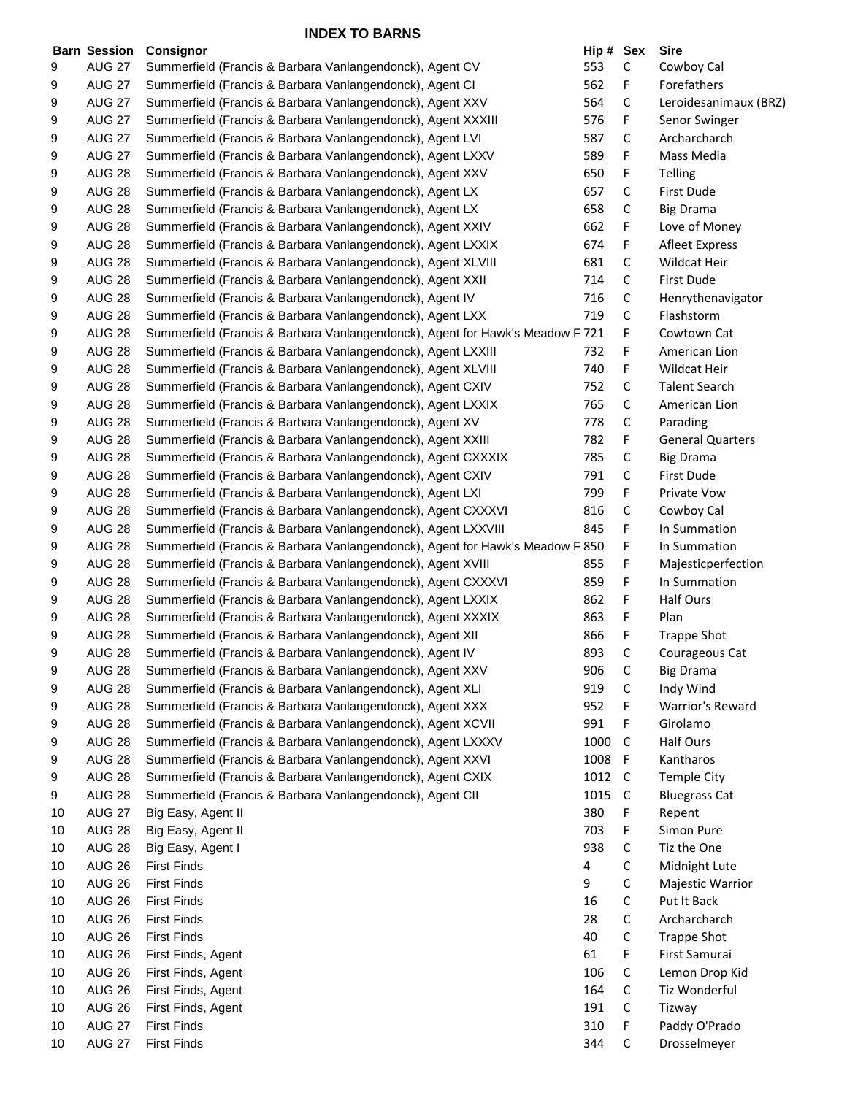|    | <b>Barn Session</b> | Consignor                                                                     | Hip # Sex |             | Sire                    |
|----|---------------------|-------------------------------------------------------------------------------|-----------|-------------|-------------------------|
| 9  | <b>AUG 27</b>       | Summerfield (Francis & Barbara Vanlangendonck), Agent CV                      | 553       | С           | Cowboy Cal              |
| 9  | <b>AUG 27</b>       | Summerfield (Francis & Barbara Vanlangendonck), Agent CI                      | 562       | F           | Forefathers             |
| 9  | <b>AUG 27</b>       | Summerfield (Francis & Barbara Vanlangendonck), Agent XXV                     | 564       | С           | Leroidesanimaux (BRZ)   |
| 9  | <b>AUG 27</b>       | Summerfield (Francis & Barbara Vanlangendonck), Agent XXXIII                  | 576       | F           | Senor Swinger           |
| 9  | <b>AUG 27</b>       | Summerfield (Francis & Barbara Vanlangendonck), Agent LVI                     | 587       | С           | Archarcharch            |
| 9  | <b>AUG 27</b>       | Summerfield (Francis & Barbara Vanlangendonck), Agent LXXV                    | 589       | F           | Mass Media              |
| 9  | <b>AUG 28</b>       | Summerfield (Francis & Barbara Vanlangendonck), Agent XXV                     | 650       | F           | <b>Telling</b>          |
| 9  | <b>AUG 28</b>       | Summerfield (Francis & Barbara Vanlangendonck), Agent LX                      | 657       | С           | <b>First Dude</b>       |
| 9  | <b>AUG 28</b>       | Summerfield (Francis & Barbara Vanlangendonck), Agent LX                      | 658       | $\mathsf C$ | <b>Big Drama</b>        |
| 9  | <b>AUG 28</b>       | Summerfield (Francis & Barbara Vanlangendonck), Agent XXIV                    | 662       | F           | Love of Money           |
| 9  | <b>AUG 28</b>       | Summerfield (Francis & Barbara Vanlangendonck), Agent LXXIX                   | 674       | F           | <b>Afleet Express</b>   |
| 9  | <b>AUG 28</b>       | Summerfield (Francis & Barbara Vanlangendonck), Agent XLVIII                  | 681       | С           | Wildcat Heir            |
| 9  | <b>AUG 28</b>       | Summerfield (Francis & Barbara Vanlangendonck), Agent XXII                    | 714       | С           | <b>First Dude</b>       |
|    | <b>AUG 28</b>       | Summerfield (Francis & Barbara Vanlangendonck), Agent IV                      | 716       | С           | Henrythenavigator       |
| 9  |                     |                                                                               |           |             |                         |
| 9  | <b>AUG 28</b>       | Summerfield (Francis & Barbara Vanlangendonck), Agent LXX                     | 719       | С           | Flashstorm              |
| 9  | <b>AUG 28</b>       | Summerfield (Francis & Barbara Vanlangendonck), Agent for Hawk's Meadow F 721 |           | F           | Cowtown Cat             |
| 9  | <b>AUG 28</b>       | Summerfield (Francis & Barbara Vanlangendonck), Agent LXXIII                  | 732       | F           | American Lion           |
| 9  | <b>AUG 28</b>       | Summerfield (Francis & Barbara Vanlangendonck), Agent XLVIII                  | 740       | F           | <b>Wildcat Heir</b>     |
| 9  | <b>AUG 28</b>       | Summerfield (Francis & Barbara Vanlangendonck), Agent CXIV                    | 752       | С           | <b>Talent Search</b>    |
| 9  | <b>AUG 28</b>       | Summerfield (Francis & Barbara Vanlangendonck), Agent LXXIX                   | 765       | С           | American Lion           |
| 9  | <b>AUG 28</b>       | Summerfield (Francis & Barbara Vanlangendonck), Agent XV                      | 778       | С           | Parading                |
| 9  | <b>AUG 28</b>       | Summerfield (Francis & Barbara Vanlangendonck), Agent XXIII                   | 782       | F           | <b>General Quarters</b> |
| 9  | <b>AUG 28</b>       | Summerfield (Francis & Barbara Vanlangendonck), Agent CXXXIX                  | 785       | С           | <b>Big Drama</b>        |
| 9  | <b>AUG 28</b>       | Summerfield (Francis & Barbara Vanlangendonck), Agent CXIV                    | 791       | С           | First Dude              |
| 9  | <b>AUG 28</b>       | Summerfield (Francis & Barbara Vanlangendonck), Agent LXI                     | 799       | F           | Private Vow             |
| 9  | <b>AUG 28</b>       | Summerfield (Francis & Barbara Vanlangendonck), Agent CXXXVI                  | 816       | С           | Cowboy Cal              |
| 9  | <b>AUG 28</b>       | Summerfield (Francis & Barbara Vanlangendonck), Agent LXXVIII                 | 845       | F           | In Summation            |
| 9  | <b>AUG 28</b>       | Summerfield (Francis & Barbara Vanlangendonck), Agent for Hawk's Meadow F 850 |           | F           | In Summation            |
| 9  | <b>AUG 28</b>       | Summerfield (Francis & Barbara Vanlangendonck), Agent XVIII                   | 855       | F           | Majesticperfection      |
| 9  | <b>AUG 28</b>       | Summerfield (Francis & Barbara Vanlangendonck), Agent CXXXVI                  | 859       | F           | In Summation            |
| 9  | <b>AUG 28</b>       | Summerfield (Francis & Barbara Vanlangendonck), Agent LXXIX                   | 862       | F           | Half Ours               |
| 9  | <b>AUG 28</b>       | Summerfield (Francis & Barbara Vanlangendonck), Agent XXXIX                   | 863       | F           | Plan                    |
| 9  | <b>AUG 28</b>       | Summerfield (Francis & Barbara Vanlangendonck), Agent XII                     | 866       | F           | <b>Trappe Shot</b>      |
| 9  | <b>AUG 28</b>       |                                                                               | 893       | С           | Courageous Cat          |
|    |                     | Summerfield (Francis & Barbara Vanlangendonck), Agent IV                      |           |             |                         |
| 9  | <b>AUG 28</b>       | Summerfield (Francis & Barbara Vanlangendonck), Agent XXV                     | 906       | C           | <b>Big Drama</b>        |
| 9  | <b>AUG 28</b>       | Summerfield (Francis & Barbara Vanlangendonck), Agent XLI                     | 919       | С           | Indy Wind               |
| 9  | <b>AUG 28</b>       | Summerfield (Francis & Barbara Vanlangendonck), Agent XXX                     | 952       | F           | Warrior's Reward        |
| 9  | <b>AUG 28</b>       | Summerfield (Francis & Barbara Vanlangendonck), Agent XCVII                   | 991       | F           | Girolamo                |
| 9  | <b>AUG 28</b>       | Summerfield (Francis & Barbara Vanlangendonck), Agent LXXXV                   | 1000      | C           | Half Ours               |
| 9  | <b>AUG 28</b>       | Summerfield (Francis & Barbara Vanlangendonck), Agent XXVI                    | 1008      | F           | Kantharos               |
| 9  | <b>AUG 28</b>       | Summerfield (Francis & Barbara Vanlangendonck), Agent CXIX                    | 1012      | C           | <b>Temple City</b>      |
| 9  | <b>AUG 28</b>       | Summerfield (Francis & Barbara Vanlangendonck), Agent CII                     | 1015      | C           | <b>Bluegrass Cat</b>    |
| 10 | <b>AUG 27</b>       | Big Easy, Agent II                                                            | 380       | F           | Repent                  |
| 10 | <b>AUG 28</b>       | Big Easy, Agent II                                                            | 703       | F           | Simon Pure              |
| 10 | <b>AUG 28</b>       | Big Easy, Agent I                                                             | 938       | C           | Tiz the One             |
| 10 | <b>AUG 26</b>       | <b>First Finds</b>                                                            | 4         | С           | Midnight Lute           |
| 10 | <b>AUG 26</b>       | <b>First Finds</b>                                                            | 9         | С           | Majestic Warrior        |
| 10 | <b>AUG 26</b>       | <b>First Finds</b>                                                            | 16        | С           | Put It Back             |
| 10 | <b>AUG 26</b>       | <b>First Finds</b>                                                            | 28        | С           | Archarcharch            |
| 10 | <b>AUG 26</b>       | <b>First Finds</b>                                                            | 40        | С           | <b>Trappe Shot</b>      |
| 10 | <b>AUG 26</b>       | First Finds, Agent                                                            | 61        | F           | First Samurai           |
| 10 | <b>AUG 26</b>       |                                                                               | 106       |             |                         |
|    |                     | First Finds, Agent                                                            |           | С           | Lemon Drop Kid          |
| 10 | <b>AUG 26</b>       | First Finds, Agent                                                            | 164       | С           | Tiz Wonderful           |
| 10 | <b>AUG 26</b>       | First Finds, Agent                                                            | 191       | С           | Tizway                  |
| 10 | <b>AUG 27</b>       | <b>First Finds</b>                                                            | 310       | F           | Paddy O'Prado           |
| 10 | <b>AUG 27</b>       | <b>First Finds</b>                                                            | 344       | С           | Drosselmeyer            |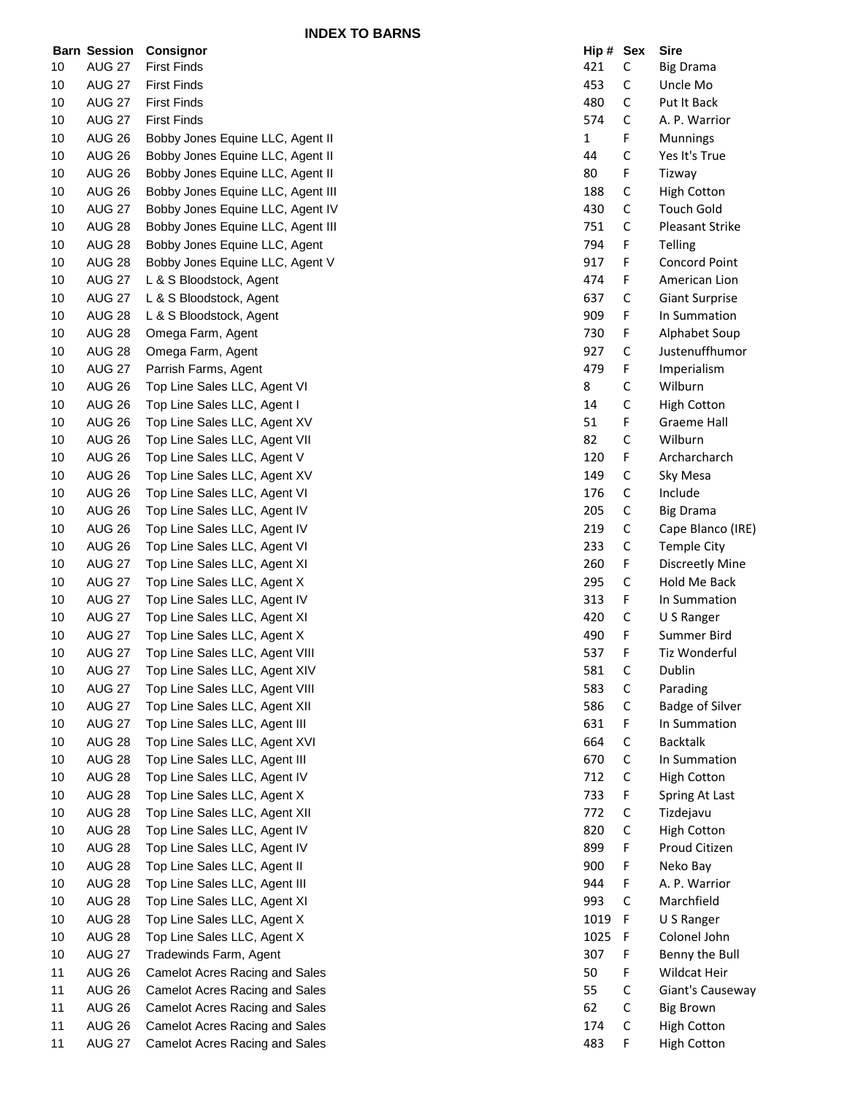|          | <b>Barn Session</b>            | Consignor                                                        | Hip#         | Sex         | <b>Sire</b>            |
|----------|--------------------------------|------------------------------------------------------------------|--------------|-------------|------------------------|
| 10       | <b>AUG 27</b>                  | <b>First Finds</b>                                               | 421          | $\mathsf C$ | <b>Big Drama</b>       |
| 10       | <b>AUG 27</b>                  | <b>First Finds</b>                                               | 453          | C           | Uncle Mo               |
| 10       | <b>AUG 27</b>                  | <b>First Finds</b>                                               | 480          | С           | Put It Back            |
| 10       | <b>AUG 27</b>                  | <b>First Finds</b>                                               | 574          | C           | A. P. Warrior          |
| 10       | <b>AUG 26</b>                  | Bobby Jones Equine LLC, Agent II                                 | $\mathbf{1}$ | F           | <b>Munnings</b>        |
| 10       | <b>AUG 26</b>                  | Bobby Jones Equine LLC, Agent II                                 | 44           | С           | Yes It's True          |
| 10       | <b>AUG 26</b>                  | Bobby Jones Equine LLC, Agent II                                 | 80           | F           | Tizway                 |
| 10       | <b>AUG 26</b>                  | Bobby Jones Equine LLC, Agent III                                | 188          | C           | <b>High Cotton</b>     |
| 10       | <b>AUG 27</b>                  | Bobby Jones Equine LLC, Agent IV                                 | 430          | $\mathsf C$ | <b>Touch Gold</b>      |
| 10       | <b>AUG 28</b>                  | Bobby Jones Equine LLC, Agent III                                | 751          | С           | <b>Pleasant Strike</b> |
| 10       | <b>AUG 28</b>                  | Bobby Jones Equine LLC, Agent                                    | 794          | F           | Telling                |
| 10       | <b>AUG 28</b>                  | Bobby Jones Equine LLC, Agent V                                  | 917          | F           | Concord Point          |
| 10       | <b>AUG 27</b>                  | L & S Bloodstock, Agent                                          | 474          | F           | American Lion          |
| 10       | <b>AUG 27</b>                  | L & S Bloodstock, Agent                                          | 637          | С           | <b>Giant Surprise</b>  |
| 10       | <b>AUG 28</b>                  | L & S Bloodstock, Agent                                          | 909          | F           | In Summation           |
| 10       | <b>AUG 28</b>                  | Omega Farm, Agent                                                | 730          | F           | Alphabet Soup          |
| 10       | <b>AUG 28</b>                  | Omega Farm, Agent                                                | 927          | C           | Justenuffhumor         |
| 10       | <b>AUG 27</b>                  | Parrish Farms, Agent                                             | 479          | F           | Imperialism            |
| 10       | <b>AUG 26</b>                  | Top Line Sales LLC, Agent VI                                     | 8            | С           | Wilburn                |
| 10       | <b>AUG 26</b>                  | Top Line Sales LLC, Agent I                                      | 14           | С           | <b>High Cotton</b>     |
| 10       | <b>AUG 26</b>                  | Top Line Sales LLC, Agent XV                                     | 51           | F           | <b>Graeme Hall</b>     |
| 10       | <b>AUG 26</b>                  | Top Line Sales LLC, Agent VII                                    | 82           | $\mathsf C$ | Wilburn                |
| 10       | <b>AUG 26</b>                  | Top Line Sales LLC, Agent V                                      | 120          | F           | Archarcharch           |
| 10       | <b>AUG 26</b>                  | Top Line Sales LLC, Agent XV                                     | 149          | С           | Sky Mesa               |
| 10       | <b>AUG 26</b>                  | Top Line Sales LLC, Agent VI                                     | 176          | C           | Include                |
| 10       | <b>AUG 26</b>                  | Top Line Sales LLC, Agent IV                                     | 205          | C           | <b>Big Drama</b>       |
| 10       | <b>AUG 26</b>                  | Top Line Sales LLC, Agent IV                                     | 219          | C           | Cape Blanco (IRE)      |
| 10       | <b>AUG 26</b>                  | Top Line Sales LLC, Agent VI                                     | 233          | С           | <b>Temple City</b>     |
| 10       | <b>AUG 27</b>                  | Top Line Sales LLC, Agent XI                                     | 260          | F           | <b>Discreetly Mine</b> |
| 10       | <b>AUG 27</b>                  | Top Line Sales LLC, Agent X                                      | 295          | C           | Hold Me Back           |
| 10       | <b>AUG 27</b>                  | Top Line Sales LLC, Agent IV                                     | 313          | F           | In Summation           |
| 10       | <b>AUG 27</b>                  | Top Line Sales LLC, Agent XI                                     | 420          | C           | U S Ranger             |
| 10       | <b>AUG 27</b>                  | Top Line Sales LLC, Agent X                                      | 490          | F           | Summer Bird            |
| 10       | <b>AUG 27</b>                  | Top Line Sales LLC, Agent VIII                                   | 537          | F           | Tiz Wonderful          |
| 10       | <b>AUG 27</b>                  | Top Line Sales LLC, Agent XIV                                    | 581          | С           | Dublin                 |
| 10       | <b>AUG 27</b>                  | Top Line Sales LLC, Agent VIII                                   | 583          | C           | Parading               |
| 10       | <b>AUG 27</b>                  | Top Line Sales LLC, Agent XII                                    | 586          | С           | <b>Badge of Silver</b> |
| 10       | <b>AUG 27</b>                  | Top Line Sales LLC, Agent III                                    | 631          | F           | In Summation           |
| 10       | <b>AUG 28</b>                  | Top Line Sales LLC, Agent XVI                                    | 664          | C           | <b>Backtalk</b>        |
| 10       | <b>AUG 28</b>                  | Top Line Sales LLC, Agent III                                    | 670          | C           | In Summation           |
| 10       | <b>AUG 28</b>                  | Top Line Sales LLC, Agent IV                                     | 712          | C           | <b>High Cotton</b>     |
| 10       | <b>AUG 28</b>                  | Top Line Sales LLC, Agent X                                      | 733          | F           | Spring At Last         |
| 10       | <b>AUG 28</b>                  | Top Line Sales LLC, Agent XII                                    | 772          | C           | Tizdejavu              |
| 10       | <b>AUG 28</b>                  | Top Line Sales LLC, Agent IV                                     | 820          | С           | <b>High Cotton</b>     |
| 10       | <b>AUG 28</b>                  | Top Line Sales LLC, Agent IV                                     | 899          | F           | Proud Citizen          |
| 10       | <b>AUG 28</b>                  | Top Line Sales LLC, Agent II                                     | 900          | F           | Neko Bay               |
| 10       | <b>AUG 28</b>                  | Top Line Sales LLC, Agent III                                    | 944          | F           | A. P. Warrior          |
| 10       | <b>AUG 28</b>                  | Top Line Sales LLC, Agent XI                                     | 993          | C           | Marchfield             |
| 10       | <b>AUG 28</b>                  | Top Line Sales LLC, Agent X                                      | 1019         | F           | U S Ranger             |
| 10       | <b>AUG 28</b>                  | Top Line Sales LLC, Agent X                                      | 1025         | F           | Colonel John           |
|          | <b>AUG 27</b>                  | Tradewinds Farm, Agent                                           | 307          | F           | Benny the Bull         |
| 10<br>11 | <b>AUG 26</b>                  | <b>Camelot Acres Racing and Sales</b>                            | 50           | F           | Wildcat Heir           |
| 11       | <b>AUG 26</b>                  | <b>Camelot Acres Racing and Sales</b>                            | 55           | С           | Giant's Causeway       |
|          |                                |                                                                  | 62           | C           |                        |
| 11       | <b>AUG 26</b>                  | Camelot Acres Racing and Sales<br>Camelot Acres Racing and Sales | 174          | C           | <b>Big Brown</b>       |
| 11       | <b>AUG 26</b><br><b>AUG 27</b> |                                                                  | 483          | F           | <b>High Cotton</b>     |
| 11       |                                | Camelot Acres Racing and Sales                                   |              |             | High Cotton            |

| Hip # | Sex | Sire                   |
|-------|-----|------------------------|
| 421   | C   | <b>Big Drama</b>       |
| 453   | C   | Uncle Mo               |
| 480   | C   | Put It Back            |
| 574   | C   | A. P. Warrior          |
| 1     | F   | Munnings               |
| 44    | C   | Yes It's True          |
| 80    | F   | Tizway                 |
| 188   | C   | <b>High Cotton</b>     |
| 430   | C   | <b>Touch Gold</b>      |
| 751   | Ċ   | <b>Pleasant Strike</b> |
| 794   | F   | Telling                |
| 917   | F   | <b>Concord Point</b>   |
| 474   | F   | American Lion          |
| 637   | Ċ   | <b>Giant Surprise</b>  |
| 909   | F   | In Summation           |
| 730   |     |                        |
|       | F   | Alphabet Soup          |
| 927   | C   | Justenuffhumor         |
| 479   | F   | Imperialism            |
| 8     | C   | Wilburn                |
| 14    | C   | <b>High Cotton</b>     |
| 51    | F   | <b>Graeme Hall</b>     |
| 82    | C   | Wilburn                |
| 120   | F   | Archarcharch           |
| 149   | C   | Sky Mesa               |
| 176   | C   | Include                |
| 205   | C   | Big Drama              |
| 219   | C   | Cape Blanco (IRE)      |
| 233   | C   | <b>Temple City</b>     |
| 260   | F   | <b>Discreetly Mine</b> |
| 295   | C   | <b>Hold Me Back</b>    |
| 313   | F   | In Summation           |
| 420   | C   | U S Ranger             |
| 490   | F   | Summer Bird            |
| 537   | F   | Tiz Wonderful          |
| 581   | C   | Dublin                 |
| 583   | C   | Parading               |
| 586   | C   | <b>Badge of Silver</b> |
| 631   | F   | In Summation           |
| 664   | C   | <b>Backtalk</b>        |
| 670   | C   | In Summation           |
| 712   | C   | <b>High Cotton</b>     |
| 733   | F   | Spring At Last         |
| 772   | C   | Tizdejavu              |
| 820   | C   | <b>High Cotton</b>     |
| 899   | F   | Proud Citizen          |
| 900   | F   | Neko Bay               |
|       |     |                        |
| 944   | F   | A. P. Warrior          |
| 993   | c   | Marchfield             |
| 1019  | F   | U S Ranger             |
| 1025  | F   | Colonel John           |
| 307   | F   | Benny the Bull         |
| 50    | F   | <b>Wildcat Heir</b>    |
| 55    | C   | Giant's Causeway       |
| 62    | C   | <b>Big Brown</b>       |
| 174   | C   | <b>High Cotton</b>     |
| 483   | F   | <b>High Cotton</b>     |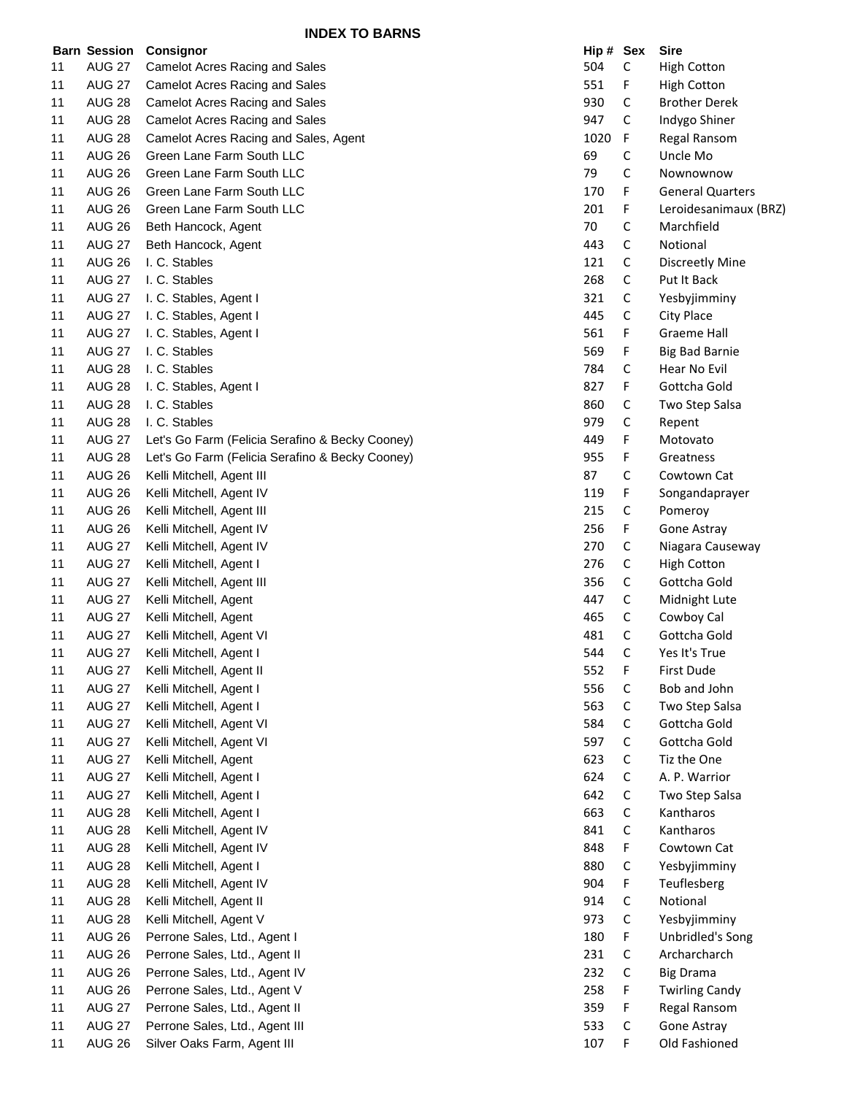|    | <b>Barn Session</b> | <b>Consignor</b>                                | Hip # Sex |             | <b>Sire</b>             |
|----|---------------------|-------------------------------------------------|-----------|-------------|-------------------------|
| 11 | <b>AUG 27</b>       | Camelot Acres Racing and Sales                  | 504       | $\mathsf C$ | <b>High Cotton</b>      |
| 11 | <b>AUG 27</b>       | <b>Camelot Acres Racing and Sales</b>           | 551       | F           | <b>High Cotton</b>      |
| 11 | <b>AUG 28</b>       | <b>Camelot Acres Racing and Sales</b>           | 930       | C           | <b>Brother Derek</b>    |
| 11 | <b>AUG 28</b>       | Camelot Acres Racing and Sales                  | 947       | C           | Indygo Shiner           |
| 11 | <b>AUG 28</b>       | Camelot Acres Racing and Sales, Agent           | 1020      | F.          | Regal Ransom            |
| 11 | <b>AUG 26</b>       | Green Lane Farm South LLC                       | 69        | С           | Uncle Mo                |
| 11 | <b>AUG 26</b>       | Green Lane Farm South LLC                       | 79        | С           | Nownownow               |
| 11 | <b>AUG 26</b>       | Green Lane Farm South LLC                       | 170       | F           | <b>General Quarters</b> |
| 11 | <b>AUG 26</b>       | Green Lane Farm South LLC                       | 201       | F           | Leroidesanimaux (BRZ)   |
| 11 | <b>AUG 26</b>       | Beth Hancock, Agent                             | 70        | С           | Marchfield              |
| 11 | <b>AUG 27</b>       | Beth Hancock, Agent                             | 443       | C           | Notional                |
| 11 | <b>AUG 26</b>       | I. C. Stables                                   | 121       | С           | <b>Discreetly Mine</b>  |
| 11 | <b>AUG 27</b>       | I. C. Stables                                   | 268       | C           | Put It Back             |
| 11 | <b>AUG 27</b>       | I. C. Stables, Agent I                          | 321       | C           | Yesbyjimminy            |
| 11 | <b>AUG 27</b>       | I. C. Stables, Agent I                          | 445       | $\mathsf C$ | City Place              |
| 11 | <b>AUG 27</b>       | I. C. Stables, Agent I                          | 561       | F           | <b>Graeme Hall</b>      |
|    | <b>AUG 27</b>       | I. C. Stables                                   | 569       | F           |                         |
| 11 |                     |                                                 |           |             | <b>Big Bad Barnie</b>   |
| 11 | <b>AUG 28</b>       | I. C. Stables                                   | 784       | C           | Hear No Evil            |
| 11 | <b>AUG 28</b>       | I. C. Stables, Agent I                          | 827       | F           | Gottcha Gold            |
| 11 | <b>AUG 28</b>       | I. C. Stables                                   | 860       | C           | Two Step Salsa          |
| 11 | <b>AUG 28</b>       | I. C. Stables                                   | 979       | C           | Repent                  |
| 11 | <b>AUG 27</b>       | Let's Go Farm (Felicia Serafino & Becky Cooney) | 449       | F           | Motovato                |
| 11 | <b>AUG 28</b>       | Let's Go Farm (Felicia Serafino & Becky Cooney) | 955       | F           | Greatness               |
| 11 | <b>AUG 26</b>       | Kelli Mitchell, Agent III                       | 87        | С           | Cowtown Cat             |
| 11 | <b>AUG 26</b>       | Kelli Mitchell, Agent IV                        | 119       | F           | Songandaprayer          |
| 11 | <b>AUG 26</b>       | Kelli Mitchell, Agent III                       | 215       | С           | Pomeroy                 |
| 11 | <b>AUG 26</b>       | Kelli Mitchell, Agent IV                        | 256       | F           | Gone Astray             |
| 11 | <b>AUG 27</b>       | Kelli Mitchell, Agent IV                        | 270       | C           | Niagara Causeway        |
| 11 | <b>AUG 27</b>       | Kelli Mitchell, Agent I                         | 276       | $\mathsf C$ | <b>High Cotton</b>      |
| 11 | <b>AUG 27</b>       | Kelli Mitchell, Agent III                       | 356       | C           | Gottcha Gold            |
| 11 | <b>AUG 27</b>       | Kelli Mitchell, Agent                           | 447       | C           | Midnight Lute           |
| 11 | <b>AUG 27</b>       | Kelli Mitchell, Agent                           | 465       | C           | Cowboy Cal              |
| 11 | <b>AUG 27</b>       | Kelli Mitchell, Agent VI                        | 481       | С           | Gottcha Gold            |
| 11 | <b>AUG 27</b>       | Kelli Mitchell, Agent I                         | 544       | С           | Yes It's True           |
| 11 | <b>AUG 27</b>       | Kelli Mitchell, Agent II                        | 552       | F           | First Dude              |
| 11 | <b>AUG 27</b>       | Kelli Mitchell, Agent I                         | 556       | С           | Bob and John            |
| 11 | <b>AUG 27</b>       | Kelli Mitchell, Agent I                         | 563       | С           | Two Step Salsa          |
| 11 | <b>AUG 27</b>       | Kelli Mitchell, Agent VI                        | 584       | C           | Gottcha Gold            |
| 11 | <b>AUG 27</b>       | Kelli Mitchell, Agent VI                        | 597       | $\mathsf C$ | Gottcha Gold            |
| 11 | <b>AUG 27</b>       | Kelli Mitchell, Agent                           | 623       | $\mathsf C$ | Tiz the One             |
| 11 | <b>AUG 27</b>       | Kelli Mitchell, Agent I                         | 624       | C           | A. P. Warrior           |
| 11 | <b>AUG 27</b>       | Kelli Mitchell, Agent I                         | 642       | C           | Two Step Salsa          |
| 11 | <b>AUG 28</b>       | Kelli Mitchell, Agent I                         | 663       | $\mathsf C$ | Kantharos               |
| 11 | <b>AUG 28</b>       | Kelli Mitchell, Agent IV                        | 841       | C           | Kantharos               |
| 11 | <b>AUG 28</b>       | Kelli Mitchell, Agent IV                        | 848       | F           | Cowtown Cat             |
| 11 | <b>AUG 28</b>       | Kelli Mitchell, Agent I                         | 880       | C           | Yesbyjimminy            |
| 11 | <b>AUG 28</b>       | Kelli Mitchell, Agent IV                        | 904       | F           | Teuflesberg             |
| 11 | <b>AUG 28</b>       | Kelli Mitchell, Agent II                        | 914       | С           | Notional                |
| 11 | <b>AUG 28</b>       | Kelli Mitchell, Agent V                         | 973       | С           | Yesbyjimminy            |
| 11 | <b>AUG 26</b>       | Perrone Sales, Ltd., Agent I                    | 180       | F           | Unbridled's Song        |
| 11 | <b>AUG 26</b>       | Perrone Sales, Ltd., Agent II                   | 231       | С           | Archarcharch            |
| 11 | <b>AUG 26</b>       | Perrone Sales, Ltd., Agent IV                   | 232       | С           | <b>Big Drama</b>        |
| 11 | <b>AUG 26</b>       | Perrone Sales, Ltd., Agent V                    | 258       | F           | <b>Twirling Candy</b>   |
|    |                     |                                                 |           |             |                         |
| 11 | <b>AUG 27</b>       | Perrone Sales, Ltd., Agent II                   | 359       | F           | Regal Ransom            |
| 11 | <b>AUG 27</b>       | Perrone Sales, Ltd., Agent III                  | 533       | С           | Gone Astray             |
| 11 | <b>AUG 26</b>       | Silver Oaks Farm, Agent III                     | 107       | F.          | Old Fashioned           |

| $\mathsf{sup}\; \mathsf{H}$ | эех    | əıre                             |
|-----------------------------|--------|----------------------------------|
| 504                         | С      | <b>High Cotton</b>               |
| 551                         | F      | <b>High Cotton</b>               |
| 930                         | с      | <b>Brother Derek</b>             |
| 947                         | C      | Indygo Shiner                    |
| 1020                        | F      | Regal Ransom                     |
| 69                          | c      | Uncle Mo                         |
| 79                          | Ċ      | Nownownow                        |
| 170                         | F      | <b>General Quarters</b>          |
| 201                         | F      | Leroidesanimaux (BRZ             |
| 70                          | С      | Marchfield                       |
| 443                         | C      | Notional                         |
| 121                         | C      | <b>Discreetly Mine</b>           |
| 268                         | C      | Put It Back                      |
| 321                         | C      | Yesbyjimminy                     |
| 445                         | C      |                                  |
|                             |        | City Place                       |
| 561                         | F      | Graeme Hall                      |
| 569                         | F      | <b>Big Bad Barnie</b>            |
| 784                         | c      | Hear No Evil                     |
| 827                         | F      | Gottcha Gold                     |
| 860                         | c      | Two Step Salsa                   |
| 979                         | Ċ      | Repent                           |
| 449                         | F      | Motovato                         |
| 955                         | F      | Greatness                        |
| 87                          | C      | Cowtown Cat                      |
| 119                         | F      | Songandaprayer                   |
| 215                         | c      | Pomeroy                          |
| 256                         | F      | Gone Astray                      |
| 270                         | С      | Niagara Causeway                 |
| 276                         | С      | <b>High Cotton</b>               |
| 356                         | C      | Gottcha Gold                     |
| 447                         | C      | Midnight Lute                    |
| 465                         | C      | Cowboy Cal                       |
| 481                         | C      | Gottcha Gold                     |
| 544                         | Ċ      | Yes It's True                    |
| 552                         | F      | <b>First Dude</b>                |
| 556                         | с      | Bob and John                     |
| 563                         | C      | Two Step Salsa                   |
| 584                         | C      | Gottcha Gold                     |
| 597                         | C      | Gottcha Gold                     |
| 623                         | C      | Tiz the One                      |
| 624                         | C      | A. P. Warrior                    |
| 642                         | C      | Two Step Salsa                   |
| 663                         | C      | Kantharos                        |
| 841                         | C      | Kantharos                        |
| 848                         | F      | Cowtown Cat                      |
| 880                         | C      | Yesbyjimminy                     |
| 904                         | F      | Teuflesberg                      |
| 914                         | С      | Notional                         |
| 973                         | C      | Yesbyjimminy                     |
| 180                         | F      |                                  |
|                             |        | Unbridled's Song<br>Archarcharch |
| 231                         | С<br>C |                                  |
| 232                         |        | <b>Big Drama</b>                 |
| 258                         | F      | <b>Twirling Candy</b>            |
| 359                         | F      | Regal Ransom                     |
| 533                         | c      | Gone Astray                      |
| 107                         | F      | Old Fashioned                    |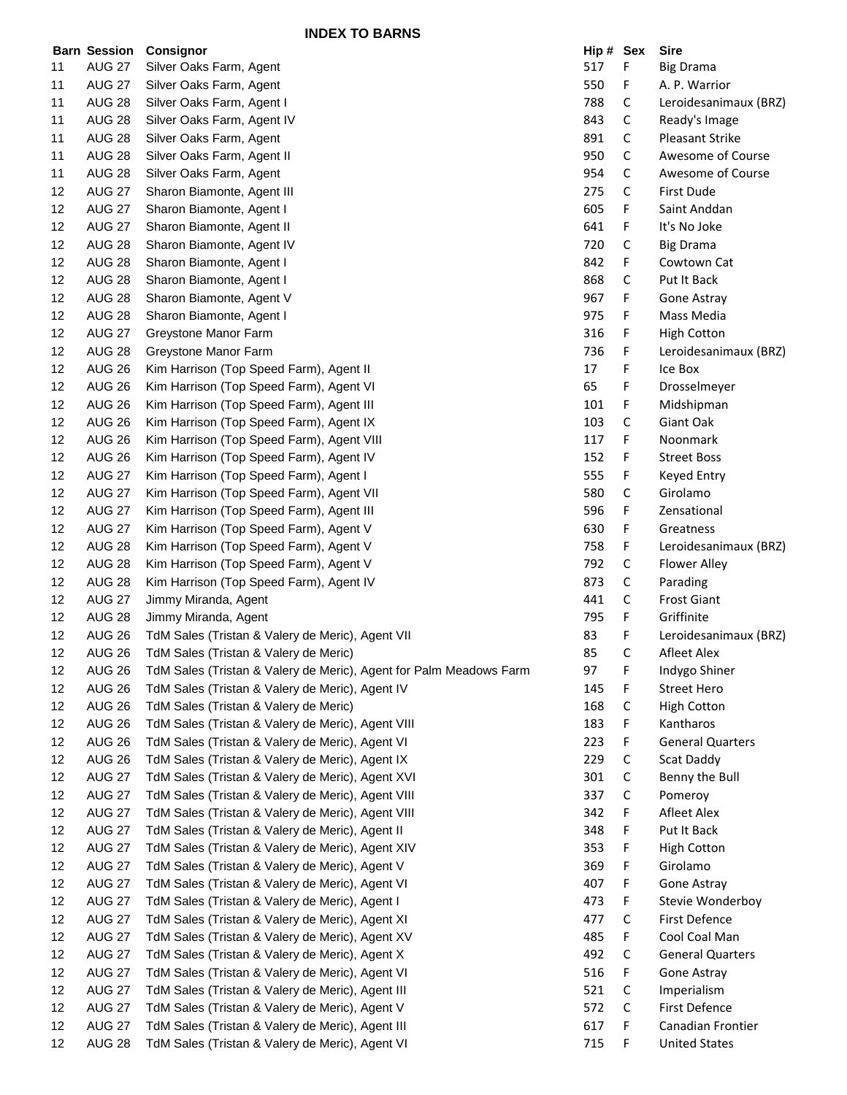**INDEX TO BARNS**

|    | <b>Barn Session</b> | Consignor                                                          | Hip # Sex |   | <b>Sire</b>             |
|----|---------------------|--------------------------------------------------------------------|-----------|---|-------------------------|
| 11 | <b>AUG 27</b>       | Silver Oaks Farm, Agent                                            | 517       | F | <b>Big Drama</b>        |
| 11 | <b>AUG 27</b>       | Silver Oaks Farm, Agent                                            | 550       | F | A. P. Warrior           |
| 11 | <b>AUG 28</b>       | Silver Oaks Farm, Agent I                                          | 788       | С | Leroidesanimaux (BRZ)   |
| 11 | <b>AUG 28</b>       | Silver Oaks Farm, Agent IV                                         | 843       | С | Ready's Image           |
| 11 | <b>AUG 28</b>       | Silver Oaks Farm, Agent                                            | 891       | С | <b>Pleasant Strike</b>  |
| 11 | <b>AUG 28</b>       | Silver Oaks Farm, Agent II                                         | 950       | С | Awesome of Course       |
| 11 | <b>AUG 28</b>       | Silver Oaks Farm, Agent                                            | 954       | С | Awesome of Course       |
| 12 | <b>AUG 27</b>       | Sharon Biamonte, Agent III                                         | 275       | С | First Dude              |
| 12 | <b>AUG 27</b>       | Sharon Biamonte, Agent I                                           | 605       | F | Saint Anddan            |
| 12 | <b>AUG 27</b>       | Sharon Biamonte, Agent II                                          | 641       | F | It's No Joke            |
| 12 | <b>AUG 28</b>       | Sharon Biamonte, Agent IV                                          | 720       | С | <b>Big Drama</b>        |
| 12 | <b>AUG 28</b>       | Sharon Biamonte, Agent I                                           | 842       | F | Cowtown Cat             |
| 12 | <b>AUG 28</b>       | Sharon Biamonte, Agent I                                           | 868       | С | Put It Back             |
| 12 | <b>AUG 28</b>       | Sharon Biamonte, Agent V                                           | 967       | F | Gone Astray             |
| 12 | <b>AUG 28</b>       | Sharon Biamonte, Agent I                                           | 975       | F | Mass Media              |
| 12 | <b>AUG 27</b>       | Greystone Manor Farm                                               | 316       | F | <b>High Cotton</b>      |
| 12 | <b>AUG 28</b>       | Greystone Manor Farm                                               | 736       | F | Leroidesanimaux (BRZ)   |
| 12 | <b>AUG 26</b>       | Kim Harrison (Top Speed Farm), Agent II                            | 17        | F | Ice Box                 |
| 12 | <b>AUG 26</b>       | Kim Harrison (Top Speed Farm), Agent VI                            | 65        | F | Drosselmeyer            |
| 12 | <b>AUG 26</b>       | Kim Harrison (Top Speed Farm), Agent III                           | 101       | F | Midshipman              |
| 12 | <b>AUG 26</b>       | Kim Harrison (Top Speed Farm), Agent IX                            | 103       | С | Giant Oak               |
| 12 | <b>AUG 26</b>       | Kim Harrison (Top Speed Farm), Agent VIII                          | 117       | F | Noonmark                |
| 12 | <b>AUG 26</b>       | Kim Harrison (Top Speed Farm), Agent IV                            | 152       | F | <b>Street Boss</b>      |
| 12 | <b>AUG 27</b>       | Kim Harrison (Top Speed Farm), Agent I                             | 555       | F | Keyed Entry             |
| 12 | <b>AUG 27</b>       | Kim Harrison (Top Speed Farm), Agent VII                           | 580       | С | Girolamo                |
| 12 | <b>AUG 27</b>       | Kim Harrison (Top Speed Farm), Agent III                           | 596       | F | Zensational             |
| 12 | <b>AUG 27</b>       | Kim Harrison (Top Speed Farm), Agent V                             | 630       | F | Greatness               |
| 12 | <b>AUG 28</b>       | Kim Harrison (Top Speed Farm), Agent V                             | 758       | F | Leroidesanimaux (BRZ)   |
| 12 | <b>AUG 28</b>       | Kim Harrison (Top Speed Farm), Agent V                             | 792       | С | <b>Flower Alley</b>     |
| 12 | <b>AUG 28</b>       | Kim Harrison (Top Speed Farm), Agent IV                            | 873       | С | Parading                |
| 12 | <b>AUG 27</b>       | Jimmy Miranda, Agent                                               | 441       | С | <b>Frost Giant</b>      |
| 12 | <b>AUG 28</b>       | Jimmy Miranda, Agent                                               | 795       | F | Griffinite              |
| 12 | <b>AUG 26</b>       | TdM Sales (Tristan & Valery de Meric), Agent VII                   | 83        | F | Leroidesanimaux (BRZ)   |
| 12 | <b>AUG 26</b>       | TdM Sales (Tristan & Valery de Meric)                              | 85        | C | Afleet Alex             |
| 12 | <b>AUG 26</b>       | TdM Sales (Tristan & Valery de Meric), Agent for Palm Meadows Farm | 97        | F | Indygo Shiner           |
| 12 | AUG 26              | TdM Sales (Tristan & Valery de Meric), Agent IV                    | 145       | F | Street Hero             |
| 12 | <b>AUG 26</b>       | TdM Sales (Tristan & Valery de Meric)                              | 168       | С | <b>High Cotton</b>      |
| 12 | <b>AUG 26</b>       | TdM Sales (Tristan & Valery de Meric), Agent VIII                  | 183       | F | Kantharos               |
| 12 | <b>AUG 26</b>       | TdM Sales (Tristan & Valery de Meric), Agent VI                    | 223       | F | <b>General Quarters</b> |
| 12 | <b>AUG 26</b>       | TdM Sales (Tristan & Valery de Meric), Agent IX                    | 229       | С | Scat Daddy              |
| 12 | <b>AUG 27</b>       | TdM Sales (Tristan & Valery de Meric), Agent XVI                   | 301       | С | Benny the Bull          |
| 12 | <b>AUG 27</b>       | TdM Sales (Tristan & Valery de Meric), Agent VIII                  | 337       | С | Pomeroy                 |
| 12 | <b>AUG 27</b>       | TdM Sales (Tristan & Valery de Meric), Agent VIII                  | 342       | F | Afleet Alex             |
| 12 | <b>AUG 27</b>       | TdM Sales (Tristan & Valery de Meric), Agent II                    | 348       | F | Put It Back             |
| 12 | <b>AUG 27</b>       | TdM Sales (Tristan & Valery de Meric), Agent XIV                   | 353       | F | <b>High Cotton</b>      |
| 12 | <b>AUG 27</b>       | TdM Sales (Tristan & Valery de Meric), Agent V                     | 369       | F | Girolamo                |
| 12 | <b>AUG 27</b>       | TdM Sales (Tristan & Valery de Meric), Agent VI                    | 407       | F | Gone Astray             |
| 12 | <b>AUG 27</b>       | TdM Sales (Tristan & Valery de Meric), Agent I                     | 473       | F | Stevie Wonderboy        |
| 12 | <b>AUG 27</b>       | TdM Sales (Tristan & Valery de Meric), Agent XI                    | 477       | С | First Defence           |
| 12 | <b>AUG 27</b>       | TdM Sales (Tristan & Valery de Meric), Agent XV                    | 485       | F | Cool Coal Man           |
| 12 | <b>AUG 27</b>       | TdM Sales (Tristan & Valery de Meric), Agent X                     | 492       | С | <b>General Quarters</b> |
| 12 | <b>AUG 27</b>       | TdM Sales (Tristan & Valery de Meric), Agent VI                    | 516       | F | Gone Astray             |
| 12 | <b>AUG 27</b>       | TdM Sales (Tristan & Valery de Meric), Agent III                   | 521       | С | Imperialism             |
| 12 | <b>AUG 27</b>       | TdM Sales (Tristan & Valery de Meric), Agent V                     | 572       | С | First Defence           |
| 12 | <b>AUG 27</b>       | TdM Sales (Tristan & Valery de Meric), Agent III                   | 617       | F | Canadian Frontier       |
| 12 | <b>AUG 28</b>       | TdM Sales (Tristan & Valery de Meric), Agent VI                    | 715       | F | <b>United States</b>    |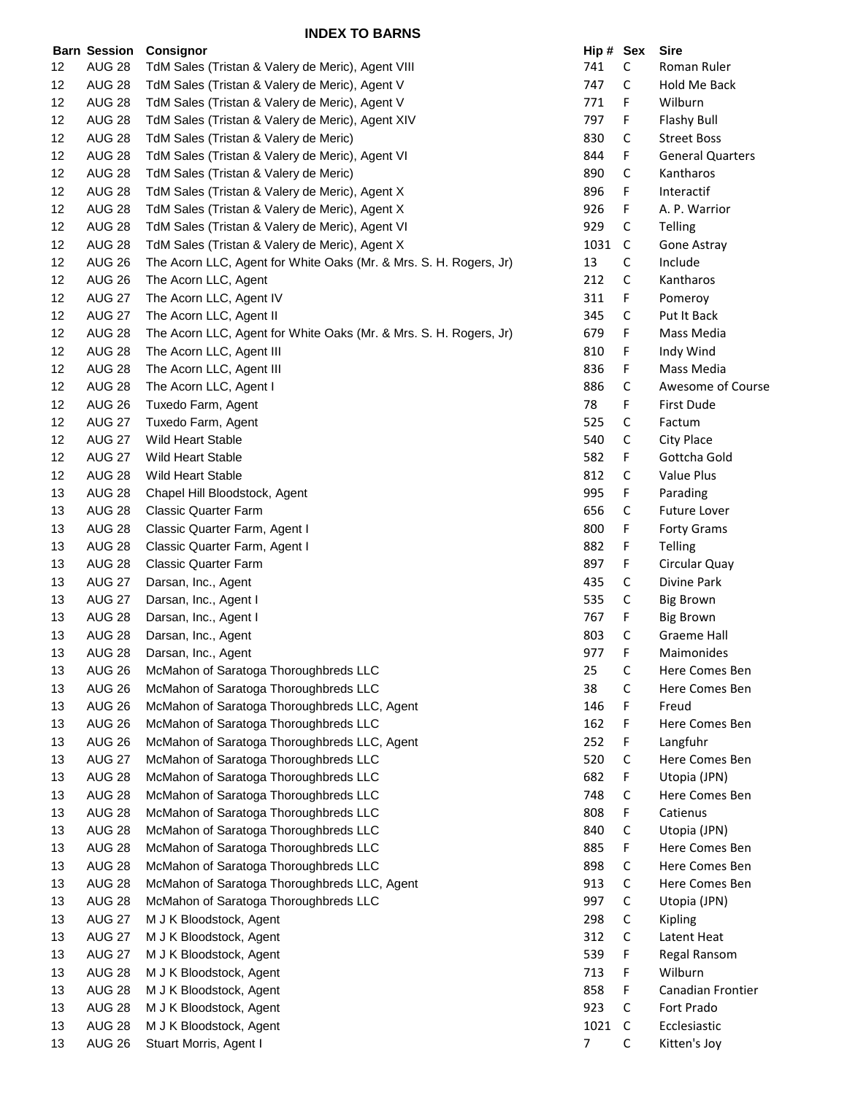|    | <b>Barn Session</b> | Consignor                                                         | Hip # Sex |             | <b>Sire</b>             |
|----|---------------------|-------------------------------------------------------------------|-----------|-------------|-------------------------|
| 12 | <b>AUG 28</b>       | TdM Sales (Tristan & Valery de Meric), Agent VIII                 | 741       | $\mathsf C$ | Roman Ruler             |
| 12 | <b>AUG 28</b>       | TdM Sales (Tristan & Valery de Meric), Agent V                    | 747       | C           | Hold Me Back            |
| 12 | <b>AUG 28</b>       | TdM Sales (Tristan & Valery de Meric), Agent V                    | 771       | F           | Wilburn                 |
| 12 | <b>AUG 28</b>       | TdM Sales (Tristan & Valery de Meric), Agent XIV                  | 797       | F           | Flashy Bull             |
| 12 | <b>AUG 28</b>       | TdM Sales (Tristan & Valery de Meric)                             | 830       | $\mathsf C$ | <b>Street Boss</b>      |
| 12 | <b>AUG 28</b>       | TdM Sales (Tristan & Valery de Meric), Agent VI                   | 844       | F           | <b>General Quarters</b> |
| 12 | <b>AUG 28</b>       | TdM Sales (Tristan & Valery de Meric)                             | 890       | C           | Kantharos               |
| 12 | <b>AUG 28</b>       | TdM Sales (Tristan & Valery de Meric), Agent X                    | 896       | F           | Interactif              |
| 12 | <b>AUG 28</b>       | TdM Sales (Tristan & Valery de Meric), Agent X                    | 926       | F           | A. P. Warrior           |
| 12 | <b>AUG 28</b>       | TdM Sales (Tristan & Valery de Meric), Agent VI                   | 929       | $\mathsf C$ | Telling                 |
| 12 | <b>AUG 28</b>       | TdM Sales (Tristan & Valery de Meric), Agent X                    | 1031      | C           | Gone Astray             |
| 12 | <b>AUG 26</b>       | The Acorn LLC, Agent for White Oaks (Mr. & Mrs. S. H. Rogers, Jr) | 13        | C           | Include                 |
| 12 | <b>AUG 26</b>       | The Acorn LLC, Agent                                              | 212       | $\mathsf C$ | Kantharos               |
| 12 | <b>AUG 27</b>       | The Acorn LLC, Agent IV                                           | 311       | F.          | Pomeroy                 |
| 12 | <b>AUG 27</b>       | The Acorn LLC, Agent II                                           | 345       | C           | Put It Back             |
| 12 | <b>AUG 28</b>       |                                                                   | 679       |             | Mass Media              |
|    |                     | The Acorn LLC, Agent for White Oaks (Mr. & Mrs. S. H. Rogers, Jr) |           | F           |                         |
| 12 | <b>AUG 28</b>       | The Acorn LLC, Agent III                                          | 810       | F           | Indy Wind               |
| 12 | <b>AUG 28</b>       | The Acorn LLC, Agent III                                          | 836       | F           | Mass Media              |
| 12 | <b>AUG 28</b>       | The Acorn LLC, Agent I                                            | 886       | $\mathsf C$ | Awesome of Course       |
| 12 | <b>AUG 26</b>       | Tuxedo Farm, Agent                                                | 78        | F           | First Dude              |
| 12 | <b>AUG 27</b>       | Tuxedo Farm, Agent                                                | 525       | С           | Factum                  |
| 12 | <b>AUG 27</b>       | Wild Heart Stable                                                 | 540       | С           | City Place              |
| 12 | <b>AUG 27</b>       | Wild Heart Stable                                                 | 582       | F           | Gottcha Gold            |
| 12 | <b>AUG 28</b>       | Wild Heart Stable                                                 | 812       | С           | Value Plus              |
| 13 | <b>AUG 28</b>       | Chapel Hill Bloodstock, Agent                                     | 995       | F           | Parading                |
| 13 | <b>AUG 28</b>       | <b>Classic Quarter Farm</b>                                       | 656       | $\mathsf C$ | Future Lover            |
| 13 | <b>AUG 28</b>       | Classic Quarter Farm, Agent I                                     | 800       | F           | Forty Grams             |
| 13 | <b>AUG 28</b>       | Classic Quarter Farm, Agent I                                     | 882       | F           | Telling                 |
| 13 | <b>AUG 28</b>       | <b>Classic Quarter Farm</b>                                       | 897       | F           | Circular Quay           |
| 13 | <b>AUG 27</b>       | Darsan, Inc., Agent                                               | 435       | С           | Divine Park             |
| 13 | <b>AUG 27</b>       | Darsan, Inc., Agent I                                             | 535       | С           | <b>Big Brown</b>        |
| 13 | <b>AUG 28</b>       | Darsan, Inc., Agent I                                             | 767       | F           | <b>Big Brown</b>        |
| 13 | <b>AUG 28</b>       | Darsan, Inc., Agent                                               | 803       | $\mathsf C$ | <b>Graeme Hall</b>      |
| 13 | <b>AUG 28</b>       | Darsan, Inc., Agent                                               | 977       | F           | Maimonides              |
| 13 | <b>AUG 26</b>       | McMahon of Saratoga Thoroughbreds LLC                             | 25        | С           | Here Comes Ben          |
| 13 | <b>AUG 26</b>       | McMahon of Saratoga Thoroughbreds LLC                             | 38        | С           | Here Comes Ben          |
| 13 | <b>AUG 26</b>       | McMahon of Saratoga Thoroughbreds LLC, Agent                      | 146       | F           | Freud                   |
| 13 | <b>AUG 26</b>       | McMahon of Saratoga Thoroughbreds LLC                             | 162       | F           | Here Comes Ben          |
| 13 | <b>AUG 26</b>       | McMahon of Saratoga Thoroughbreds LLC, Agent                      | 252       | F           | Langfuhr                |
| 13 | <b>AUG 27</b>       | McMahon of Saratoga Thoroughbreds LLC                             | 520       | $\mathsf C$ | Here Comes Ben          |
| 13 | <b>AUG 28</b>       | McMahon of Saratoga Thoroughbreds LLC                             | 682       | F           | Utopia (JPN)            |
| 13 | <b>AUG 28</b>       | McMahon of Saratoga Thoroughbreds LLC                             | 748       | С           | Here Comes Ben          |
| 13 | <b>AUG 28</b>       | McMahon of Saratoga Thoroughbreds LLC                             | 808       | F           | Catienus                |
| 13 | <b>AUG 28</b>       | McMahon of Saratoga Thoroughbreds LLC                             | 840       | С           | Utopia (JPN)            |
| 13 | <b>AUG 28</b>       | McMahon of Saratoga Thoroughbreds LLC                             | 885       | F           | Here Comes Ben          |
| 13 | <b>AUG 28</b>       | McMahon of Saratoga Thoroughbreds LLC                             | 898       | С           | Here Comes Ben          |
| 13 | <b>AUG 28</b>       | McMahon of Saratoga Thoroughbreds LLC, Agent                      | 913       | С           | Here Comes Ben          |
| 13 | <b>AUG 28</b>       | McMahon of Saratoga Thoroughbreds LLC                             | 997       | $\mathsf C$ | Utopia (JPN)            |
| 13 | <b>AUG 27</b>       | M J K Bloodstock, Agent                                           | 298       | C           | Kipling                 |
| 13 | <b>AUG 27</b>       |                                                                   |           |             |                         |
|    |                     | M J K Bloodstock, Agent                                           | 312       | С           | Latent Heat             |
| 13 | <b>AUG 27</b>       | M J K Bloodstock, Agent                                           | 539       | F           | Regal Ransom            |
| 13 | <b>AUG 28</b>       | M J K Bloodstock, Agent                                           | 713       | F           | Wilburn                 |
| 13 | <b>AUG 28</b>       | M J K Bloodstock, Agent                                           | 858       | F           | Canadian Frontier       |
| 13 | <b>AUG 28</b>       | M J K Bloodstock, Agent                                           | 923       | С           | Fort Prado              |
| 13 | <b>AUG 28</b>       | M J K Bloodstock, Agent                                           | 1021      | $\mathsf C$ | Ecclesiastic            |
| 13 | <b>AUG 26</b>       | Stuart Morris, Agent I                                            | 7         | C           | Kitten's Joy            |

| Hip # | Sex | Sire                    |
|-------|-----|-------------------------|
| 741   | С   | Roman Ruler             |
| 747   | C   | Hold Me Back            |
| 771   | F   | Wilburn                 |
| 797   | F   | <b>Flashy Bull</b>      |
| 830   | C   | <b>Street Boss</b>      |
| 844   | F   | <b>General Quarters</b> |
| 890   | C   | Kantharos               |
| 896   | F   | Interactif              |
| 926   | F   | A. P. Warrior           |
|       |     |                         |
| 929   | C   | <b>Telling</b>          |
| 1031  | C   | Gone Astray             |
| 13    | C   | Include                 |
| 212   | C   | Kantharos               |
| 311   | F   | Pomeroy                 |
| 345   | C   | Put It Back             |
| 679   | F   | Mass Media              |
| 810   | F   | Indy Wind               |
| 836   | F   | Mass Media              |
| 886   | c   | Awesome of Course       |
| 78    | F   | First Dude              |
| 525   | С   | Factum                  |
| 540   | C   | <b>City Place</b>       |
| 582   | F   | Gottcha Gold            |
| 812   | C   | <b>Value Plus</b>       |
| 995   | F   | Parading                |
|       |     |                         |
| 656   | C   | <b>Future Lover</b>     |
| 800   | F   | <b>Forty Grams</b>      |
| 882   | F   | Telling                 |
| 897   | F   | Circular Quay           |
| 435   | C   | Divine Park             |
| 535   | C   | Big Brown               |
| 767   | F   | <b>Big Brown</b>        |
| 803   | C   | <b>Graeme Hall</b>      |
| 977   | F   | <b>Maimonides</b>       |
| 25    | с   | Here Comes Ben          |
| 38    | Ć   | Here Comes Ben          |
| 146   | F   | Freud                   |
| 162   | F   | Here Comes Ben          |
| 252   | F   | Langfuhr                |
| 520   | С   | <b>Here Comes Ben</b>   |
| 682   | F   | Utopia (JPN)            |
| 748   | С   | <b>Here Comes Ben</b>   |
| 808   | F   | Catienus                |
| 840   | C   | Utopia (JPN)            |
| 885   | F   | Here Comes Ben          |
| 898   | C   | Here Comes Ben          |
|       | C   |                         |
| 913   |     | Here Comes Ben          |
| 997   | C   | Utopia (JPN)            |
| 298   | C   | Kipling                 |
| 312   | C   | Latent Heat             |
| 539   | F   | Regal Ransom            |
| 713   | F   | Wilburn                 |
| 858   | F   | Canadian Frontier       |
| 923   | C   | Fort Prado              |
| 1021  | C   | Ecclesiastic            |
| 7     | Ċ   | Kitten's Joy            |
|       |     |                         |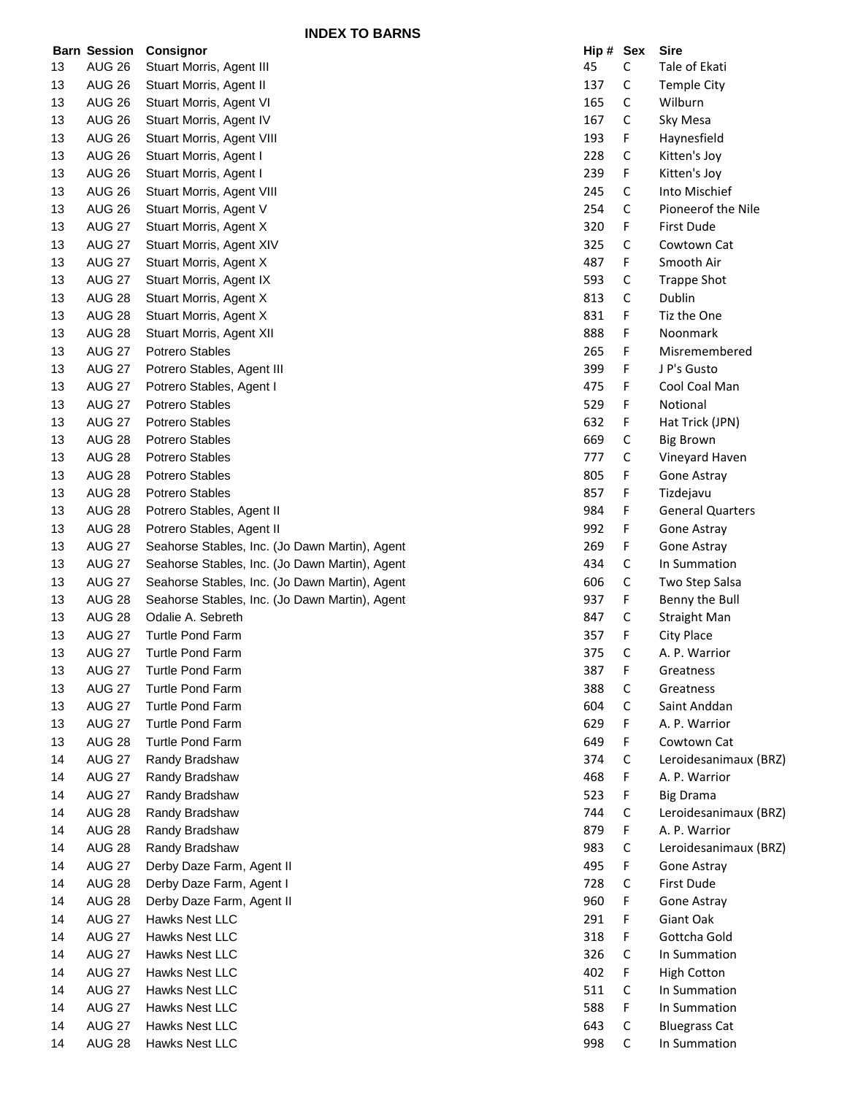**INDEX TO BARNS**

|    |               | <b>Barn Session Consignor</b>                  | Hip # Sex |             | <b>Sire</b>             |
|----|---------------|------------------------------------------------|-----------|-------------|-------------------------|
| 13 | <b>AUG 26</b> | Stuart Morris, Agent III                       | 45        | $\mathsf C$ | Tale of Ekati           |
| 13 | <b>AUG 26</b> | Stuart Morris, Agent II                        | 137       | $\mathsf C$ | <b>Temple City</b>      |
| 13 | <b>AUG 26</b> | Stuart Morris, Agent VI                        | 165       | $\mathsf C$ | Wilburn                 |
| 13 | <b>AUG 26</b> | Stuart Morris, Agent IV                        | 167       | $\mathsf C$ | Sky Mesa                |
| 13 | <b>AUG 26</b> | Stuart Morris, Agent VIII                      | 193       | F.          | Haynesfield             |
| 13 | <b>AUG 26</b> | Stuart Morris, Agent I                         | 228       | C           | Kitten's Joy            |
| 13 | <b>AUG 26</b> | Stuart Morris, Agent I                         | 239       | F           | Kitten's Joy            |
| 13 | <b>AUG 26</b> | Stuart Morris, Agent VIII                      | 245       | $\mathsf C$ | Into Mischief           |
| 13 | <b>AUG 26</b> | Stuart Morris, Agent V                         | 254       | C           | Pioneerof the Nile      |
| 13 | <b>AUG 27</b> | Stuart Morris, Agent X                         | 320       | F           | First Dude              |
| 13 | <b>AUG 27</b> | Stuart Morris, Agent XIV                       | 325       | C           | Cowtown Cat             |
| 13 | <b>AUG 27</b> | Stuart Morris, Agent X                         | 487       | F           | Smooth Air              |
| 13 | <b>AUG 27</b> | Stuart Morris, Agent IX                        | 593       | C           | <b>Trappe Shot</b>      |
| 13 | <b>AUG 28</b> | Stuart Morris, Agent X                         | 813       | C           | Dublin                  |
| 13 | <b>AUG 28</b> | Stuart Morris, Agent X                         | 831       | F           | Tiz the One             |
| 13 | <b>AUG 28</b> | Stuart Morris, Agent XII                       | 888       | F           | Noonmark                |
| 13 | <b>AUG 27</b> | Potrero Stables                                | 265       | F           | Misremembered           |
| 13 | <b>AUG 27</b> | Potrero Stables, Agent III                     | 399       | F           | J P's Gusto             |
| 13 | <b>AUG 27</b> | Potrero Stables, Agent I                       | 475       | F           | Cool Coal Man           |
| 13 | <b>AUG 27</b> | Potrero Stables                                | 529       | F           | Notional                |
| 13 | <b>AUG 27</b> | Potrero Stables                                | 632       | F           | Hat Trick (JPN)         |
| 13 | <b>AUG 28</b> | Potrero Stables                                | 669       | C           | <b>Big Brown</b>        |
| 13 | <b>AUG 28</b> | <b>Potrero Stables</b>                         | 777       | $\mathsf C$ | Vineyard Haven          |
| 13 | <b>AUG 28</b> | <b>Potrero Stables</b>                         | 805       | F           | Gone Astray             |
| 13 | <b>AUG 28</b> | Potrero Stables                                | 857       | F           | Tizdejavu               |
| 13 | <b>AUG 28</b> | Potrero Stables, Agent II                      | 984       | F           | <b>General Quarters</b> |
| 13 | <b>AUG 28</b> | Potrero Stables, Agent II                      | 992       | F           | Gone Astray             |
| 13 | <b>AUG 27</b> | Seahorse Stables, Inc. (Jo Dawn Martin), Agent | 269       | F           | Gone Astray             |
| 13 | <b>AUG 27</b> | Seahorse Stables, Inc. (Jo Dawn Martin), Agent | 434       | $\mathsf C$ | In Summation            |
| 13 | <b>AUG 27</b> | Seahorse Stables, Inc. (Jo Dawn Martin), Agent | 606       | $\mathsf C$ | Two Step Salsa          |
| 13 | <b>AUG 28</b> | Seahorse Stables, Inc. (Jo Dawn Martin), Agent | 937       | F           | Benny the Bull          |
| 13 | <b>AUG 28</b> | Odalie A. Sebreth                              | 847       | C           | <b>Straight Man</b>     |
| 13 | <b>AUG 27</b> | <b>Turtle Pond Farm</b>                        | 357       | F           | City Place              |
| 13 | <b>AUG 27</b> | <b>Turtle Pond Farm</b>                        | 375       | C           | A. P. Warrior           |
| 13 | <b>AUG 27</b> | Turtle Pond Farm                               | 387       | F           | Greatness               |
| 13 | <b>AUG 27</b> | <b>Turtle Pond Farm</b>                        | 388       | C           | Greatness               |
| 13 | <b>AUG 27</b> | <b>Turtle Pond Farm</b>                        | 604       | $\mathsf C$ | Saint Anddan            |
| 13 | <b>AUG 27</b> | <b>Turtle Pond Farm</b>                        | 629       | F           | A. P. Warrior           |
| 13 | <b>AUG 28</b> | Turtle Pond Farm                               | 649       | F           | Cowtown Cat             |
| 14 | <b>AUG 27</b> | Randy Bradshaw                                 | 374       | C           | Leroidesanimaux (BRZ)   |
| 14 | <b>AUG 27</b> | Randy Bradshaw                                 | 468       | F           | A. P. Warrior           |
| 14 | <b>AUG 27</b> | Randy Bradshaw                                 | 523       | F           | <b>Big Drama</b>        |
| 14 | <b>AUG 28</b> | Randy Bradshaw                                 | 744       | C           | Leroidesanimaux (BRZ)   |
| 14 | <b>AUG 28</b> | Randy Bradshaw                                 | 879       | F           | A. P. Warrior           |
| 14 | <b>AUG 28</b> | Randy Bradshaw                                 | 983       | C           | Leroidesanimaux (BRZ)   |
| 14 | <b>AUG 27</b> | Derby Daze Farm, Agent II                      | 495       | F           | Gone Astray             |
| 14 | <b>AUG 28</b> | Derby Daze Farm, Agent I                       | 728       | $\mathsf C$ | First Dude              |
| 14 | <b>AUG 28</b> | Derby Daze Farm, Agent II                      | 960       | F           | Gone Astray             |
| 14 | <b>AUG 27</b> | Hawks Nest LLC                                 | 291       | F           | Giant Oak               |
| 14 | <b>AUG 27</b> | Hawks Nest LLC                                 | 318       | F           | Gottcha Gold            |
| 14 | <b>AUG 27</b> | Hawks Nest LLC                                 | 326       | C           | In Summation            |
| 14 | <b>AUG 27</b> | Hawks Nest LLC                                 | 402       | F           | <b>High Cotton</b>      |
| 14 | <b>AUG 27</b> | Hawks Nest LLC                                 | 511       | C           | In Summation            |
| 14 | <b>AUG 27</b> | Hawks Nest LLC                                 | 588       | F           | In Summation            |
| 14 | <b>AUG 27</b> | Hawks Nest LLC                                 | 643       | C           | <b>Bluegrass Cat</b>    |
| 14 | <b>AUG 28</b> | Hawks Nest LLC                                 | 998       | $\mathsf C$ | In Summation            |
|    |               |                                                |           |             |                         |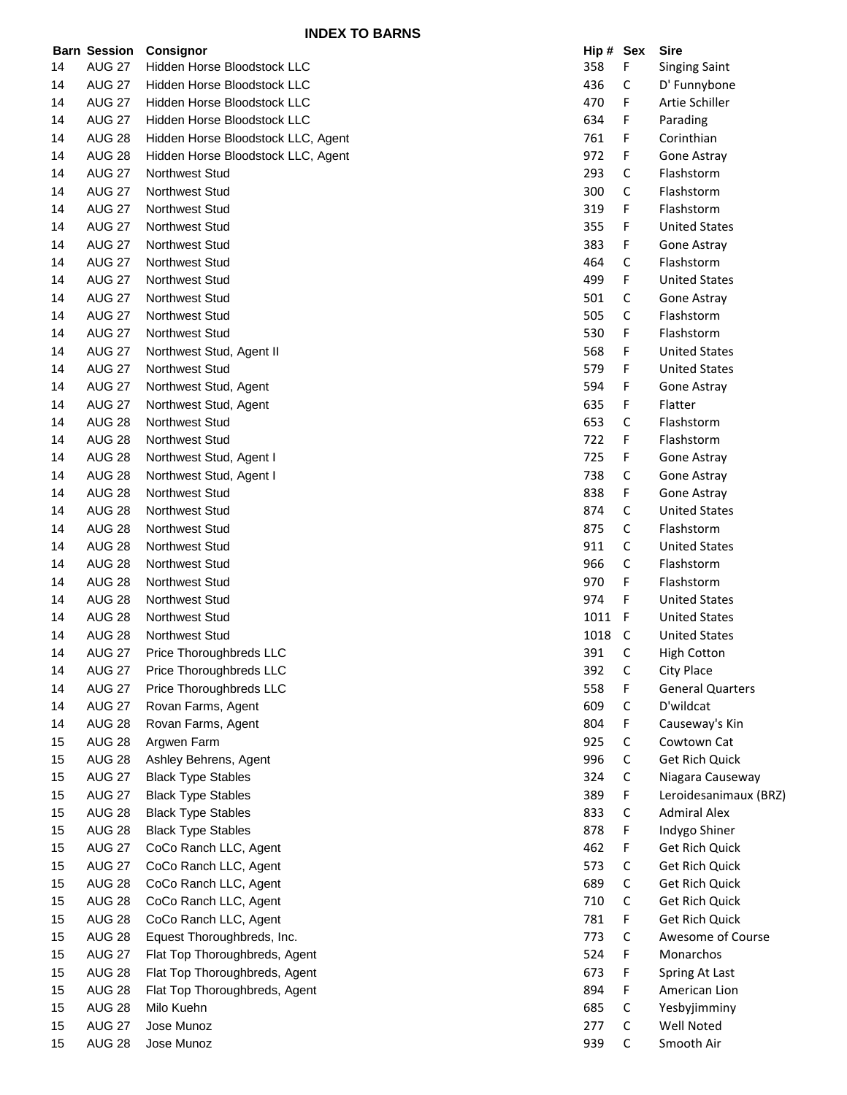|    |               | <b>Barn Session Consignor</b>      | Hip # Sex |             | <b>Sire</b>             |
|----|---------------|------------------------------------|-----------|-------------|-------------------------|
| 14 | <b>AUG 27</b> | Hidden Horse Bloodstock LLC        | 358       | F           | <b>Singing Saint</b>    |
| 14 | <b>AUG 27</b> | <b>Hidden Horse Bloodstock LLC</b> | 436       | C           | D' Funnybone            |
| 14 | <b>AUG 27</b> | Hidden Horse Bloodstock LLC        | 470       | F           | Artie Schiller          |
| 14 | <b>AUG 27</b> | Hidden Horse Bloodstock LLC        | 634       | F           | Parading                |
| 14 | <b>AUG 28</b> | Hidden Horse Bloodstock LLC, Agent | 761       | F           | Corinthian              |
| 14 | <b>AUG 28</b> | Hidden Horse Bloodstock LLC, Agent | 972       | F           | Gone Astray             |
| 14 | <b>AUG 27</b> | <b>Northwest Stud</b>              | 293       | C           | Flashstorm              |
| 14 | <b>AUG 27</b> | <b>Northwest Stud</b>              | 300       | C           | Flashstorm              |
| 14 | <b>AUG 27</b> | <b>Northwest Stud</b>              | 319       | F           | Flashstorm              |
| 14 | <b>AUG 27</b> | Northwest Stud                     | 355       | F           | <b>United States</b>    |
| 14 | <b>AUG 27</b> | <b>Northwest Stud</b>              | 383       | F           | Gone Astray             |
| 14 | <b>AUG 27</b> | <b>Northwest Stud</b>              | 464       | C           | Flashstorm              |
| 14 | <b>AUG 27</b> | Northwest Stud                     | 499       | F           | <b>United States</b>    |
| 14 | <b>AUG 27</b> | <b>Northwest Stud</b>              | 501       | C           | Gone Astray             |
| 14 | <b>AUG 27</b> | <b>Northwest Stud</b>              | 505       | С           | Flashstorm              |
| 14 | <b>AUG 27</b> | Northwest Stud                     | 530       | F           | Flashstorm              |
| 14 | <b>AUG 27</b> | Northwest Stud, Agent II           | 568       | F           | <b>United States</b>    |
| 14 | <b>AUG 27</b> | <b>Northwest Stud</b>              | 579       | F           | <b>United States</b>    |
| 14 | <b>AUG 27</b> | Northwest Stud, Agent              | 594       | F           | Gone Astray             |
| 14 | <b>AUG 27</b> | Northwest Stud, Agent              | 635       | F           | Flatter                 |
| 14 | <b>AUG 28</b> | Northwest Stud                     | 653       | C           | Flashstorm              |
| 14 | <b>AUG 28</b> | <b>Northwest Stud</b>              | 722       | F           | Flashstorm              |
| 14 | <b>AUG 28</b> | Northwest Stud, Agent I            | 725       | F           | Gone Astray             |
| 14 | <b>AUG 28</b> | Northwest Stud, Agent I            | 738       | C           | Gone Astray             |
| 14 | <b>AUG 28</b> | <b>Northwest Stud</b>              | 838       | F           | Gone Astray             |
| 14 | <b>AUG 28</b> | <b>Northwest Stud</b>              | 874       | C           | <b>United States</b>    |
| 14 | <b>AUG 28</b> | <b>Northwest Stud</b>              | 875       | C           | Flashstorm              |
| 14 | <b>AUG 28</b> | <b>Northwest Stud</b>              | 911       | C           | <b>United States</b>    |
| 14 | <b>AUG 28</b> | <b>Northwest Stud</b>              | 966       | C           | Flashstorm              |
| 14 | <b>AUG 28</b> | Northwest Stud                     | 970       | F           | Flashstorm              |
| 14 | <b>AUG 28</b> | Northwest Stud                     | 974       | F           | <b>United States</b>    |
| 14 | <b>AUG 28</b> | <b>Northwest Stud</b>              | 1011      | -F          | <b>United States</b>    |
| 14 | <b>AUG 28</b> | <b>Northwest Stud</b>              | 1018      | C           | <b>United States</b>    |
| 14 | <b>AUG 27</b> | Price Thoroughbreds LLC            | 391       | С           | <b>High Cotton</b>      |
| 14 | <b>AUG 27</b> | Price Thoroughbreds LLC            | 392       | C           | City Place              |
| 14 | <b>AUG 27</b> | Price Thoroughbreds LLC            | 558       | F           | <b>General Quarters</b> |
| 14 | <b>AUG 27</b> | Rovan Farms, Agent                 | 609       | C           | D'wildcat               |
| 14 | <b>AUG 28</b> | Rovan Farms, Agent                 | 804       | F           | Causeway's Kin          |
| 15 | <b>AUG 28</b> | Argwen Farm                        | 925       | C           | Cowtown Cat             |
| 15 | <b>AUG 28</b> | Ashley Behrens, Agent              | 996       | C           | Get Rich Quick          |
| 15 | <b>AUG 27</b> | <b>Black Type Stables</b>          | 324       | C           | Niagara Causeway        |
| 15 | <b>AUG 27</b> | <b>Black Type Stables</b>          | 389       | F           | Leroidesanimaux (BRZ)   |
| 15 | <b>AUG 28</b> | <b>Black Type Stables</b>          | 833       | C           | <b>Admiral Alex</b>     |
| 15 | <b>AUG 28</b> | <b>Black Type Stables</b>          | 878       | F           | Indygo Shiner           |
| 15 | <b>AUG 27</b> | CoCo Ranch LLC, Agent              | 462       | F           | Get Rich Quick          |
| 15 | <b>AUG 27</b> | CoCo Ranch LLC, Agent              | 573       | C           | Get Rich Quick          |
| 15 | <b>AUG 28</b> | CoCo Ranch LLC, Agent              | 689       | C           | Get Rich Quick          |
| 15 | <b>AUG 28</b> | CoCo Ranch LLC, Agent              | 710       | C           | Get Rich Quick          |
| 15 | <b>AUG 28</b> | CoCo Ranch LLC, Agent              | 781       | F           | Get Rich Quick          |
| 15 | <b>AUG 28</b> | Equest Thoroughbreds, Inc.         | 773       | C           | Awesome of Course       |
| 15 | <b>AUG 27</b> | Flat Top Thoroughbreds, Agent      | 524       | F           | Monarchos               |
| 15 | <b>AUG 28</b> | Flat Top Thoroughbreds, Agent      | 673       | F           | Spring At Last          |
| 15 | <b>AUG 28</b> | Flat Top Thoroughbreds, Agent      | 894       | F           | American Lion           |
| 15 | <b>AUG 28</b> | Milo Kuehn                         | 685       | C           | Yesbyjimminy            |
| 15 | <b>AUG 27</b> | Jose Munoz                         | 277       | $\mathsf C$ | Well Noted              |
| 15 | <b>AUG 28</b> | Jose Munoz                         | 939       | C           | Smooth Air              |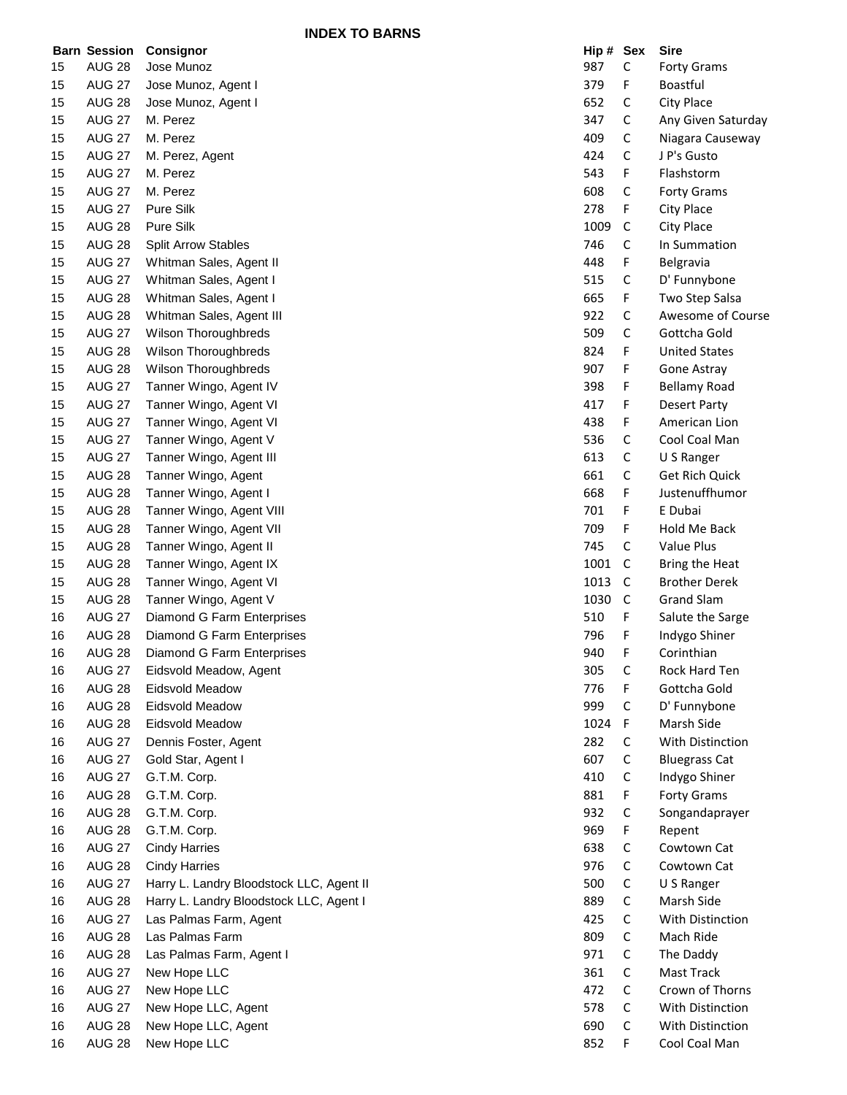**INDEX TO BARNS**

|    | <b>Barn Session</b> | <b>Consignor</b>                         | Hip # Sex |              | <b>Sire</b>          |
|----|---------------------|------------------------------------------|-----------|--------------|----------------------|
| 15 | <b>AUG 28</b>       | Jose Munoz                               | 987       | C            | <b>Forty Grams</b>   |
| 15 | <b>AUG 27</b>       | Jose Munoz, Agent I                      | 379       | F            | <b>Boastful</b>      |
| 15 | <b>AUG 28</b>       | Jose Munoz, Agent I                      | 652       | C            | City Place           |
| 15 | <b>AUG 27</b>       | M. Perez                                 | 347       | С            | Any Given Saturday   |
| 15 | <b>AUG 27</b>       | M. Perez                                 | 409       | C            | Niagara Causeway     |
| 15 | <b>AUG 27</b>       | M. Perez, Agent                          | 424       | C            | J P's Gusto          |
| 15 | <b>AUG 27</b>       | M. Perez                                 | 543       | F            | Flashstorm           |
| 15 | <b>AUG 27</b>       | M. Perez                                 | 608       | С            | <b>Forty Grams</b>   |
| 15 | <b>AUG 27</b>       | Pure Silk                                | 278       | F            | City Place           |
| 15 | <b>AUG 28</b>       | Pure Silk                                | 1009      | $\mathsf C$  | City Place           |
| 15 | <b>AUG 28</b>       | <b>Split Arrow Stables</b>               | 746       | С            | In Summation         |
| 15 | <b>AUG 27</b>       | Whitman Sales, Agent II                  | 448       | F            | Belgravia            |
| 15 | <b>AUG 27</b>       | Whitman Sales, Agent I                   | 515       | C            | D' Funnybone         |
| 15 | <b>AUG 28</b>       | Whitman Sales, Agent I                   | 665       | F            | Two Step Salsa       |
| 15 | <b>AUG 28</b>       | Whitman Sales, Agent III                 | 922       | С            | Awesome of Course    |
| 15 | <b>AUG 27</b>       | Wilson Thoroughbreds                     | 509       | С            | Gottcha Gold         |
| 15 | <b>AUG 28</b>       | Wilson Thoroughbreds                     | 824       | F            | <b>United States</b> |
| 15 | <b>AUG 28</b>       | <b>Wilson Thoroughbreds</b>              | 907       | F            | Gone Astray          |
| 15 | <b>AUG 27</b>       | Tanner Wingo, Agent IV                   | 398       | F            | <b>Bellamy Road</b>  |
| 15 | <b>AUG 27</b>       | Tanner Wingo, Agent VI                   | 417       | F            | Desert Party         |
| 15 | <b>AUG 27</b>       | Tanner Wingo, Agent VI                   | 438       | F            | American Lion        |
| 15 | <b>AUG 27</b>       | Tanner Wingo, Agent V                    | 536       | C            | Cool Coal Man        |
| 15 | <b>AUG 27</b>       | Tanner Wingo, Agent III                  | 613       | С            | U S Ranger           |
| 15 | <b>AUG 28</b>       | Tanner Wingo, Agent                      | 661       | С            | Get Rich Quick       |
| 15 | <b>AUG 28</b>       | Tanner Wingo, Agent I                    | 668       | F            | Justenuffhumor       |
| 15 | <b>AUG 28</b>       | Tanner Wingo, Agent VIII                 | 701       | F            | E Dubai              |
| 15 | <b>AUG 28</b>       | Tanner Wingo, Agent VII                  | 709       | F            | Hold Me Back         |
| 15 | <b>AUG 28</b>       | Tanner Wingo, Agent II                   | 745       | C            | Value Plus           |
| 15 | <b>AUG 28</b>       | Tanner Wingo, Agent IX                   | 1001      | C            | Bring the Heat       |
| 15 | <b>AUG 28</b>       | Tanner Wingo, Agent VI                   | 1013      | $\mathsf{C}$ | <b>Brother Derek</b> |
| 15 | <b>AUG 28</b>       | Tanner Wingo, Agent V                    | 1030      | $\mathsf C$  | <b>Grand Slam</b>    |
| 16 | <b>AUG 27</b>       | Diamond G Farm Enterprises               | 510       | F            | Salute the Sarge     |
| 16 | <b>AUG 28</b>       | Diamond G Farm Enterprises               | 796       | F            | Indygo Shiner        |
| 16 | <b>AUG 28</b>       | Diamond G Farm Enterprises               | 940       | F            | Corinthian           |
| 16 | <b>AUG 27</b>       | Eidsvold Meadow, Agent                   | 305       | С            | Rock Hard Ten        |
| 16 | <b>AUG 28</b>       | <b>Eidsvold Meadow</b>                   | 776       | F            | Gottcha Gold         |
| 16 | <b>AUG 28</b>       | Eidsvold Meadow                          | 999       | С            | D' Funnybone         |
| 16 | <b>AUG 28</b>       | <b>Eidsvold Meadow</b>                   | 1024      | F            | Marsh Side           |
| 16 | <b>AUG 27</b>       | Dennis Foster, Agent                     | 282       | C            | With Distinction     |
| 16 | <b>AUG 27</b>       | Gold Star, Agent I                       | 607       | С            | <b>Bluegrass Cat</b> |
| 16 | <b>AUG 27</b>       | G.T.M. Corp.                             | 410       | С            | Indygo Shiner        |
| 16 | <b>AUG 28</b>       | G.T.M. Corp.                             | 881       | F            | <b>Forty Grams</b>   |
| 16 | <b>AUG 28</b>       | G.T.M. Corp.                             | 932       | С            | Songandaprayer       |
| 16 | <b>AUG 28</b>       | G.T.M. Corp.                             | 969       | F            | Repent               |
| 16 | <b>AUG 27</b>       | <b>Cindy Harries</b>                     | 638       | С            | Cowtown Cat          |
| 16 | <b>AUG 28</b>       | <b>Cindy Harries</b>                     | 976       | C            | Cowtown Cat          |
| 16 | <b>AUG 27</b>       | Harry L. Landry Bloodstock LLC, Agent II | 500       | C            | U S Ranger           |
| 16 | <b>AUG 28</b>       | Harry L. Landry Bloodstock LLC, Agent I  | 889       | С            | Marsh Side           |
| 16 | <b>AUG 27</b>       | Las Palmas Farm, Agent                   | 425       | C            | With Distinction     |
| 16 | <b>AUG 28</b>       | Las Palmas Farm                          | 809       | С            | Mach Ride            |
| 16 | <b>AUG 28</b>       | Las Palmas Farm, Agent I                 | 971       | C            | The Daddy            |
| 16 | <b>AUG 27</b>       | New Hope LLC                             | 361       | С            | Mast Track           |
| 16 | <b>AUG 27</b>       | New Hope LLC                             | 472       | C            | Crown of Thorns      |
| 16 | <b>AUG 27</b>       | New Hope LLC, Agent                      | 578       | C            | With Distinction     |
| 16 | <b>AUG 28</b>       | New Hope LLC, Agent                      | 690       | С            | With Distinction     |
| 16 | <b>AUG 28</b>       | New Hope LLC                             | 852       | F            | Cool Coal Man        |
|    |                     |                                          |           |              |                      |

| Hip# | Sex | Sire                    |
|------|-----|-------------------------|
| 987  | С   | <b>Forty Grams</b>      |
| 379  | F   | Boastful                |
| 652  | C   | City Place              |
| 347  | C   | Any Given Saturday      |
| 409  | C   | Niagara Causeway        |
| 424  | Ċ   | J P's Gusto             |
| 543  | F   | Flashstorm              |
| 608  | C   | <b>Forty Grams</b>      |
| 278  | F   | City Place              |
| 1009 | C   | <b>City Place</b>       |
| 746  | Ċ   | In Summation            |
| 448  | F   | Belgravia               |
| 515  | C   | D' Funnybone            |
| 665  | F   | Two Step Salsa          |
| 922  | C   | Awesome of Course       |
| 509  | С   | Gottcha Gold            |
| 824  | F   | <b>United States</b>    |
| 907  | F   | Gone Astray             |
| 398  | F   |                         |
|      |     | <b>Bellamy Road</b>     |
| 417  | F   | <b>Desert Party</b>     |
| 438  | F   | American Lion           |
| 536  | c   | Cool Coal Man           |
| 613  | C   | U S Ranger              |
| 661  | C   | <b>Get Rich Quick</b>   |
| 668  | F   | Justenuffhumor          |
| 701  | F   | E Dubai                 |
| 709  | F   | Hold Me Back            |
| 745  | c   | <b>Value Plus</b>       |
| 1001 | С   | Bring the Heat          |
| 1013 | С   | <b>Brother Derek</b>    |
| 1030 | C   | <b>Grand Slam</b>       |
| 510  | F   | Salute the Sarge        |
| 796  | F   | Indygo Shiner           |
| 940  | F   | Corinthian              |
| 305  | C   | <b>Rock Hard Ten</b>    |
| 776  | F   | Gottcha Gold            |
| 999  | С   | D' Funnybone            |
| 1024 | F   | Marsh Side              |
| 282  | C   | <b>With Distinction</b> |
| 607  | C   | Bluegrass Cat           |
| 410  | C   | Indygo Shiner           |
| 881  | F   | <b>Forty Grams</b>      |
| 932  | C   | Songandaprayer          |
| 969  | F   | Repent                  |
| 638  | C   | Cowtown Cat             |
| 976  | C   | Cowtown Cat             |
| 500  | C   | U S Ranger              |
| 889  | C   | Marsh Side              |
| 425  | C   | With Distinction        |
| 809  | C   | Mach Ride               |
| 971  | C   | The Daddy               |
| 361  | C   | <b>Mast Track</b>       |
| 472  | C   | Crown of Thorns         |
|      | C   | With Distinction        |
| 578  |     |                         |
| 690  | C   | With Distinction        |
| 852  | F   | Cool Coal Man           |